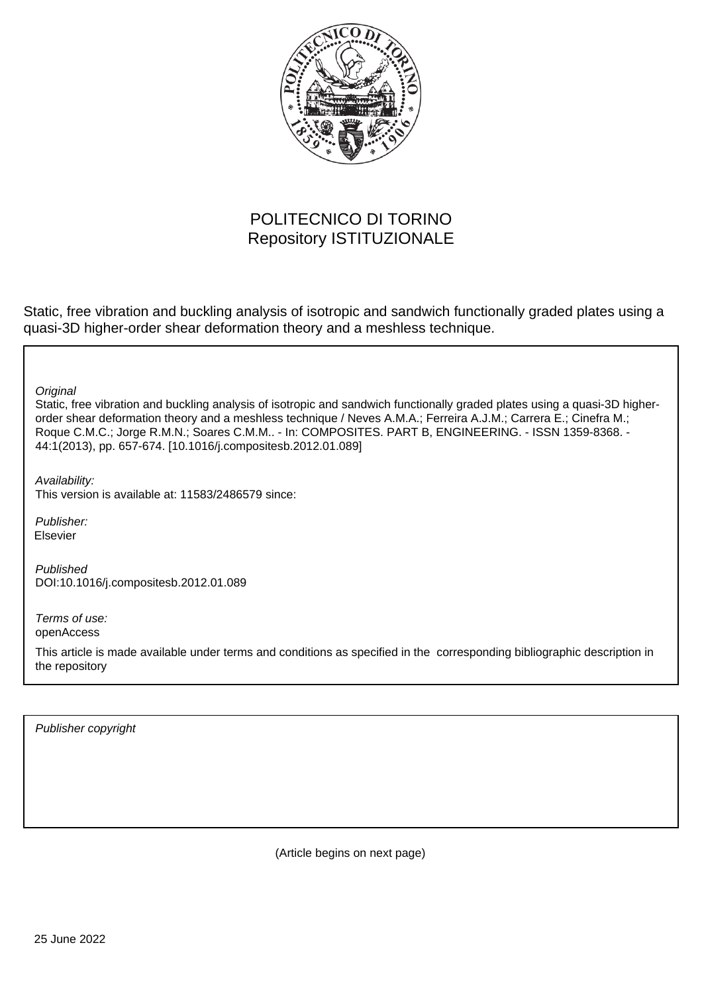

# POLITECNICO DI TORINO Repository ISTITUZIONALE

Static, free vibration and buckling analysis of isotropic and sandwich functionally graded plates using a quasi-3D higher-order shear deformation theory and a meshless technique.

**Original** 

Static, free vibration and buckling analysis of isotropic and sandwich functionally graded plates using a quasi-3D higherorder shear deformation theory and a meshless technique / Neves A.M.A.; Ferreira A.J.M.; Carrera E.; Cinefra M.; Roque C.M.C.; Jorge R.M.N.; Soares C.M.M.. - In: COMPOSITES. PART B, ENGINEERING. - ISSN 1359-8368. - 44:1(2013), pp. 657-674. [10.1016/j.compositesb.2012.01.089]

Availability:

This version is available at: 11583/2486579 since:

Publisher: Elsevier

Published DOI:10.1016/j.compositesb.2012.01.089

Terms of use: openAccess

This article is made available under terms and conditions as specified in the corresponding bibliographic description in the repository

Publisher copyright

(Article begins on next page)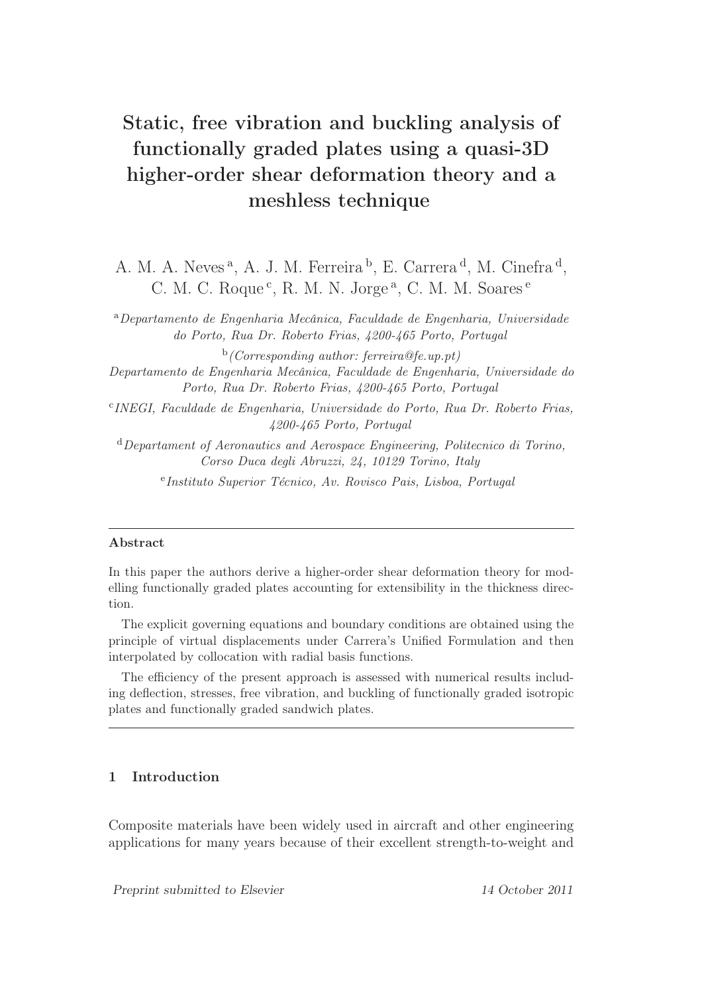# Static, free vibration and buckling analysis of functionally graded plates using a quasi-3D higher-order shear deformation theory and a meshless technique

A. M. A. Neves<sup>a</sup>, A. J. M. Ferreira<sup>b</sup>, E. Carrera<sup>d</sup>, M. Cinefra<sup>d</sup>, C. M. C. Roque<sup>c</sup>, R. M. N. Jorge<sup>a</sup>, C. M. M. Soares<sup>e</sup>

<sup>a</sup>Departamento de Engenharia Mecânica, Faculdade de Engenharia, Universidade do Porto, Rua Dr. Roberto Frias, 4200-465 Porto, Portugal

 $\phi$  (Corresponding author: ferreira@fe.up.pt) Departamento de Engenharia Mecânica, Faculdade de Engenharia, Universidade do Porto, Rua Dr. Roberto Frias, 4200-465 Porto, Portugal

c INEGI, Faculdade de Engenharia, Universidade do Porto, Rua Dr. Roberto Frias, 4200-465 Porto, Portugal

<sup>d</sup>Departament of Aeronautics and Aerospace Engineering, Politecnico di Torino, Corso Duca degli Abruzzi, 24, 10129 Torino, Italy e Instituto Superior Técnico, Av. Rovisco Pais, Lisboa, Portugal

#### Abstract

In this paper the authors derive a higher-order shear deformation theory for modelling functionally graded plates accounting for extensibility in the thickness direction.

The explicit governing equations and boundary conditions are obtained using the principle of virtual displacements under Carrera's Unified Formulation and then interpolated by collocation with radial basis functions.

The efficiency of the present approach is assessed with numerical results including deflection, stresses, free vibration, and buckling of functionally graded isotropic plates and functionally graded sandwich plates.

# 1 Introduction

Composite materials have been widely used in aircraft and other engineering applications for many years because of their excellent strength-to-weight and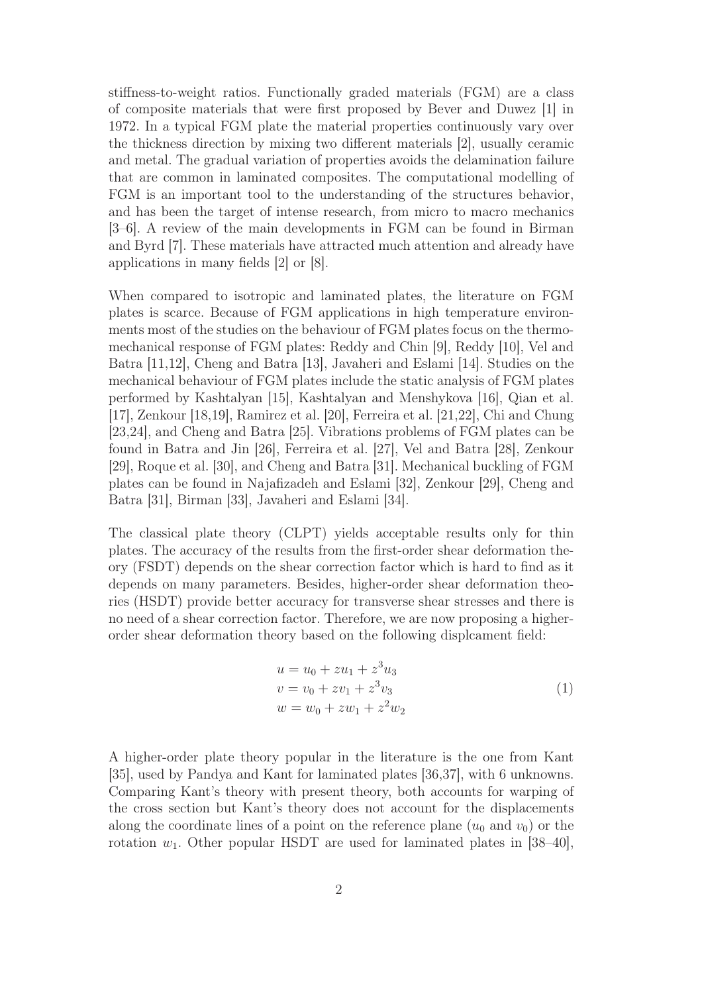stiffness-to-weight ratios. Functionally graded materials (FGM) are a class of composite materials that were first proposed by Bever and Duwez [1] in 1972. In a typical FGM plate the material properties continuously vary over the thickness direction by mixing two different materials [2], usually ceramic and metal. The gradual variation of properties avoids the delamination failure that are common in laminated composites. The computational modelling of FGM is an important tool to the understanding of the structures behavior, and has been the target of intense research, from micro to macro mechanics [3–6]. A review of the main developments in FGM can be found in Birman and Byrd [7]. These materials have attracted much attention and already have applications in many fields [2] or [8].

When compared to isotropic and laminated plates, the literature on FGM plates is scarce. Because of FGM applications in high temperature environments most of the studies on the behaviour of FGM plates focus on the thermomechanical response of FGM plates: Reddy and Chin [9], Reddy [10], Vel and Batra [11,12], Cheng and Batra [13], Javaheri and Eslami [14]. Studies on the mechanical behaviour of FGM plates include the static analysis of FGM plates performed by Kashtalyan [15], Kashtalyan and Menshykova [16], Qian et al. [17], Zenkour [18,19], Ramirez et al. [20], Ferreira et al. [21,22], Chi and Chung [23,24], and Cheng and Batra [25]. Vibrations problems of FGM plates can be found in Batra and Jin [26], Ferreira et al. [27], Vel and Batra [28], Zenkour [29], Roque et al. [30], and Cheng and Batra [31]. Mechanical buckling of FGM plates can be found in Najafizadeh and Eslami [32], Zenkour [29], Cheng and Batra [31], Birman [33], Javaheri and Eslami [34].

The classical plate theory (CLPT) yields acceptable results only for thin plates. The accuracy of the results from the first-order shear deformation theory (FSDT) depends on the shear correction factor which is hard to find as it depends on many parameters. Besides, higher-order shear deformation theories (HSDT) provide better accuracy for transverse shear stresses and there is no need of a shear correction factor. Therefore, we are now proposing a higherorder shear deformation theory based on the following displcament field:

$$
u = u_0 + zu_1 + z^3 u_3
$$
  
\n
$$
v = v_0 + zv_1 + z^3 v_3
$$
  
\n
$$
w = w_0 + zw_1 + z^2 w_2
$$
\n(1)

A higher-order plate theory popular in the literature is the one from Kant [35], used by Pandya and Kant for laminated plates [36,37], with 6 unknowns. Comparing Kant's theory with present theory, both accounts for warping of the cross section but Kant's theory does not account for the displacements along the coordinate lines of a point on the reference plane  $(u_0 \text{ and } v_0)$  or the rotation  $w_1$ . Other popular HSDT are used for laminated plates in [38–40],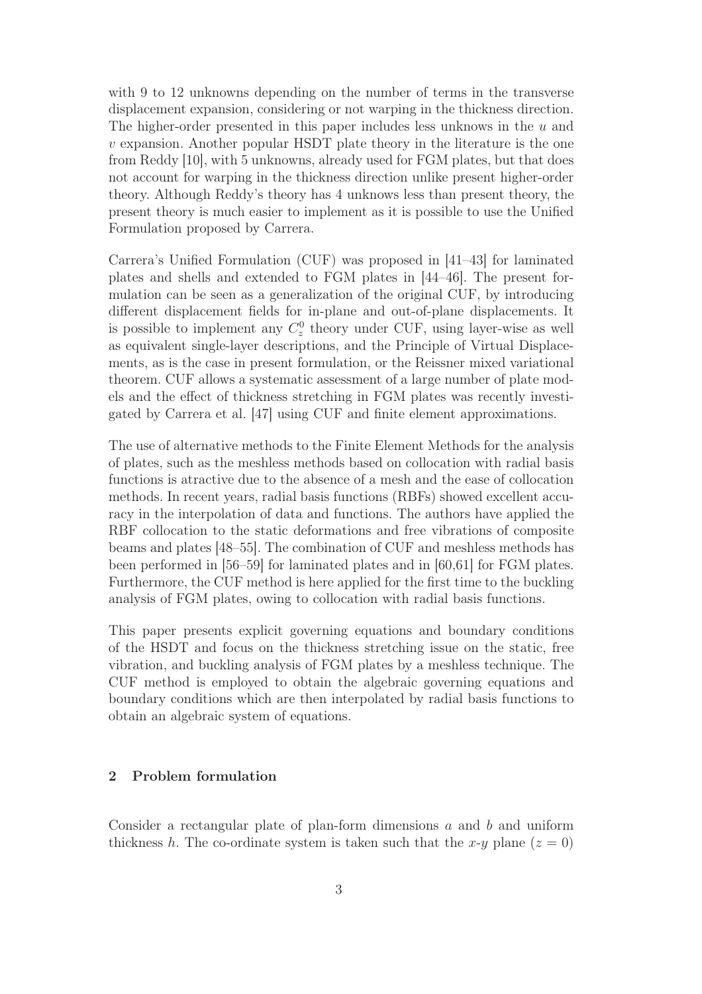with 9 to 12 unknowns depending on the number of terms in the transverse displacement expansion, considering or not warping in the thickness direction. The higher-order presented in this paper includes less unknows in the  $u$  and v expansion. Another popular HSDT plate theory in the literature is the one from Reddy [10], with 5 unknowns, already used for FGM plates, but that does not account for warping in the thickness direction unlike present higher-order theory. Although Reddy's theory has 4 unknows less than present theory, the present theory is much easier to implement as it is possible to use the Unified Formulation proposed by Carrera.

Carrera's Unified Formulation (CUF) was proposed in [41–43] for laminated plates and shells and extended to FGM plates in [44–46]. The present formulation can be seen as a generalization of the original CUF, by introducing different displacement fields for in-plane and out-of-plane displacements. It is possible to implement any  $C_z^0$  theory under CUF, using layer-wise as well as equivalent single-layer descriptions, and the Principle of Virtual Displacements, as is the case in present formulation, or the Reissner mixed variational theorem. CUF allows a systematic assessment of a large number of plate models and the effect of thickness stretching in FGM plates was recently investigated by Carrera et al. [47] using CUF and finite element approximations.

The use of alternative methods to the Finite Element Methods for the analysis of plates, such as the meshless methods based on collocation with radial basis functions is atractive due to the absence of a mesh and the ease of collocation methods. In recent years, radial basis functions (RBFs) showed excellent accuracy in the interpolation of data and functions. The authors have applied the RBF collocation to the static deformations and free vibrations of composite beams and plates [48–55]. The combination of CUF and meshless methods has been performed in [56–59] for laminated plates and in [60,61] for FGM plates. Furthermore, the CUF method is here applied for the first time to the buckling analysis of FGM plates, owing to collocation with radial basis functions.

This paper presents explicit governing equations and boundary conditions of the HSDT and focus on the thickness stretching issue on the static, free vibration, and buckling analysis of FGM plates by a meshless technique. The CUF method is employed to obtain the algebraic governing equations and boundary conditions which are then interpolated by radial basis functions to obtain an algebraic system of equations.

#### 2 Problem formulation

Consider a rectangular plate of plan-form dimensions  $a$  and  $b$  and uniform thickness h. The co-ordinate system is taken such that the x-y plane  $(z = 0)$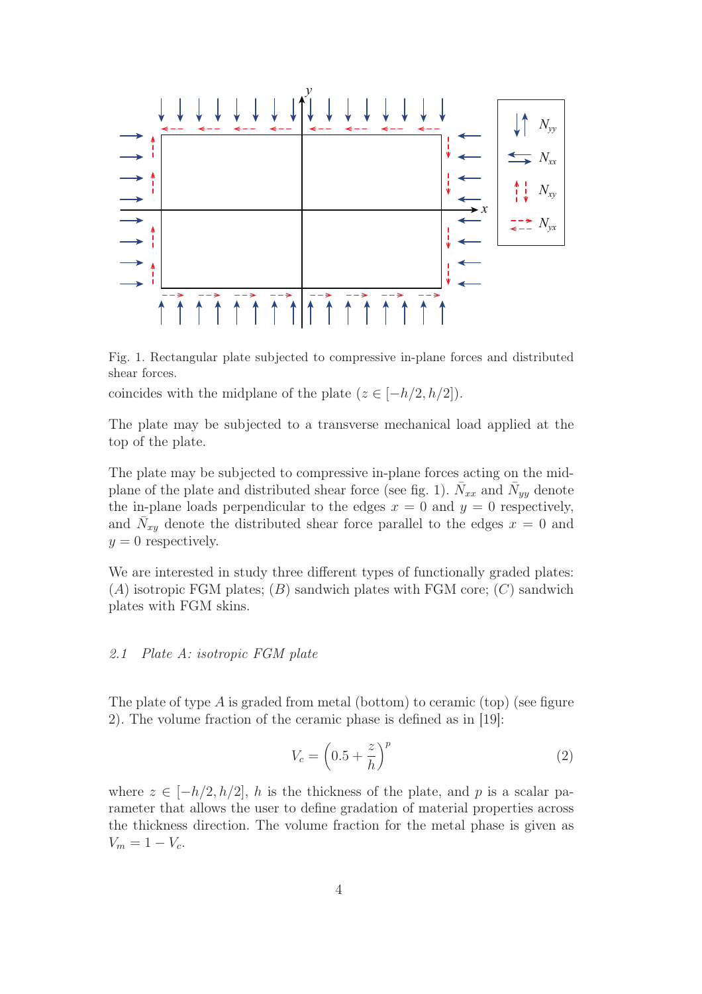

Fig. 1. Rectangular plate subjected to compressive in-plane forces and distributed shear forces.

coincides with the midplane of the plate  $(z \in [-h/2, h/2])$ .

The plate may be subjected to a transverse mechanical load applied at the top of the plate.

The plate may be subjected to compressive in-plane forces acting on the midplane of the plate and distributed shear force (see fig. 1).  $\bar{N}_{xx}$  and  $\bar{N}_{yy}$  denote the in-plane loads perpendicular to the edges  $x = 0$  and  $y = 0$  respectively, and  $\overline{N}_{xy}$  denote the distributed shear force parallel to the edges  $x = 0$  and  $y = 0$  respectively.

We are interested in study three different types of functionally graded plates:  $(A)$  isotropic FGM plates;  $(B)$  sandwich plates with FGM core;  $(C)$  sandwich plates with FGM skins.

# *2.1 Plate A: isotropic FGM plate*

The plate of type  $A$  is graded from metal (bottom) to ceramic (top) (see figure 2). The volume fraction of the ceramic phase is defined as in [19]:

$$
V_c = \left(0.5 + \frac{z}{h}\right)^p \tag{2}
$$

where  $z \in [-h/2, h/2]$ , h is the thickness of the plate, and p is a scalar parameter that allows the user to define gradation of material properties across the thickness direction. The volume fraction for the metal phase is given as  $V_m = 1 - V_c$ .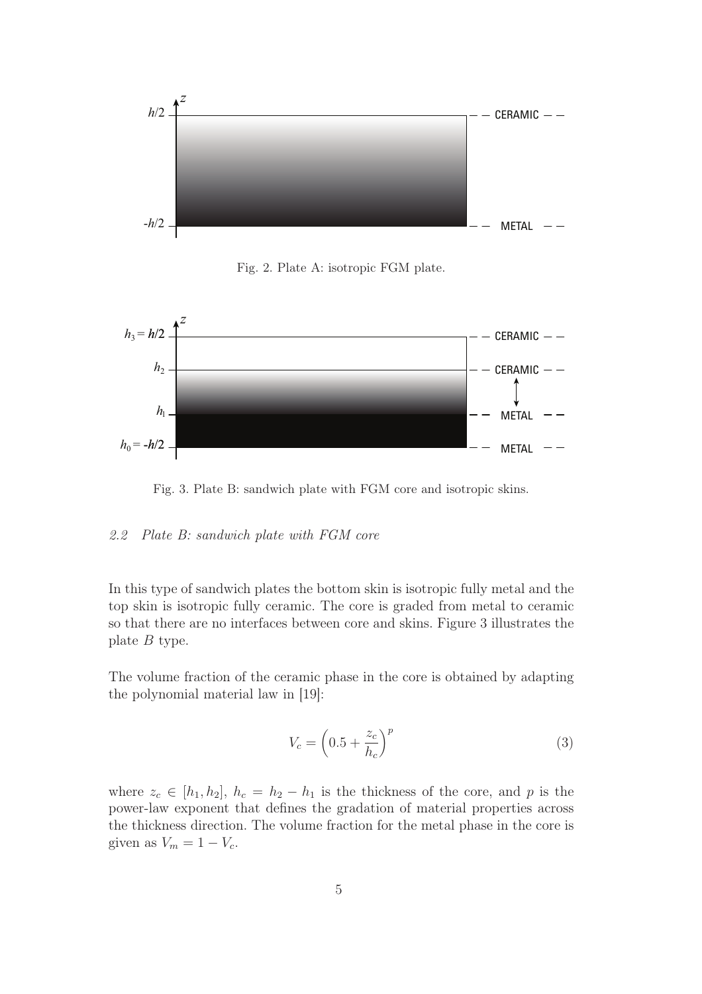

Fig. 2. Plate A: isotropic FGM plate.



Fig. 3. Plate B: sandwich plate with FGM core and isotropic skins.

#### *2.2 Plate B: sandwich plate with FGM core*

In this type of sandwich plates the bottom skin is isotropic fully metal and the top skin is isotropic fully ceramic. The core is graded from metal to ceramic so that there are no interfaces between core and skins. Figure 3 illustrates the plate B type.

The volume fraction of the ceramic phase in the core is obtained by adapting the polynomial material law in [19]:

$$
V_c = \left(0.5 + \frac{z_c}{h_c}\right)^p\tag{3}
$$

where  $z_c \in [h_1, h_2], h_c = h_2 - h_1$  is the thickness of the core, and p is the power-law exponent that defines the gradation of material properties across the thickness direction. The volume fraction for the metal phase in the core is given as  $V_m = 1 - V_c$ .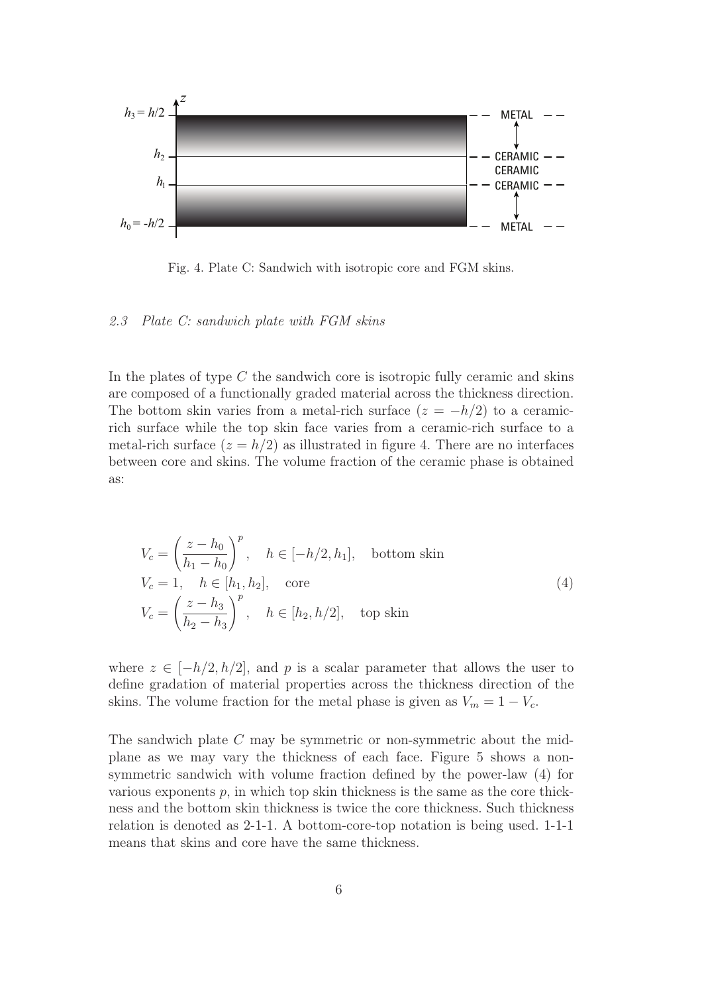

Fig. 4. Plate C: Sandwich with isotropic core and FGM skins.

#### *2.3 Plate C: sandwich plate with FGM skins*

In the plates of type  $C$  the sandwich core is isotropic fully ceramic and skins are composed of a functionally graded material across the thickness direction. The bottom skin varies from a metal-rich surface  $(z = -h/2)$  to a ceramicrich surface while the top skin face varies from a ceramic-rich surface to a metal-rich surface  $(z = h/2)$  as illustrated in figure 4. There are no interfaces between core and skins. The volume fraction of the ceramic phase is obtained as:

$$
V_c = \left(\frac{z - h_0}{h_1 - h_0}\right)^p, \quad h \in [-h/2, h_1], \quad \text{bottom skin}
$$
  
\n
$$
V_c = 1, \quad h \in [h_1, h_2], \quad \text{core}
$$
  
\n
$$
V_c = \left(\frac{z - h_3}{h_2 - h_3}\right)^p, \quad h \in [h_2, h/2], \quad \text{top skin}
$$
\n(4)

where  $z \in [-h/2, h/2]$ , and p is a scalar parameter that allows the user to define gradation of material properties across the thickness direction of the skins. The volume fraction for the metal phase is given as  $V_m = 1 - V_c$ .

The sandwich plate C may be symmetric or non-symmetric about the midplane as we may vary the thickness of each face. Figure 5 shows a nonsymmetric sandwich with volume fraction defined by the power-law (4) for various exponents  $p$ , in which top skin thickness is the same as the core thickness and the bottom skin thickness is twice the core thickness. Such thickness relation is denoted as 2-1-1. A bottom-core-top notation is being used. 1-1-1 means that skins and core have the same thickness.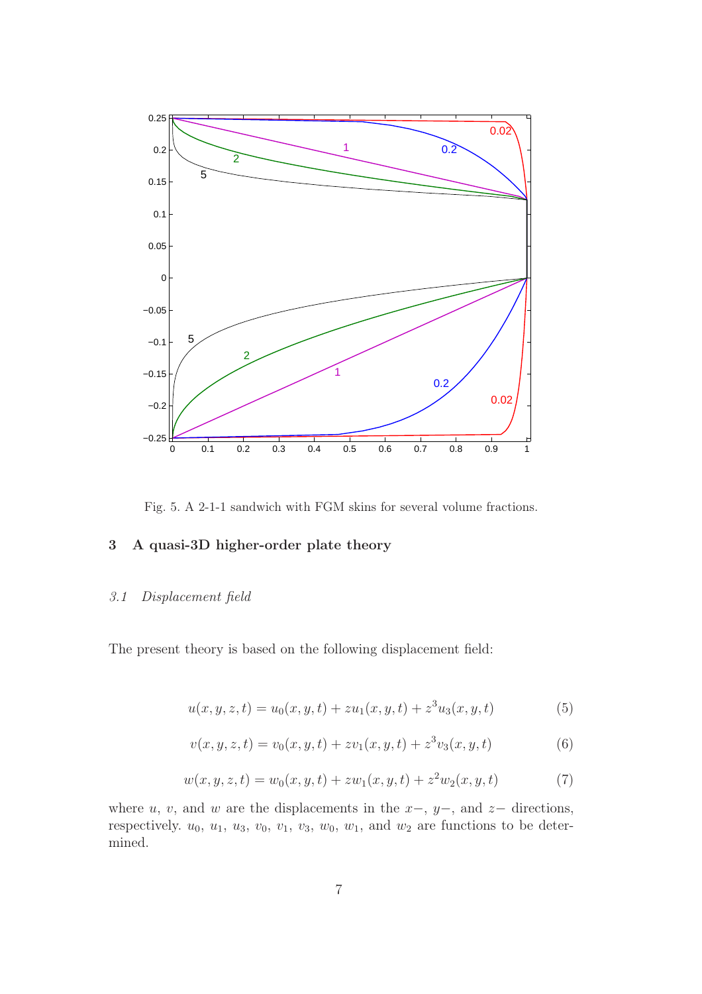

Fig. 5. A 2-1-1 sandwich with FGM skins for several volume fractions.

# 3 A quasi-3D higher-order plate theory

#### *3.1 Displacement field*

The present theory is based on the following displacement field:

$$
u(x, y, z, t) = u_0(x, y, t) + zu_1(x, y, t) + z^3u_3(x, y, t)
$$
\n(5)

$$
v(x, y, z, t) = v_0(x, y, t) + zv_1(x, y, t) + z^3v_3(x, y, t)
$$
\n(6)

$$
w(x, y, z, t) = w_0(x, y, t) + zw_1(x, y, t) + z^2w_2(x, y, t)
$$
\n<sup>(7)</sup>

where u, v, and w are the displacements in the  $x-$ ,  $y-$ , and  $z-$  directions, respectively.  $u_0, u_1, u_3, v_0, v_1, v_3, w_0, w_1$ , and  $w_2$  are functions to be determined.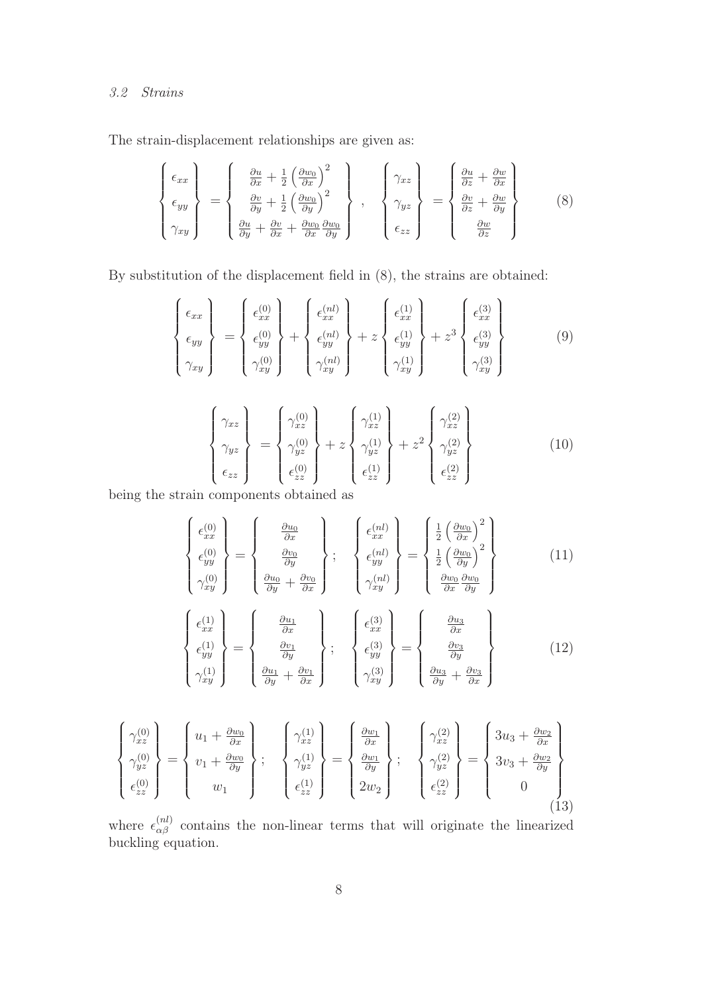# *3.2 Strains*

The strain-displacement relationships are given as:

$$
\begin{Bmatrix}\n\epsilon_{xx} \\
\epsilon_{yy} \\
\gamma_{xy}\n\end{Bmatrix} = \begin{Bmatrix}\n\frac{\partial u}{\partial x} + \frac{1}{2} \left(\frac{\partial w_0}{\partial x}\right)^2 \\
\frac{\partial v}{\partial y} + \frac{1}{2} \left(\frac{\partial w_0}{\partial y}\right)^2 \\
\frac{\partial u}{\partial y} + \frac{\partial v}{\partial x} + \frac{\partial w_0}{\partial x} \frac{\partial w_0}{\partial y}\n\end{Bmatrix}, \quad \begin{Bmatrix}\n\gamma_{xz} \\
\gamma_{yz} \\
\gamma_{yz} \\
\epsilon_{zz}\n\end{Bmatrix} = \begin{Bmatrix}\n\frac{\partial u}{\partial z} + \frac{\partial w}{\partial x} \\
\frac{\partial v}{\partial z} + \frac{\partial w}{\partial y} \\
\frac{\partial w}{\partial z}\n\end{Bmatrix}
$$
\n(8)

By substitution of the displacement field in (8), the strains are obtained:

$$
\begin{Bmatrix}\n\epsilon_{xx} \\
\epsilon_{yy} \\
\gamma_{xy}\n\end{Bmatrix} = \begin{Bmatrix}\n\epsilon_{xx}^{(0)} \\
\epsilon_{yy}^{(0)} \\
\gamma_{xy}^{(0)}\n\end{Bmatrix} + \begin{Bmatrix}\n\epsilon_{xx}^{(nl)} \\
\epsilon_{yy}^{(nl)} \\
\gamma_{xy}^{(nl)}\n\end{Bmatrix} + z \begin{Bmatrix}\n\epsilon_{xx}^{(1)} \\
\epsilon_{yy}^{(1)} \\
\gamma_{xy}^{(1)}\n\end{Bmatrix} + z^3 \begin{Bmatrix}\n\epsilon_{xx}^{(3)} \\
\epsilon_{yy}^{(3)} \\
\gamma_{xy}^{(3)}\n\end{Bmatrix}
$$
\n(9)

$$
\begin{Bmatrix}\n\gamma_{xz} \\
\gamma_{yz} \\
\epsilon_{zz}\n\end{Bmatrix} = \begin{Bmatrix}\n\gamma_{xz}^{(0)} \\
\gamma_{yz}^{(0)} \\
\epsilon_{zz}^{(0)}\n\end{Bmatrix} + z \begin{Bmatrix}\n\gamma_{xz}^{(1)} \\
\gamma_{yz}^{(1)} \\
\epsilon_{zz}^{(1)}\n\end{Bmatrix} + z^2 \begin{Bmatrix}\n\gamma_{xz}^{(2)} \\
\gamma_{yz}^{(2)} \\
\epsilon_{zz}^{(2)}\n\end{Bmatrix}
$$
\n(10)

being the strain components obtained as

$$
\begin{Bmatrix}\n\epsilon_{xx}^{(0)} \\
\epsilon_{yy}^{(0)} \\
\gamma_{xy}^{(0)}\n\end{Bmatrix} = \begin{Bmatrix}\n\frac{\partial u_0}{\partial x} \\
\frac{\partial v_0}{\partial y} \\
\frac{\partial u_0}{\partial y} + \frac{\partial v_0}{\partial x}\n\end{Bmatrix}; \quad\n\begin{Bmatrix}\n\epsilon_{xx}^{(nl)} \\
\epsilon_{yy}^{(nl)} \\
\gamma_{xy}^{(nl)}\n\end{Bmatrix} = \begin{Bmatrix}\n\frac{1}{2} \left(\frac{\partial w_0}{\partial x}\right)^2 \\
\frac{1}{2} \left(\frac{\partial w_0}{\partial y}\right)^2 \\
\frac{\partial w_0}{\partial x} \frac{\partial w_0}{\partial y}\n\end{Bmatrix}
$$
\n(11)

$$
\begin{Bmatrix}\n\epsilon_{xx}^{(1)} \\
\epsilon_{yy}^{(1)} \\
\gamma_{xy}^{(1)}\n\end{Bmatrix} = \begin{Bmatrix}\n\frac{\partial u_1}{\partial x} \\
\frac{\partial v_1}{\partial y} \\
\frac{\partial u_1}{\partial y} + \frac{\partial v_1}{\partial x}\n\end{Bmatrix}; \quad\n\begin{Bmatrix}\n\epsilon_{xx}^{(3)} \\
\epsilon_{yy}^{(3)} \\
\gamma_{xy}^{(3)}\n\end{Bmatrix} = \begin{Bmatrix}\n\frac{\partial u_3}{\partial x} \\
\frac{\partial v_3}{\partial y} \\
\frac{\partial u_3}{\partial y} + \frac{\partial v_3}{\partial x}\n\end{Bmatrix}
$$
\n(12)

$$
\begin{Bmatrix}\n\gamma_{xz}^{(0)} \\
\gamma_{yz}^{(0)} \\
\epsilon_{zz}^{(0)}\n\end{Bmatrix} = \begin{Bmatrix}\nu_1 + \frac{\partial w_0}{\partial x} \\
v_1 + \frac{\partial w_0}{\partial y} \\
w_1\end{Bmatrix}; \quad \begin{Bmatrix}\n\gamma_{xz}^{(1)} \\
\gamma_{yz}^{(1)} \\
\epsilon_{zz}^{(1)}\end{Bmatrix} = \begin{Bmatrix}\n\frac{\partial w_1}{\partial x} \\
\frac{\partial w_1}{\partial y} \\
2w_2\end{Bmatrix}; \quad \begin{Bmatrix}\n\gamma_{xz}^{(2)} \\
\gamma_{yz}^{(2)} \\
\epsilon_{zz}^{(2)}\end{Bmatrix} = \begin{Bmatrix}\n3u_3 + \frac{\partial w_2}{\partial x} \\
3v_3 + \frac{\partial w_2}{\partial y} \\
0\n\end{Bmatrix}
$$
\n(13)

where  $\epsilon_{\alpha\beta}^{(nl)}$  contains the non-linear terms that will originate the linearized buckling equation.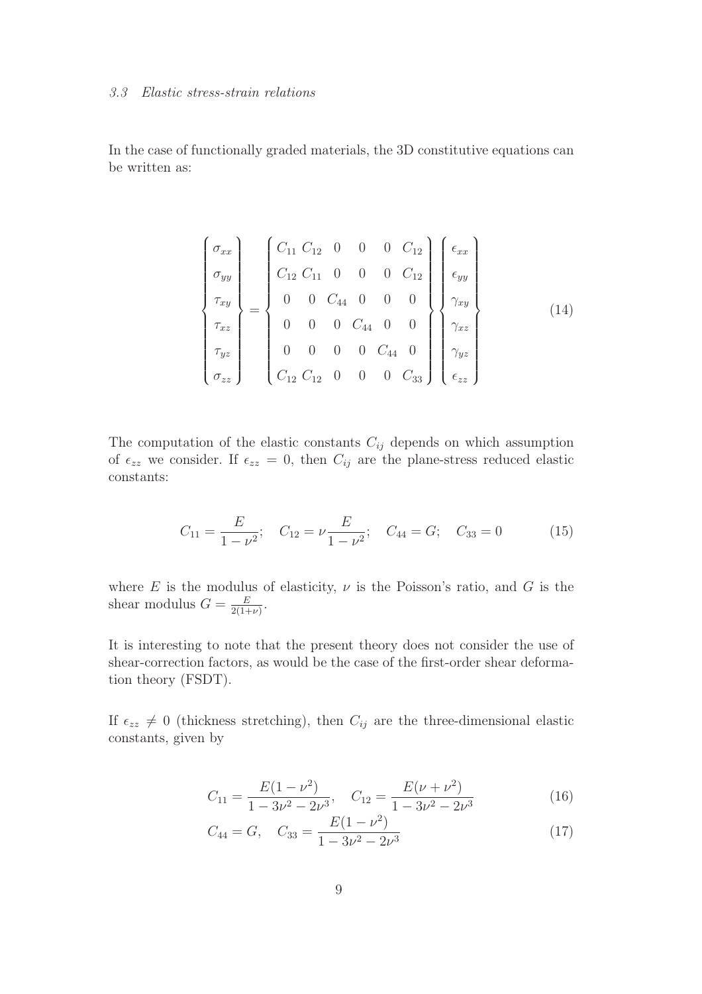#### *3.3 Elastic stress-strain relations*

In the case of functionally graded materials, the 3D constitutive equations can be written as:

$$
\begin{pmatrix}\n\sigma_{xx} \\
\sigma_{yy} \\
\tau_{xy} \\
\tau_{xz} \\
\tau_{yz} \\
\sigma_{zz}\n\end{pmatrix} = \begin{pmatrix}\nC_{11} C_{12} & 0 & 0 & 0 & C_{12} \\
C_{12} C_{11} & 0 & 0 & 0 & C_{12} \\
0 & 0 & C_{44} & 0 & 0 & 0 \\
0 & 0 & 0 & C_{44} & 0 & 0 \\
0 & 0 & 0 & C_{44} & 0 & 0 \\
C_{12} C_{12} & 0 & 0 & 0 & C_{33}\n\end{pmatrix} \begin{pmatrix}\n\epsilon_{xx} \\
\epsilon_{yy} \\
\gamma_{xy} \\
\gamma_{xz} \\
\gamma_{yz} \\
\gamma_{yz} \\
\epsilon_{zz}\n\end{pmatrix}
$$
\n(14)

The computation of the elastic constants  $C_{ij}$  depends on which assumption of  $\epsilon_{zz}$  we consider. If  $\epsilon_{zz} = 0$ , then  $C_{ij}$  are the plane-stress reduced elastic constants:

$$
C_{11} = \frac{E}{1 - \nu^2}; \quad C_{12} = \nu \frac{E}{1 - \nu^2}; \quad C_{44} = G; \quad C_{33} = 0 \tag{15}
$$

where E is the modulus of elasticity,  $\nu$  is the Poisson's ratio, and G is the shear modulus  $G = \frac{E}{2(1+1)}$  $\frac{E}{2(1+\nu)}$ .

It is interesting to note that the present theory does not consider the use of shear-correction factors, as would be the case of the first-order shear deformation theory (FSDT).

If  $\epsilon_{zz} \neq 0$  (thickness stretching), then  $C_{ij}$  are the three-dimensional elastic constants, given by

$$
C_{11} = \frac{E(1 - \nu^2)}{1 - 3\nu^2 - 2\nu^3}, \quad C_{12} = \frac{E(\nu + \nu^2)}{1 - 3\nu^2 - 2\nu^3}
$$
(16)

$$
C_{44} = G, \quad C_{33} = \frac{E(1 - \nu^2)}{1 - 3\nu^2 - 2\nu^3} \tag{17}
$$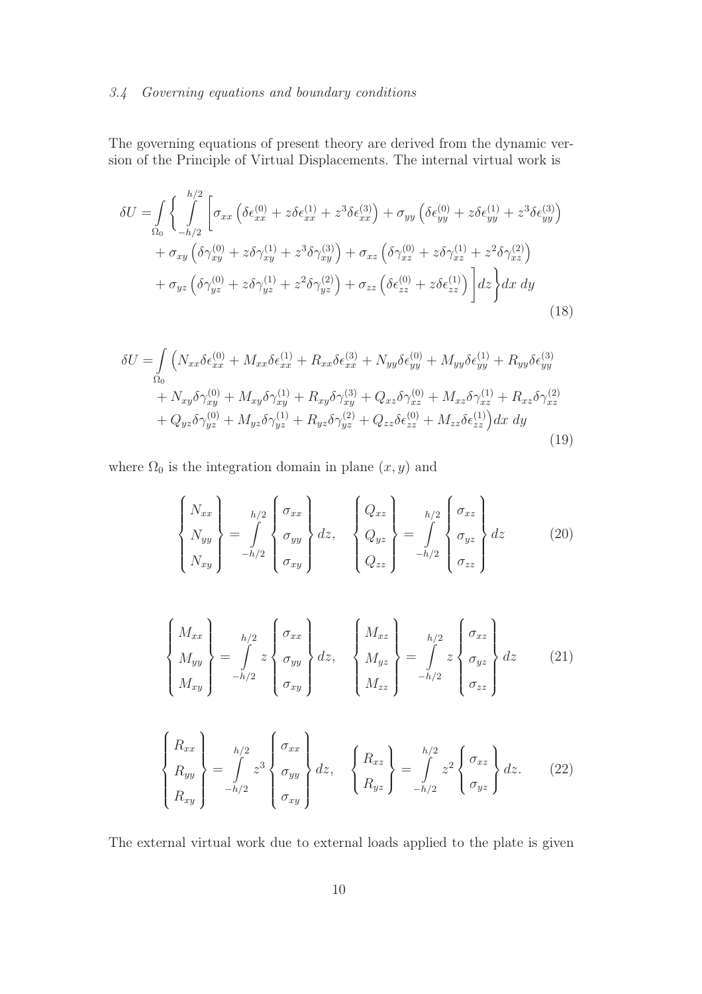# *3.4 Governing equations and boundary conditions*

The governing equations of present theory are derived from the dynamic version of the Principle of Virtual Displacements. The internal virtual work is

$$
\delta U = \int_{\Omega_{0}} \int_{-h/2}^{h/2} \left[ \sigma_{xx} \left( \delta \epsilon_{xx}^{(0)} + z \delta \epsilon_{xx}^{(1)} + z^{3} \delta \epsilon_{xx}^{(3)} \right) + \sigma_{yy} \left( \delta \epsilon_{yy}^{(0)} + z \delta \epsilon_{yy}^{(1)} + z^{3} \delta \epsilon_{yy}^{(3)} \right) \right] + \sigma_{xy} \left( \delta \gamma_{xy}^{(0)} + z \delta \gamma_{xy}^{(1)} + z^{3} \delta \gamma_{xy}^{(3)} \right) + \sigma_{xz} \left( \delta \gamma_{xz}^{(0)} + z \delta \gamma_{xz}^{(1)} + z^{2} \delta \gamma_{xz}^{(2)} \right) + \sigma_{yz} \left( \delta \gamma_{yz}^{(0)} + z \delta \gamma_{yz}^{(1)} + z^{2} \delta \gamma_{yz}^{(2)} \right) + \sigma_{zz} \left( \delta \epsilon_{zz}^{(0)} + z \delta \epsilon_{zz}^{(1)} \right) \left| dz \right\rangle dx dy
$$
\n(18)

$$
\delta U = \int_{\Omega_0} \left( N_{xx} \delta \epsilon_{xx}^{(0)} + M_{xx} \delta \epsilon_{xx}^{(1)} + R_{xx} \delta \epsilon_{xx}^{(3)} + N_{yy} \delta \epsilon_{yy}^{(0)} + M_{yy} \delta \epsilon_{yy}^{(1)} + R_{yy} \delta \epsilon_{yy}^{(3)} \right. \\
\left. + N_{xy} \delta \gamma_{xy}^{(0)} + M_{xy} \delta \gamma_{xy}^{(1)} + R_{xy} \delta \gamma_{xy}^{(3)} + Q_{xz} \delta \gamma_{xz}^{(0)} + M_{xz} \delta \gamma_{xz}^{(1)} + R_{xz} \delta \gamma_{xz}^{(2)} \right. \\
\left. + Q_{yz} \delta \gamma_{yz}^{(0)} + M_{yz} \delta \gamma_{yz}^{(1)} + R_{yz} \delta \gamma_{yz}^{(2)} + Q_{zz} \delta \epsilon_{zz}^{(0)} + M_{zz} \delta \epsilon_{zz}^{(1)} \right) dx \, dy \tag{19}
$$

where  $\Omega_0$  is the integration domain in plane  $(x, y)$  and

$$
\begin{Bmatrix}\nN_{xx} \\
N_{yy} \\
N_{xy}\n\end{Bmatrix} = \int_{-h/2}^{h/2} \begin{Bmatrix}\n\sigma_{xx} \\
\sigma_{yy} \\
\sigma_{xy}\n\end{Bmatrix} dz, \quad\n\begin{Bmatrix}\nQ_{xz} \\
Q_{yz} \\
Q_{zz}\n\end{Bmatrix} = \int_{-h/2}^{h/2} \begin{Bmatrix}\n\sigma_{xz} \\
\sigma_{yz} \\
\sigma_{zz}\n\end{Bmatrix} dz
$$
\n(20)

$$
\begin{Bmatrix}\nM_{xx} \\
M_{yy} \\
M_{xy}\n\end{Bmatrix} = \int_{-h/2}^{h/2} z \begin{Bmatrix} \sigma_{xx} \\ \sigma_{yy} \\ \sigma_{xy} \end{Bmatrix} dz, \quad\n\begin{Bmatrix} M_{xz} \\ M_{yz} \\ M_{zz} \end{Bmatrix} = \int_{-h/2}^{h/2} z \begin{Bmatrix} \sigma_{xz} \\ \sigma_{yz} \\ \sigma_{zz} \end{Bmatrix} dz \quad (21)
$$

$$
\begin{Bmatrix}\nR_{xx} \\
R_{yy} \\
R_{xy}\n\end{Bmatrix} = \int_{-h/2}^{h/2} z^3 \begin{Bmatrix}\n\sigma_{xx} \\
\sigma_{yy} \\
\sigma_{xy}\n\end{Bmatrix} dz, \quad\n\begin{Bmatrix}\nR_{xz} \\
R_{yz}\n\end{Bmatrix} = \int_{-h/2}^{h/2} z^2 \begin{Bmatrix}\n\sigma_{xz} \\
\sigma_{yz}\n\end{Bmatrix} dz.
$$
\n(22)

The external virtual work due to external loads applied to the plate is given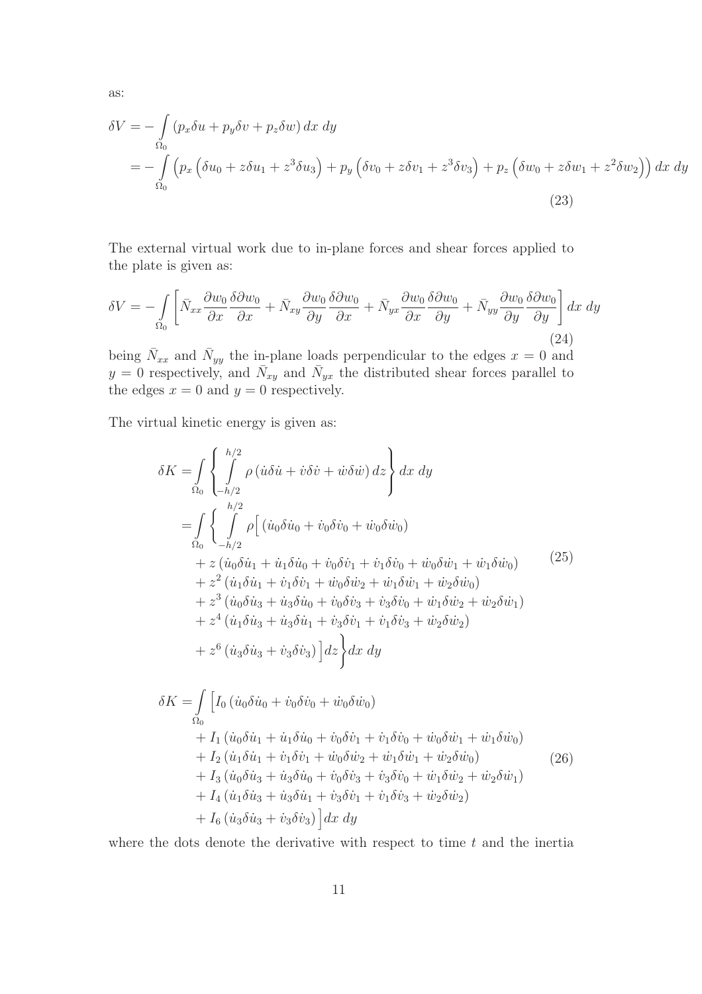as:

$$
\delta V = -\int_{\Omega_0} \left( p_x \delta u + p_y \delta v + p_z \delta w \right) dx dy
$$
  
= 
$$
-\int_{\Omega_0} \left( p_x \left( \delta u_0 + z \delta u_1 + z^3 \delta u_3 \right) + p_y \left( \delta v_0 + z \delta v_1 + z^3 \delta v_3 \right) + p_z \left( \delta w_0 + z \delta w_1 + z^2 \delta w_2 \right) \right) dx dy
$$
  
(23)

The external virtual work due to in-plane forces and shear forces applied to the plate is given as:

$$
\delta V = -\int_{\Omega_0} \left[ \bar{N}_{xx} \frac{\partial w_0}{\partial x} \frac{\delta \partial w_0}{\partial x} + \bar{N}_{xy} \frac{\partial w_0}{\partial y} \frac{\delta \partial w_0}{\partial x} + \bar{N}_{yx} \frac{\partial w_0}{\partial x} \frac{\delta \partial w_0}{\partial y} + \bar{N}_{yy} \frac{\partial w_0}{\partial y} \frac{\delta \partial w_0}{\partial y} \right] dx dy
$$
\n(24)

being  $\bar{N}_{xx}$  and  $\bar{N}_{yy}$  the in-plane loads perpendicular to the edges  $x = 0$  and  $y = 0$  respectively, and  $\bar{N}_{xy}$  and  $\bar{N}_{yx}$  the distributed shear forces parallel to the edges  $x = 0$  and  $y = 0$  respectively.

The virtual kinetic energy is given as:

$$
\delta K = \int_{\Omega_{0}} \left\{ \int_{-h/2}^{h/2} \rho \left( \dot{u} \delta \dot{u} + \dot{v} \delta \dot{v} + \dot{w} \delta \dot{w} \right) dz \right\} dx dy
$$
  
\n
$$
= \int_{\Omega_{0}} \left\{ \int_{-h/2}^{h/2} \rho \Big[ \left( \dot{u}_{0} \delta \dot{u}_{0} + \dot{v}_{0} \delta \dot{v}_{0} + \dot{w}_{0} \delta \dot{w}_{0} \right) \right. \\ \left. + z \left( \dot{u}_{0} \delta \dot{u}_{1} + \dot{u}_{1} \delta \dot{u}_{0} + \dot{v}_{0} \delta \dot{v}_{1} + \dot{v}_{1} \delta \dot{v}_{0} + \dot{w}_{0} \delta \dot{w}_{1} + \dot{w}_{1} \delta \dot{w}_{0} \right) \right. \\ \left. + z^{2} \left( \dot{u}_{1} \delta \dot{u}_{1} + \dot{v}_{1} \delta \dot{v}_{1} + \dot{w}_{0} \delta \dot{w}_{2} + \dot{w}_{1} \delta \dot{w}_{1} + \dot{w}_{2} \delta \dot{w}_{0} \right) \right. \\ \left. + z^{3} \left( \dot{u}_{0} \delta \dot{u}_{3} + \dot{u}_{3} \delta \dot{u}_{0} + \dot{v}_{0} \delta \dot{v}_{3} + \dot{v}_{3} \delta \dot{v}_{0} + \dot{w}_{1} \delta \dot{w}_{2} + \dot{w}_{2} \delta \dot{w}_{1} \right) \right. \\ \left. + z^{4} \left( \dot{u}_{1} \delta \dot{u}_{3} + \dot{u}_{3} \delta \dot{u}_{1} + \dot{v}_{3} \delta \dot{v}_{1} + \dot{v}_{1} \delta \dot{v}_{3} + \dot{w}_{2} \delta \dot{w}_{2} \right) \right. \\ \left. + z^{6} \left( \dot{u}_{3} \delta \dot{u}_{3} + \dot{v}_{3} \delta \dot{v}_{3} \right) \Big] dz \Bigg\} dx dy
$$
  
\n
$$
\delta K = \int_{\Omega_{0}} \Big[ I_{0} \left( \dot{u}_{0} \delta \dot{u}_{0} + \dot{v}_{0} \delta \dot{v}_{0} + \dot{w}_{0} \delta \dot
$$

where the dots denote the derivative with respect to time  $t$  and the inertia

 $+ I_6 \left( \dot{u}_3 \delta \dot{u}_3 + \dot{v}_3 \delta \dot{v}_3 \right) \Big] dx dy$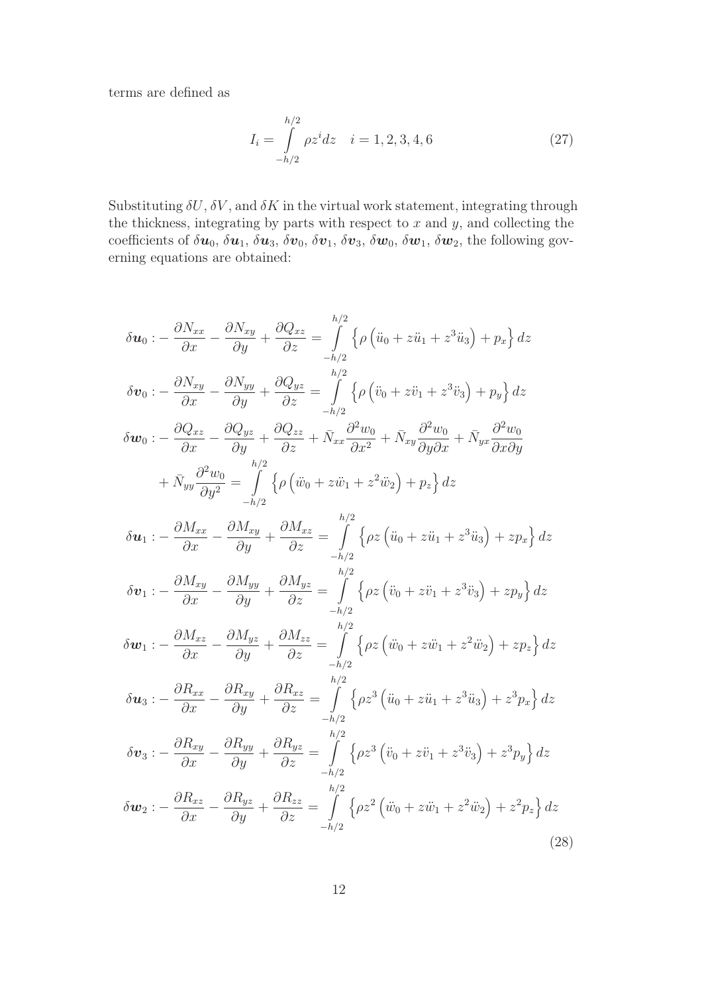terms are defined as

$$
I_i = \int_{-h/2}^{h/2} \rho z^i dz \quad i = 1, 2, 3, 4, 6
$$
 (27)

Substituting  $\delta U$ ,  $\delta V$ , and  $\delta K$  in the virtual work statement, integrating through the thickness, integrating by parts with respect to  $x$  and  $y$ , and collecting the coefficients of  $\delta u_0$ ,  $\delta u_1$ ,  $\delta u_3$ ,  $\delta v_0$ ,  $\delta v_1$ ,  $\delta v_3$ ,  $\delta w_0$ ,  $\delta w_1$ ,  $\delta w_2$ , the following governing equations are obtained:

$$
\delta u_0 := \frac{\partial N_{xx}}{\partial x} - \frac{\partial N_{xy}}{\partial y} + \frac{\partial Q_{xz}}{\partial z} = \int_{-h/2}^{h/2} \left\{ \rho \left( \ddot{u}_0 + z \ddot{u}_1 + z^3 \ddot{u}_3 \right) + p_x \right\} dz
$$
  
\n
$$
\delta v_0 := \frac{\partial N_{xy}}{\partial x} - \frac{\partial N_{yy}}{\partial y} + \frac{\partial Q_{yz}}{\partial z} = \int_{-h/2}^{h/2} \left\{ \rho \left( \ddot{v}_0 + z \ddot{v}_1 + z^3 \ddot{v}_3 \right) + p_y \right\} dz
$$
  
\n
$$
\delta w_0 := \frac{\partial Q_{xz}}{\partial x} - \frac{\partial Q_{yz}}{\partial y} + \frac{\partial Q_{zz}}{\partial z} + \bar{N}_{xx} \frac{\partial^2 w_0}{\partial x^2} + \bar{N}_{xy} \frac{\partial^2 w_0}{\partial y \partial x} + \bar{N}_{yx} \frac{\partial^2 w_0}{\partial x \partial y}
$$
  
\n
$$
+ \bar{N}_{yy} \frac{\partial^2 w_0}{\partial y^2} = \int_{-h/2}^{h/2} \left\{ \rho \left( \ddot{w}_0 + z \ddot{w}_1 + z^2 \ddot{w}_2 \right) + p_z \right\} dz
$$
  
\n
$$
\delta u_1 := \frac{\partial M_{xx}}{\partial x} - \frac{\partial M_{xy}}{\partial y} + \frac{\partial M_{xz}}{\partial z} = \int_{-h/2}^{h/2} \left\{ \rho z \left( \ddot{u}_0 + z \ddot{u}_1 + z^3 \ddot{u}_3 \right) + z p_x \right\} dz
$$
  
\n
$$
\delta v_1 := \frac{\partial M_{xy}}{\partial x} - \frac{\partial M_{yy}}{\partial y} + \frac{\partial M_{yz}}{\partial z} = \int_{-h/2}^{h/2} \left\{ \rho z \left( \ddot{v}_0 + z \ddot{v}_1 + z^3 \ddot{v}_3 \right) + z p_y \right\} dz
$$
  
\n
$$
\delta u_1 := \frac{\partial M_{xz}}{\partial x} - \frac{\partial M_{yz}}{\partial y} + \frac{\partial M_{zz}}{\partial z} = \int_{-h/2}^{h/2} \left\{ \rho z \left
$$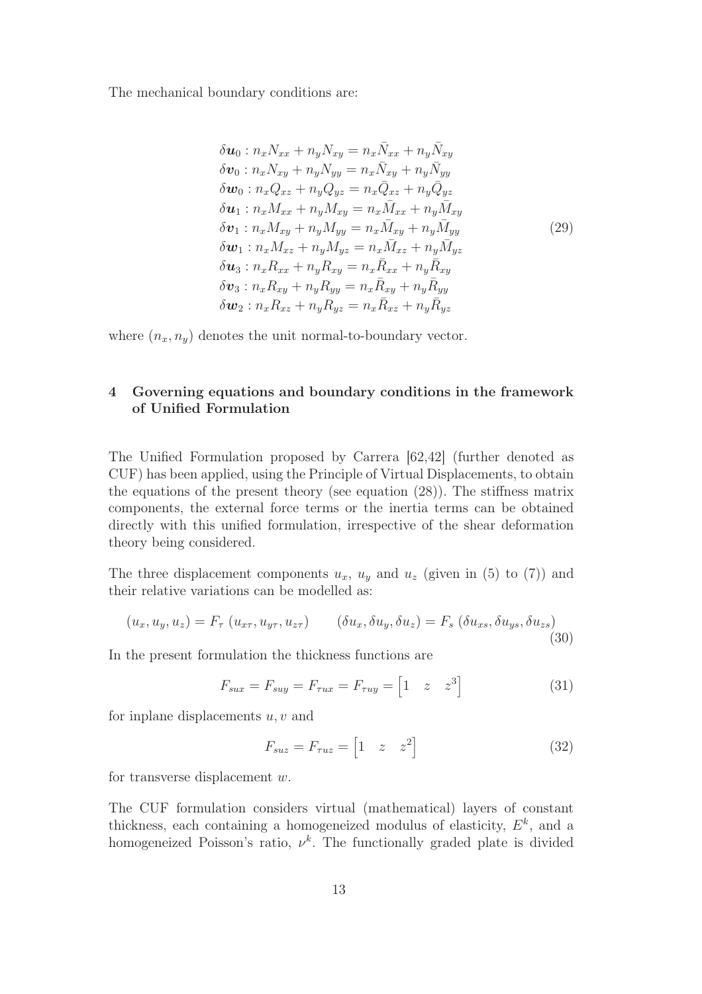The mechanical boundary conditions are:

$$
\delta u_0: n_x N_{xx} + n_y N_{xy} = n_x \bar{N}_{xx} + n_y \bar{N}_{xy}
$$
  
\n
$$
\delta v_0: n_x N_{xy} + n_y N_{yy} = n_x \bar{N}_{xy} + n_y \bar{N}_{yy}
$$
  
\n
$$
\delta w_0: n_x Q_{xz} + n_y Q_{yz} = n_x \bar{Q}_{xz} + n_y \bar{Q}_{yz}
$$
  
\n
$$
\delta u_1: n_x M_{xx} + n_y M_{xy} = n_x \bar{M}_{xx} + n_y \bar{M}_{xy}
$$
  
\n
$$
\delta v_1: n_x M_{xy} + n_y M_{yy} = n_x \bar{M}_{xy} + n_y \bar{M}_{yy}
$$
  
\n
$$
\delta u_1: n_x M_{xz} + n_y M_{yz} = n_x \bar{M}_{xz} + n_y \bar{M}_{yz}
$$
  
\n
$$
\delta u_3: n_x R_{xx} + n_y R_{xy} = n_x \bar{R}_{xx} + n_y \bar{R}_{xy}
$$
  
\n
$$
\delta v_3: n_x R_{xy} + n_y R_{yy} = n_x \bar{R}_{xy} + n_y \bar{R}_{yy}
$$
  
\n
$$
\delta w_2: n_x R_{xz} + n_y R_{yz} = n_x \bar{R}_{xz} + n_y \bar{R}_{yz}
$$

where  $(n_x, n_y)$  denotes the unit normal-to-boundary vector.

# 4 Governing equations and boundary conditions in the framework of Unified Formulation

The Unified Formulation proposed by Carrera [62,42] (further denoted as CUF) has been applied, using the Principle of Virtual Displacements, to obtain the equations of the present theory (see equation (28)). The stiffness matrix components, the external force terms or the inertia terms can be obtained directly with this unified formulation, irrespective of the shear deformation theory being considered.

The three displacement components  $u_x$ ,  $u_y$  and  $u_z$  (given in (5) to (7)) and their relative variations can be modelled as:

$$
(u_x, u_y, u_z) = F_\tau (u_{x\tau}, u_{y\tau}, u_{z\tau}) \qquad (\delta u_x, \delta u_y, \delta u_z) = F_s (\delta u_{xs}, \delta u_{ys}, \delta u_{zs})
$$
\n(30)

In the present formulation the thickness functions are

$$
F_{sux} = F_{suy} = F_{\tau ux} = F_{\tau uy} = \begin{bmatrix} 1 & z & z^3 \end{bmatrix}
$$
 (31)

for inplane displacements  $u, v$  and

$$
F_{suz} = F_{\tau uz} = \begin{bmatrix} 1 & z & z^2 \end{bmatrix} \tag{32}
$$

for transverse displacement w.

The CUF formulation considers virtual (mathematical) layers of constant thickness, each containing a homogeneized modulus of elasticity,  $E^k$ , and a homogeneized Poisson's ratio,  $\nu^k$ . The functionally graded plate is divided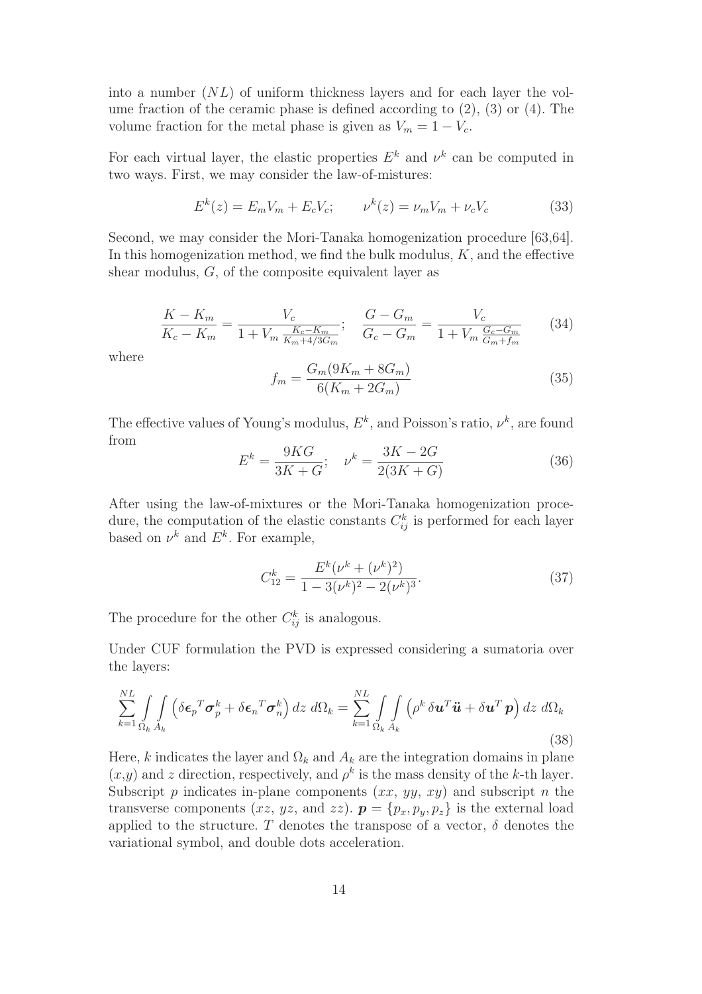into a number  $(NL)$  of uniform thickness layers and for each layer the volume fraction of the ceramic phase is defined according to (2), (3) or (4). The volume fraction for the metal phase is given as  $V_m = 1 - V_c$ .

For each virtual layer, the elastic properties  $E^k$  and  $\nu^k$  can be computed in two ways. First, we may consider the law-of-mistures:

$$
E^{k}(z) = E_{m}V_{m} + E_{c}V_{c}; \qquad \nu^{k}(z) = \nu_{m}V_{m} + \nu_{c}V_{c}
$$
 (33)

Second, we may consider the Mori-Tanaka homogenization procedure [63,64]. In this homogenization method, we find the bulk modulus,  $K$ , and the effective shear modulus, G, of the composite equivalent layer as

$$
\frac{K - K_m}{K_c - K_m} = \frac{V_c}{1 + V_m \frac{K_c - K_m}{K_m + 4/3G_m}}; \quad \frac{G - G_m}{G_c - G_m} = \frac{V_c}{1 + V_m \frac{G_c - G_m}{G_m + f_m}} \tag{34}
$$

where

$$
f_m = \frac{G_m(9K_m + 8G_m)}{6(K_m + 2G_m)}
$$
(35)

The effective values of Young's modulus,  $E^k$ , and Poisson's ratio,  $\nu^k$ , are found from

$$
E^{k} = \frac{9KG}{3K + G}; \quad \nu^{k} = \frac{3K - 2G}{2(3K + G)}
$$
(36)

After using the law-of-mixtures or the Mori-Tanaka homogenization procedure, the computation of the elastic constants  $C_{ij}^k$  is performed for each layer based on  $\nu^k$  and  $E^k$ . For example,

$$
C_{12}^{k} = \frac{E^{k}(\nu^{k} + (\nu^{k})^{2})}{1 - 3(\nu^{k})^{2} - 2(\nu^{k})^{3}}.
$$
\n(37)

The procedure for the other  $C_{ij}^k$  is analogous.

Under CUF formulation the PVD is expressed considering a sumatoria over the layers:

$$
\sum_{k=1}^{NL} \int_{\Omega_k} \int_{A_k} \left( \delta \boldsymbol{\epsilon}_p^T \boldsymbol{\sigma}_p^k + \delta \boldsymbol{\epsilon}_n^T \boldsymbol{\sigma}_n^k \right) dz \ d\Omega_k = \sum_{k=1}^{NL} \int_{\Omega_k} \int_{A_k} \left( \rho^k \delta \boldsymbol{u}^T \ddot{\boldsymbol{u}} + \delta \boldsymbol{u}^T \boldsymbol{p} \right) dz \ d\Omega_k
$$
\n(38)

Here, k indicates the layer and  $\Omega_k$  and  $A_k$  are the integration domains in plane  $(x,y)$  and z direction, respectively, and  $\rho^k$  is the mass density of the k-th layer. Subscript  $p$  indicates in-plane components  $(xx, yy, xy)$  and subscript  $n$  the transverse components (xz, yz, and zz).  $\mathbf{p} = \{p_x, p_y, p_z\}$  is the external load applied to the structure. T denotes the transpose of a vector,  $\delta$  denotes the variational symbol, and double dots acceleration.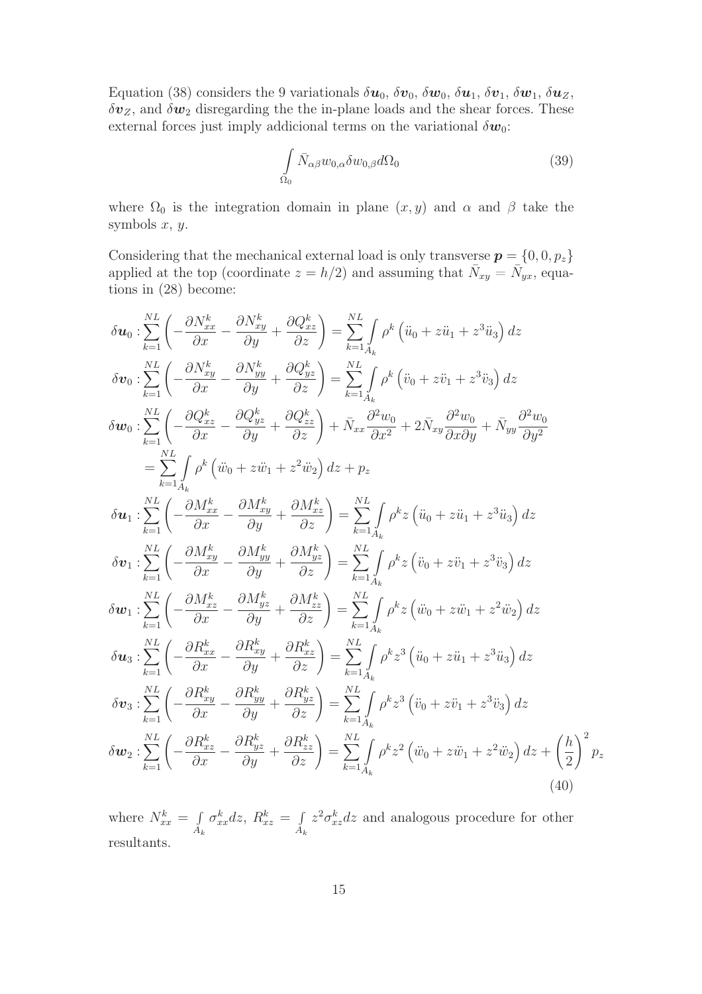Equation (38) considers the 9 variationals  $\delta u_0$ ,  $\delta v_0$ ,  $\delta w_0$ ,  $\delta u_1$ ,  $\delta v_1$ ,  $\delta w_1$ ,  $\delta u_2$ ,  $\delta v_z$ , and  $\delta w_2$  disregarding the the in-plane loads and the shear forces. These external forces just imply addicional terms on the variational  $\delta w_0$ :

$$
\int_{\Omega_0} \bar{N}_{\alpha\beta} w_{0,\alpha} \delta w_{0,\beta} d\Omega_0 \tag{39}
$$

where  $\Omega_0$  is the integration domain in plane  $(x, y)$  and  $\alpha$  and  $\beta$  take the symbols  $x, y$ .

Considering that the mechanical external load is only transverse  $p = \{0, 0, p_z\}$ applied at the top (coordinate  $z = h/2$ ) and assuming that  $\bar{N}_{xy} = \bar{N}_{yx}$ , equations in (28) become:

$$
\delta u_{0} : \sum_{k=1}^{NL} \left( -\frac{\partial N_{xx}^{k}}{\partial x} - \frac{\partial N_{xy}^{k}}{\partial y} + \frac{\partial Q_{xz}^{k}}{\partial z} \right) = \sum_{k=1}^{NL} \int_{A} \rho^{k} \left( \ddot{u}_{0} + z\ddot{u}_{1} + z^{3} \ddot{u}_{3} \right) dz
$$
\n
$$
\delta v_{0} : \sum_{k=1}^{NL} \left( -\frac{\partial N_{xy}^{k}}{\partial x} - \frac{\partial N_{yy}^{k}}{\partial y} + \frac{\partial Q_{yz}^{k}}{\partial z} \right) = \sum_{k=1}^{NL} \int_{A} \rho^{k} \left( \ddot{v}_{0} + z\ddot{v}_{1} + z^{3} \ddot{v}_{3} \right) dz
$$
\n
$$
\delta w_{0} : \sum_{k=1}^{NL} \left( -\frac{\partial Q_{xz}^{k}}{\partial x} - \frac{\partial Q_{yz}^{k}}{\partial y} + \frac{\partial Q_{zz}^{k}}{\partial z} \right) + \bar{N}_{xx} \frac{\partial^{2} w_{0}}{\partial x^{2}} + 2\bar{N}_{xy} \frac{\partial^{2} w_{0}}{\partial x \partial y} + \bar{N}_{yy} \frac{\partial^{2} w_{0}}{\partial y^{2}}
$$
\n
$$
= \sum_{k=1}^{NL} \int_{A_{k}} \rho^{k} \left( \ddot{w}_{0} + z\ddot{w}_{1} + z^{2} \ddot{w}_{2} \right) dz + p_{z}
$$
\n
$$
\delta u_{1} : \sum_{k=1}^{NL} \left( -\frac{\partial M_{xx}^{k}}{\partial x} - \frac{\partial M_{yy}^{k}}{\partial y} + \frac{\partial M_{yz}^{k}}{\partial z} \right) = \sum_{k=1}^{NL} \int_{A_{k}} \rho^{k} z \left( \ddot{u}_{0} + z\ddot{u}_{1} + z^{3} \ddot{u}_{3} \right) dz
$$
\n
$$
\delta v_{1} : \sum_{k=1}^{NL} \left( -\frac{\partial M_{xy}^{k}}{\partial x} - \frac{\partial M_{yy}^{k}}{\partial y} + \frac{\partial M_{yz}^{k}}{\partial z} \right) = \sum_{k=1}^{NL} \int_{A_{k}} \rho^{k} z \left( \ddot{v}_{0} + z
$$

where  $N_{xx}^k = \int$  $A_k$  $\sigma_{xx}^k dz, R_{xz}^k = \int$  $A_k$  $z^2 \sigma_{xz}^k dz$  and analogous procedure for other resultants.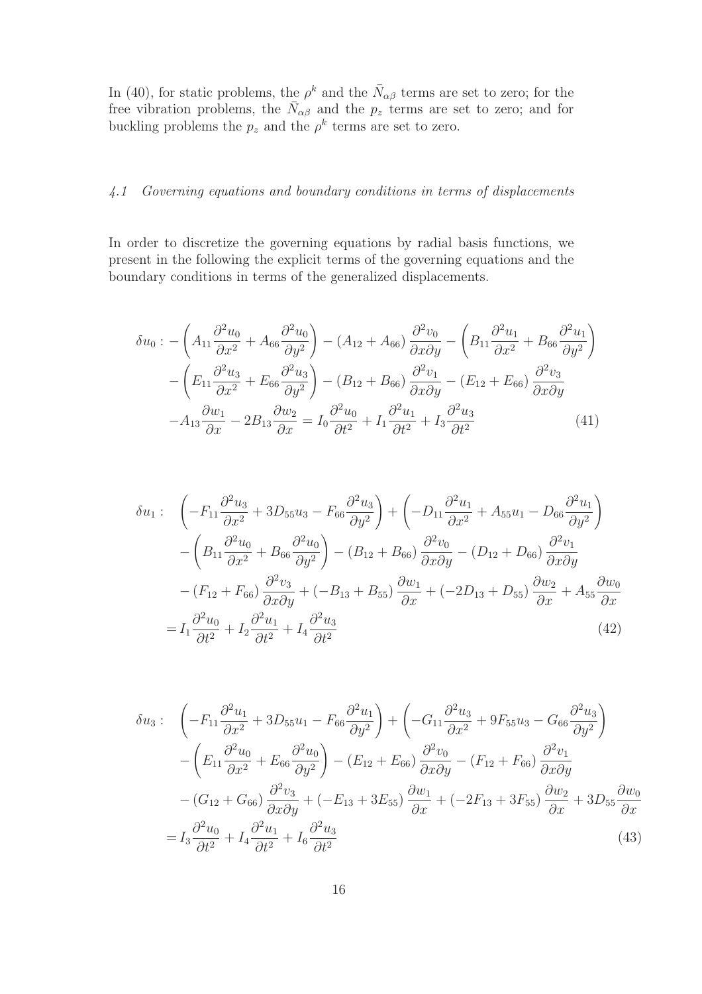In (40), for static problems, the  $\rho^k$  and the  $\bar{N}_{\alpha\beta}$  terms are set to zero; for the free vibration problems, the  $\bar{N}_{\alpha\beta}$  and the  $p_z$  terms are set to zero; and for buckling problems the  $p_z$  and the  $\rho^k$  terms are set to zero.

#### *4.1 Governing equations and boundary conditions in terms of displacements*

In order to discretize the governing equations by radial basis functions, we present in the following the explicit terms of the governing equations and the boundary conditions in terms of the generalized displacements.

$$
\delta u_0 := \left( A_{11} \frac{\partial^2 u_0}{\partial x^2} + A_{66} \frac{\partial^2 u_0}{\partial y^2} \right) - (A_{12} + A_{66}) \frac{\partial^2 v_0}{\partial x \partial y} - \left( B_{11} \frac{\partial^2 u_1}{\partial x^2} + B_{66} \frac{\partial^2 u_1}{\partial y^2} \right) \n- \left( E_{11} \frac{\partial^2 u_3}{\partial x^2} + E_{66} \frac{\partial^2 u_3}{\partial y^2} \right) - (B_{12} + B_{66}) \frac{\partial^2 v_1}{\partial x \partial y} - (E_{12} + E_{66}) \frac{\partial^2 v_3}{\partial x \partial y} \n- A_{13} \frac{\partial w_1}{\partial x} - 2B_{13} \frac{\partial w_2}{\partial x} = I_0 \frac{\partial^2 u_0}{\partial t^2} + I_1 \frac{\partial^2 u_1}{\partial t^2} + I_3 \frac{\partial^2 u_3}{\partial t^2}
$$
\n(41)

$$
\delta u_1: \quad \left(-F_{11}\frac{\partial^2 u_3}{\partial x^2} + 3D_{55}u_3 - F_{66}\frac{\partial^2 u_3}{\partial y^2}\right) + \left(-D_{11}\frac{\partial^2 u_1}{\partial x^2} + A_{55}u_1 - D_{66}\frac{\partial^2 u_1}{\partial y^2}\right) \n- \left(B_{11}\frac{\partial^2 u_0}{\partial x^2} + B_{66}\frac{\partial^2 u_0}{\partial y^2}\right) - (B_{12} + B_{66})\frac{\partial^2 v_0}{\partial x \partial y} - (D_{12} + D_{66})\frac{\partial^2 v_1}{\partial x \partial y} \n- (F_{12} + F_{66})\frac{\partial^2 v_3}{\partial x \partial y} + (-B_{13} + B_{55})\frac{\partial w_1}{\partial x} + (-2D_{13} + D_{55})\frac{\partial w_2}{\partial x} + A_{55}\frac{\partial w_0}{\partial x} \n= I_1\frac{\partial^2 u_0}{\partial t^2} + I_2\frac{\partial^2 u_1}{\partial t^2} + I_4\frac{\partial^2 u_3}{\partial t^2}
$$
\n(42)

$$
\delta u_3: \quad \left(-F_{11}\frac{\partial^2 u_1}{\partial x^2} + 3D_{55}u_1 - F_{66}\frac{\partial^2 u_1}{\partial y^2}\right) + \left(-G_{11}\frac{\partial^2 u_3}{\partial x^2} + 9F_{55}u_3 - G_{66}\frac{\partial^2 u_3}{\partial y^2}\right) \n- \left(F_{11}\frac{\partial^2 u_0}{\partial x^2} + E_{66}\frac{\partial^2 u_0}{\partial y^2}\right) - \left(F_{12} + E_{66}\right)\frac{\partial^2 v_0}{\partial x \partial y} - \left(F_{12} + F_{66}\right)\frac{\partial^2 v_1}{\partial x \partial y} \n- \left(G_{12} + G_{66}\right)\frac{\partial^2 v_3}{\partial x \partial y} + \left(-E_{13} + 3E_{55}\right)\frac{\partial w_1}{\partial x} + \left(-2F_{13} + 3F_{55}\right)\frac{\partial w_2}{\partial x} + 3D_{55}\frac{\partial w_0}{\partial x} \n= I_3\frac{\partial^2 u_0}{\partial t^2} + I_4\frac{\partial^2 u_1}{\partial t^2} + I_6\frac{\partial^2 u_3}{\partial t^2}
$$
\n(43)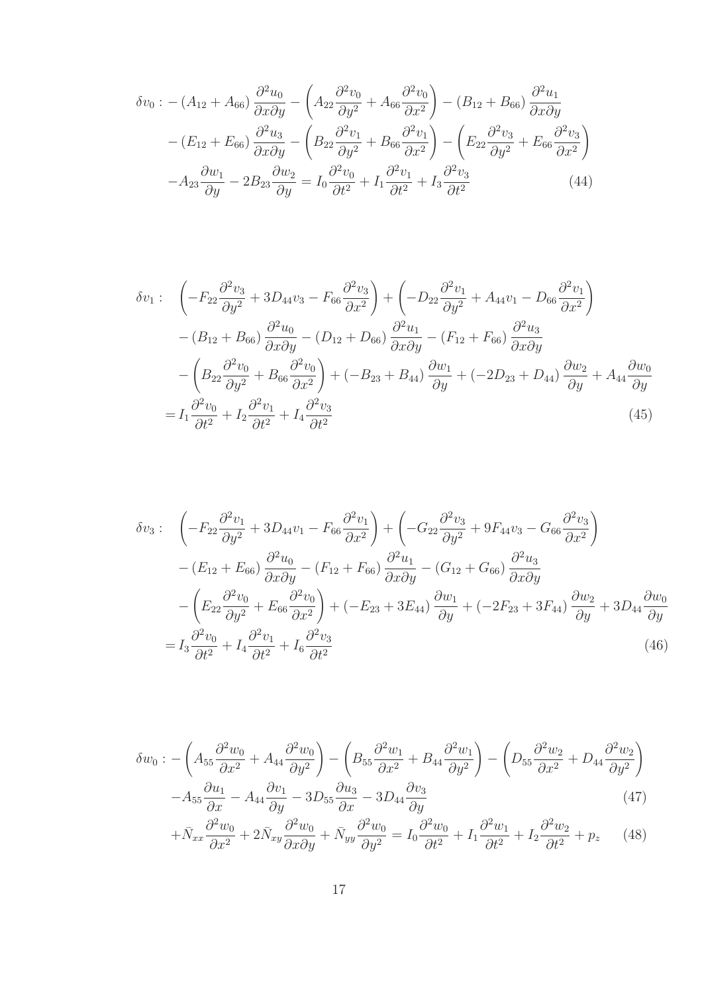$$
\delta v_0 : - (A_{12} + A_{66}) \frac{\partial^2 u_0}{\partial x \partial y} - \left( A_{22} \frac{\partial^2 v_0}{\partial y^2} + A_{66} \frac{\partial^2 v_0}{\partial x^2} \right) - (B_{12} + B_{66}) \frac{\partial^2 u_1}{\partial x \partial y}
$$

$$
- (E_{12} + E_{66}) \frac{\partial^2 u_3}{\partial x \partial y} - \left( B_{22} \frac{\partial^2 v_1}{\partial y^2} + B_{66} \frac{\partial^2 v_1}{\partial x^2} \right) - \left( E_{22} \frac{\partial^2 v_3}{\partial y^2} + E_{66} \frac{\partial^2 v_3}{\partial x^2} \right)
$$

$$
- A_{23} \frac{\partial w_1}{\partial y} - 2 B_{23} \frac{\partial w_2}{\partial y} = I_0 \frac{\partial^2 v_0}{\partial t^2} + I_1 \frac{\partial^2 v_1}{\partial t^2} + I_3 \frac{\partial^2 v_3}{\partial t^2}
$$
(44)

$$
\delta v_1: \quad \left(-F_{22}\frac{\partial^2 v_3}{\partial y^2} + 3D_{44}v_3 - F_{66}\frac{\partial^2 v_3}{\partial x^2}\right) + \left(-D_{22}\frac{\partial^2 v_1}{\partial y^2} + A_{44}v_1 - D_{66}\frac{\partial^2 v_1}{\partial x^2}\right) \n- (B_{12} + B_{66})\frac{\partial^2 u_0}{\partial x \partial y} - (D_{12} + D_{66})\frac{\partial^2 u_1}{\partial x \partial y} - (F_{12} + F_{66})\frac{\partial^2 u_3}{\partial x \partial y} \n- \left(B_{22}\frac{\partial^2 v_0}{\partial y^2} + B_{66}\frac{\partial^2 v_0}{\partial x^2}\right) + (-B_{23} + B_{44})\frac{\partial w_1}{\partial y} + (-2D_{23} + D_{44})\frac{\partial w_2}{\partial y} + A_{44}\frac{\partial w_0}{\partial y} \n= I_1\frac{\partial^2 v_0}{\partial t^2} + I_2\frac{\partial^2 v_1}{\partial t^2} + I_4\frac{\partial^2 v_3}{\partial t^2}
$$
\n(45)

$$
\delta v_3: \quad \left(-F_{22}\frac{\partial^2 v_1}{\partial y^2} + 3D_{44}v_1 - F_{66}\frac{\partial^2 v_1}{\partial x^2}\right) + \left(-G_{22}\frac{\partial^2 v_3}{\partial y^2} + 9F_{44}v_3 - G_{66}\frac{\partial^2 v_3}{\partial x^2}\right) \n- (E_{12} + E_{66})\frac{\partial^2 u_0}{\partial x \partial y} - (F_{12} + F_{66})\frac{\partial^2 u_1}{\partial x \partial y} - (G_{12} + G_{66})\frac{\partial^2 u_3}{\partial x \partial y} \n- \left(E_{22}\frac{\partial^2 v_0}{\partial y^2} + E_{66}\frac{\partial^2 v_0}{\partial x^2}\right) + (-E_{23} + 3E_{44})\frac{\partial w_1}{\partial y} + (-2F_{23} + 3F_{44})\frac{\partial w_2}{\partial y} + 3D_{44}\frac{\partial w_0}{\partial y} \n= I_3\frac{\partial^2 v_0}{\partial t^2} + I_4\frac{\partial^2 v_1}{\partial t^2} + I_6\frac{\partial^2 v_3}{\partial t^2}
$$
\n(46)

$$
\delta w_0 : -\left(A_{55} \frac{\partial^2 w_0}{\partial x^2} + A_{44} \frac{\partial^2 w_0}{\partial y^2}\right) - \left(B_{55} \frac{\partial^2 w_1}{\partial x^2} + B_{44} \frac{\partial^2 w_1}{\partial y^2}\right) - \left(D_{55} \frac{\partial^2 w_2}{\partial x^2} + D_{44} \frac{\partial^2 w_2}{\partial y^2}\right) - A_{55} \frac{\partial u_1}{\partial x} - A_{44} \frac{\partial v_1}{\partial y} - 3D_{55} \frac{\partial u_3}{\partial x} - 3D_{44} \frac{\partial v_3}{\partial y}
$$
(47)

$$
+\bar{N}_{xx}\frac{\partial^2 w_0}{\partial x^2} + 2\bar{N}_{xy}\frac{\partial^2 w_0}{\partial x \partial y} + \bar{N}_{yy}\frac{\partial^2 w_0}{\partial y^2} = I_0\frac{\partial^2 w_0}{\partial t^2} + I_1\frac{\partial^2 w_1}{\partial t^2} + I_2\frac{\partial^2 w_2}{\partial t^2} + p_z \tag{48}
$$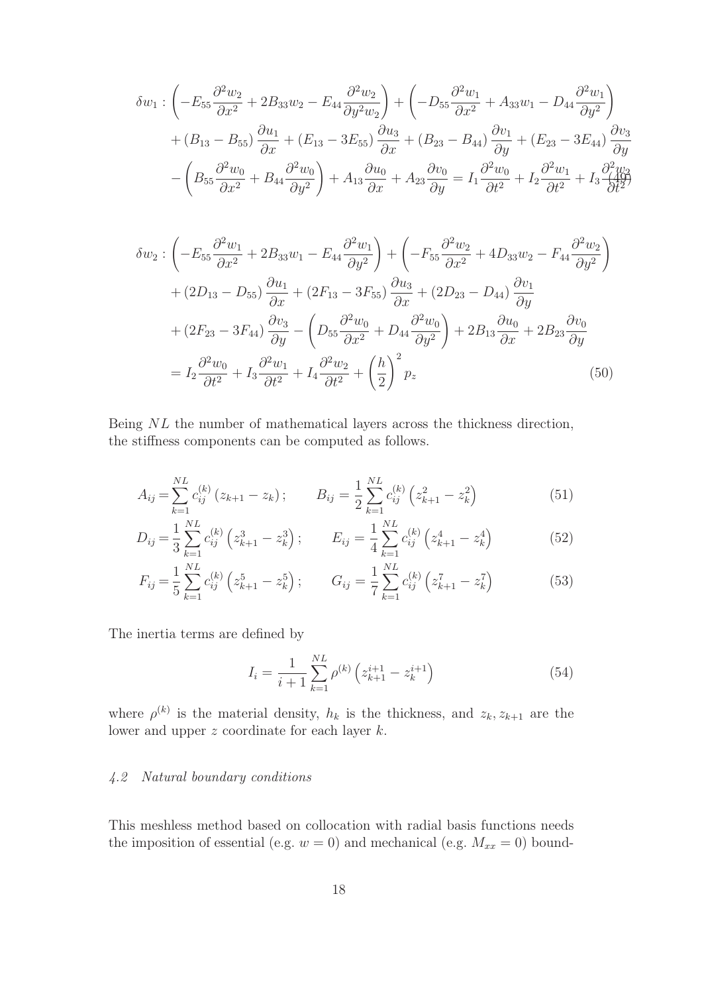$$
\delta w_1 : \left(-E_{55} \frac{\partial^2 w_2}{\partial x^2} + 2B_{33}w_2 - E_{44} \frac{\partial^2 w_2}{\partial y^2 w_2}\right) + \left(-D_{55} \frac{\partial^2 w_1}{\partial x^2} + A_{33}w_1 - D_{44} \frac{\partial^2 w_1}{\partial y^2}\right) + (B_{13} - B_{55}) \frac{\partial u_1}{\partial x} + (E_{13} - 3E_{55}) \frac{\partial u_3}{\partial x} + (B_{23} - B_{44}) \frac{\partial v_1}{\partial y} + (E_{23} - 3E_{44}) \frac{\partial v_3}{\partial y} - \left(B_{55} \frac{\partial^2 w_0}{\partial x^2} + B_{44} \frac{\partial^2 w_0}{\partial y^2}\right) + A_{13} \frac{\partial u_0}{\partial x} + A_{23} \frac{\partial v_0}{\partial y} = I_1 \frac{\partial^2 w_0}{\partial t^2} + I_2 \frac{\partial^2 w_1}{\partial t^2} + I_3 \frac{\partial^2 w_2}{\partial t^2}
$$

$$
\delta w_2 : \left( -E_{55} \frac{\partial^2 w_1}{\partial x^2} + 2B_{33} w_1 - E_{44} \frac{\partial^2 w_1}{\partial y^2} \right) + \left( -F_{55} \frac{\partial^2 w_2}{\partial x^2} + 4D_{33} w_2 - F_{44} \frac{\partial^2 w_2}{\partial y^2} \right)
$$

$$
+ (2D_{13} - D_{55}) \frac{\partial u_1}{\partial x} + (2F_{13} - 3F_{55}) \frac{\partial u_3}{\partial x} + (2D_{23} - D_{44}) \frac{\partial v_1}{\partial y}
$$

$$
+ (2F_{23} - 3F_{44}) \frac{\partial v_3}{\partial y} - \left( D_{55} \frac{\partial^2 w_0}{\partial x^2} + D_{44} \frac{\partial^2 w_0}{\partial y^2} \right) + 2B_{13} \frac{\partial u_0}{\partial x} + 2B_{23} \frac{\partial v_0}{\partial y}
$$

$$
= I_2 \frac{\partial^2 w_0}{\partial t^2} + I_3 \frac{\partial^2 w_1}{\partial t^2} + I_4 \frac{\partial^2 w_2}{\partial t^2} + \left( \frac{h}{2} \right)^2 p_z \tag{50}
$$

Being NL the number of mathematical layers across the thickness direction, the stiffness components can be computed as follows.

$$
A_{ij} = \sum_{k=1}^{NL} c_{ij}^{(k)} (z_{k+1} - z_k); \qquad B_{ij} = \frac{1}{2} \sum_{k=1}^{NL} c_{ij}^{(k)} (z_{k+1}^2 - z_k^2)
$$
(51)

$$
D_{ij} = \frac{1}{3} \sum_{k=1}^{NL} c_{ij}^{(k)} \left( z_{k+1}^3 - z_k^3 \right); \qquad E_{ij} = \frac{1}{4} \sum_{k=1}^{NL} c_{ij}^{(k)} \left( z_{k+1}^4 - z_k^4 \right) \tag{52}
$$

$$
F_{ij} = \frac{1}{5} \sum_{k=1}^{NL} c_{ij}^{(k)} \left( z_{k+1}^5 - z_k^5 \right); \qquad G_{ij} = \frac{1}{7} \sum_{k=1}^{NL} c_{ij}^{(k)} \left( z_{k+1}^7 - z_k^7 \right) \tag{53}
$$

The inertia terms are defined by

$$
I_i = \frac{1}{i+1} \sum_{k=1}^{NL} \rho^{(k)} \left( z_{k+1}^{i+1} - z_k^{i+1} \right) \tag{54}
$$

where  $\rho^{(k)}$  is the material density,  $h_k$  is the thickness, and  $z_k, z_{k+1}$  are the lower and upper z coordinate for each layer k.

# *4.2 Natural boundary conditions*

This meshless method based on collocation with radial basis functions needs the imposition of essential (e.g.  $w = 0$ ) and mechanical (e.g.  $M_{xx} = 0$ ) bound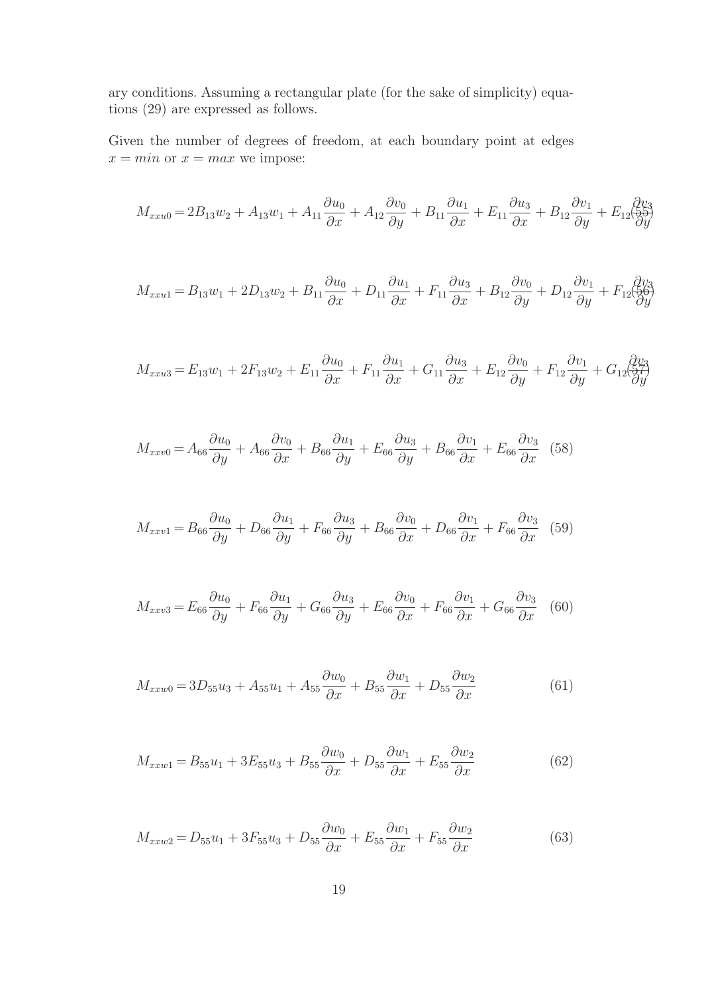ary conditions. Assuming a rectangular plate (for the sake of simplicity) equations (29) are expressed as follows.

Given the number of degrees of freedom, at each boundary point at edges  $x = min$  or  $x = max$  we impose:

$$
M_{xxu0} = 2B_{13}w_2 + A_{13}w_1 + A_{11}\frac{\partial u_0}{\partial x} + A_{12}\frac{\partial v_0}{\partial y} + B_{11}\frac{\partial u_1}{\partial x} + E_{11}\frac{\partial u_3}{\partial x} + B_{12}\frac{\partial v_1}{\partial y} + E_{12}\frac{\partial v_3}{\partial y}
$$

$$
M_{xxu1} = B_{13}w_1 + 2D_{13}w_2 + B_{11}\frac{\partial u_0}{\partial x} + D_{11}\frac{\partial u_1}{\partial x} + F_{11}\frac{\partial u_3}{\partial x} + B_{12}\frac{\partial v_0}{\partial y} + D_{12}\frac{\partial v_1}{\partial y} + F_{12}\frac{\partial v_3}{\partial y}
$$

$$
M_{xxu3} = E_{13}w_1 + 2F_{13}w_2 + E_{11}\frac{\partial u_0}{\partial x} + F_{11}\frac{\partial u_1}{\partial x} + G_{11}\frac{\partial u_3}{\partial x} + E_{12}\frac{\partial v_0}{\partial y} + F_{12}\frac{\partial v_1}{\partial y} + G_{12}\frac{\partial v_3}{\partial y^2}
$$

$$
M_{xxv0} = A_{66}\frac{\partial u_0}{\partial y} + A_{66}\frac{\partial v_0}{\partial x} + B_{66}\frac{\partial u_1}{\partial y} + E_{66}\frac{\partial u_3}{\partial y} + B_{66}\frac{\partial v_1}{\partial x} + E_{66}\frac{\partial v_3}{\partial x} \tag{58}
$$

$$
M_{xxv1} = B_{66} \frac{\partial u_0}{\partial y} + D_{66} \frac{\partial u_1}{\partial y} + F_{66} \frac{\partial u_3}{\partial y} + B_{66} \frac{\partial v_0}{\partial x} + D_{66} \frac{\partial v_1}{\partial x} + F_{66} \frac{\partial v_3}{\partial x} \tag{59}
$$

$$
M_{xxv3} = E_{66} \frac{\partial u_0}{\partial y} + F_{66} \frac{\partial u_1}{\partial y} + G_{66} \frac{\partial u_3}{\partial y} + E_{66} \frac{\partial v_0}{\partial x} + F_{66} \frac{\partial v_1}{\partial x} + G_{66} \frac{\partial v_3}{\partial x} \tag{60}
$$

$$
M_{xxw0} = 3D_{55}u_3 + A_{55}u_1 + A_{55}\frac{\partial w_0}{\partial x} + B_{55}\frac{\partial w_1}{\partial x} + D_{55}\frac{\partial w_2}{\partial x}
$$
(61)

$$
M_{xxw1} = B_{55}u_1 + 3E_{55}u_3 + B_{55}\frac{\partial w_0}{\partial x} + D_{55}\frac{\partial w_1}{\partial x} + E_{55}\frac{\partial w_2}{\partial x}
$$
(62)

$$
M_{xxw2} = D_{55}u_1 + 3F_{55}u_3 + D_{55}\frac{\partial w_0}{\partial x} + E_{55}\frac{\partial w_1}{\partial x} + F_{55}\frac{\partial w_2}{\partial x}
$$
(63)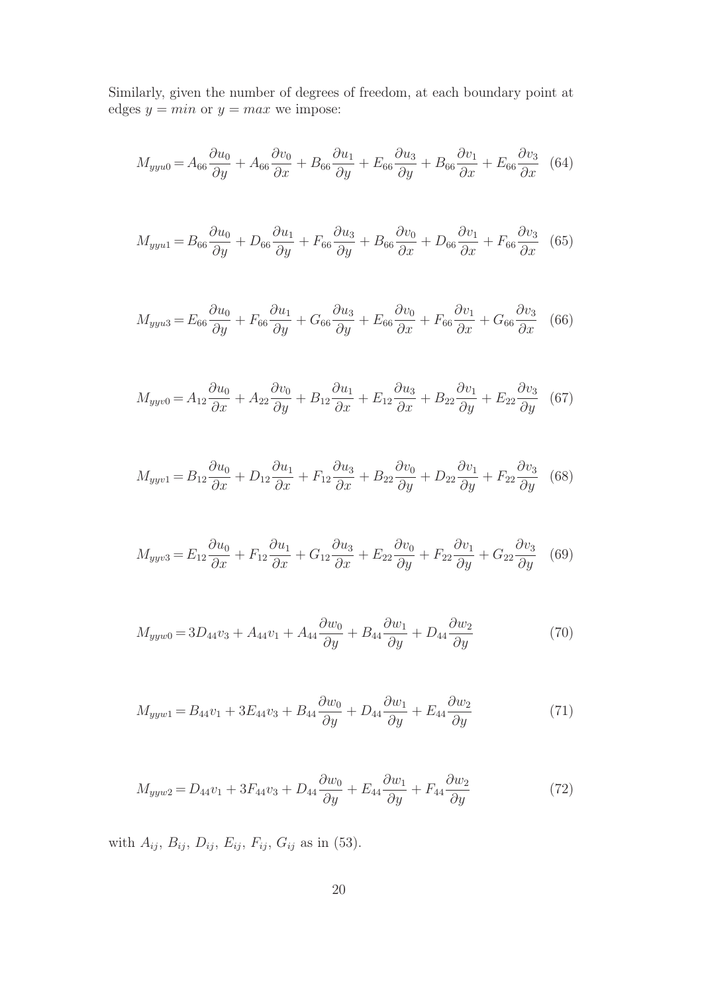Similarly, given the number of degrees of freedom, at each boundary point at edges  $y = min$  or  $y = max$  we impose:

$$
M_{yyu0} = A_{66}\frac{\partial u_0}{\partial y} + A_{66}\frac{\partial v_0}{\partial x} + B_{66}\frac{\partial u_1}{\partial y} + E_{66}\frac{\partial u_3}{\partial y} + B_{66}\frac{\partial v_1}{\partial x} + E_{66}\frac{\partial v_3}{\partial x} \tag{64}
$$

$$
M_{yyu1} = B_{66} \frac{\partial u_0}{\partial y} + D_{66} \frac{\partial u_1}{\partial y} + F_{66} \frac{\partial u_3}{\partial y} + B_{66} \frac{\partial v_0}{\partial x} + D_{66} \frac{\partial v_1}{\partial x} + F_{66} \frac{\partial v_3}{\partial x} \tag{65}
$$

$$
M_{yyu3} = E_{66}\frac{\partial u_0}{\partial y} + F_{66}\frac{\partial u_1}{\partial y} + G_{66}\frac{\partial u_3}{\partial y} + E_{66}\frac{\partial v_0}{\partial x} + F_{66}\frac{\partial v_1}{\partial x} + G_{66}\frac{\partial v_3}{\partial x} \tag{66}
$$

$$
M_{yyv0} = A_{12}\frac{\partial u_0}{\partial x} + A_{22}\frac{\partial v_0}{\partial y} + B_{12}\frac{\partial u_1}{\partial x} + E_{12}\frac{\partial u_3}{\partial x} + B_{22}\frac{\partial v_1}{\partial y} + E_{22}\frac{\partial v_3}{\partial y} \tag{67}
$$

$$
M_{yyv1} = B_{12}\frac{\partial u_0}{\partial x} + D_{12}\frac{\partial u_1}{\partial x} + F_{12}\frac{\partial u_3}{\partial x} + B_{22}\frac{\partial v_0}{\partial y} + D_{22}\frac{\partial v_1}{\partial y} + F_{22}\frac{\partial v_3}{\partial y} \tag{68}
$$

$$
M_{yyv3} = E_{12}\frac{\partial u_0}{\partial x} + F_{12}\frac{\partial u_1}{\partial x} + G_{12}\frac{\partial u_3}{\partial x} + E_{22}\frac{\partial v_0}{\partial y} + F_{22}\frac{\partial v_1}{\partial y} + G_{22}\frac{\partial v_3}{\partial y} \tag{69}
$$

$$
M_{yyw0} = 3D_{44}v_3 + A_{44}v_1 + A_{44}\frac{\partial w_0}{\partial y} + B_{44}\frac{\partial w_1}{\partial y} + D_{44}\frac{\partial w_2}{\partial y}
$$
(70)

$$
M_{yyw1} = B_{44}v_1 + 3E_{44}v_3 + B_{44}\frac{\partial w_0}{\partial y} + D_{44}\frac{\partial w_1}{\partial y} + E_{44}\frac{\partial w_2}{\partial y}
$$
(71)

$$
M_{yyw2} = D_{44}v_1 + 3F_{44}v_3 + D_{44}\frac{\partial w_0}{\partial y} + E_{44}\frac{\partial w_1}{\partial y} + F_{44}\frac{\partial w_2}{\partial y}
$$
(72)

with  $A_{ij}$ ,  $B_{ij}$ ,  $D_{ij}$ ,  $E_{ij}$ ,  $F_{ij}$ ,  $G_{ij}$  as in (53).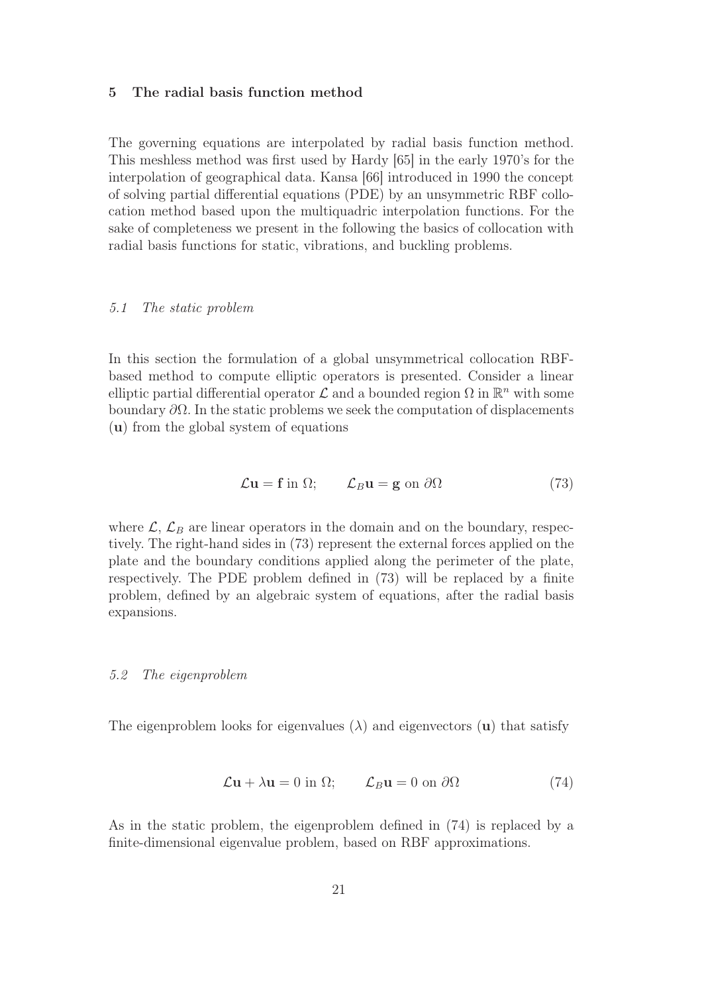#### 5 The radial basis function method

The governing equations are interpolated by radial basis function method. This meshless method was first used by Hardy [65] in the early 1970's for the interpolation of geographical data. Kansa [66] introduced in 1990 the concept of solving partial differential equations (PDE) by an unsymmetric RBF collocation method based upon the multiquadric interpolation functions. For the sake of completeness we present in the following the basics of collocation with radial basis functions for static, vibrations, and buckling problems.

#### *5.1 The static problem*

In this section the formulation of a global unsymmetrical collocation RBFbased method to compute elliptic operators is presented. Consider a linear elliptic partial differential operator  $\mathcal L$  and a bounded region  $\Omega$  in  $\mathbb R^n$  with some boundary  $\partial\Omega$ . In the static problems we seek the computation of displacements (u) from the global system of equations

$$
\mathcal{L}\mathbf{u} = \mathbf{f} \text{ in } \Omega; \qquad \mathcal{L}_B \mathbf{u} = \mathbf{g} \text{ on } \partial \Omega \tag{73}
$$

where  $\mathcal{L}, \mathcal{L}_B$  are linear operators in the domain and on the boundary, respectively. The right-hand sides in (73) represent the external forces applied on the plate and the boundary conditions applied along the perimeter of the plate, respectively. The PDE problem defined in (73) will be replaced by a finite problem, defined by an algebraic system of equations, after the radial basis expansions.

#### *5.2 The eigenproblem*

The eigenproblem looks for eigenvalues  $(\lambda)$  and eigenvectors  $(u)$  that satisfy

$$
\mathcal{L}\mathbf{u} + \lambda \mathbf{u} = 0 \text{ in } \Omega; \qquad \mathcal{L}_B \mathbf{u} = 0 \text{ on } \partial \Omega \tag{74}
$$

As in the static problem, the eigenproblem defined in (74) is replaced by a finite-dimensional eigenvalue problem, based on RBF approximations.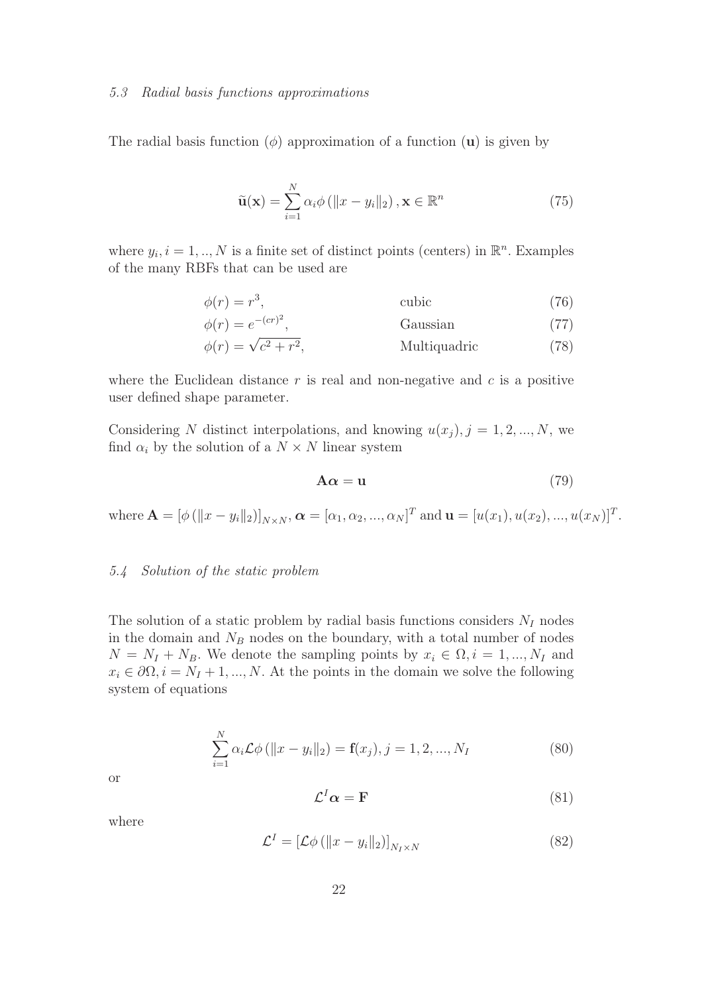#### *5.3 Radial basis functions approximations*

The radial basis function  $(\phi)$  approximation of a function  $(\mathbf{u})$  is given by

$$
\tilde{\mathbf{u}}(\mathbf{x}) = \sum_{i=1}^{N} \alpha_i \phi \left( \|x - y_i\|_2 \right), \mathbf{x} \in \mathbb{R}^n \tag{75}
$$

where  $y_i$ ,  $i = 1, ..., N$  is a finite set of distinct points (centers) in  $\mathbb{R}^n$ . Examples of the many RBFs that can be used are

$$
\phi(r) = r^3,\tag{76}
$$

$$
\phi(r) = e^{-(cr)^2},
$$
\nGaussian\n
$$
\phi(r) = \sqrt{c^2 + r^2},
$$
\n
$$
\phi(r) = \sqrt{1 - r^2},
$$
\n
$$
\phi(r) = \sqrt{1 - r^2},
$$
\n
$$
\phi(r) = \sqrt{1 - r^2},
$$
\n
$$
\phi(r) = \sqrt{1 - r^2},
$$
\n
$$
\phi(r) = \sqrt{1 - r^2},
$$
\n
$$
\phi(r) = \sqrt{1 - r^2},
$$
\n
$$
\phi(r) = \sqrt{1 - r^2},
$$
\n
$$
\phi(r) = \sqrt{1 - r^2},
$$
\n
$$
\phi(r) = \sqrt{1 - r^2},
$$
\n
$$
\phi(r) = \sqrt{1 - r^2},
$$
\n
$$
\phi(r) = \sqrt{1 - r^2},
$$
\n
$$
\phi(r) = \sqrt{1 - r^2},
$$
\n
$$
\phi(r) = \sqrt{1 - r^2},
$$
\n
$$
\phi(r) = \sqrt{1 - r^2},
$$
\n
$$
\phi(r) = \sqrt{1 - r^2},
$$
\n
$$
\phi(r) = \sqrt{1 - r^2},
$$
\n
$$
\phi(r) = \sqrt{1 - r^2},
$$
\n
$$
\phi(r) = \sqrt{1 - r^2},
$$
\n
$$
\phi(r) = \sqrt{1 - r^2},
$$
\n
$$
\phi(r) = \sqrt{1 - r^2},
$$
\n
$$
\phi(r) = \sqrt{1 - r^2},
$$
\n
$$
\phi(r) = \sqrt{1 - r^2},
$$
\n
$$
\phi(r) = \sqrt{1 - r^2},
$$
\n
$$
\phi(r) = \sqrt{1 - r^2},
$$
\n
$$
\phi(r) = \sqrt{1 - r^2},
$$
\n
$$
\phi(r) = \sqrt{1 - r^2},
$$
\n
$$
\phi(r) = \sqrt{1 - r^2},
$$
\n
$$
\phi(r) = \sqrt{1 - r^2},
$$
\n
$$
\phi(r) = \sqrt{1 - r^2},
$$
\n
$$
\phi(r) = \sqrt{1 - r^2},
$$
\n
$$
\phi(r) = \sqrt{1 - r^2},
$$
\n $$ 

where the Euclidean distance  $r$  is real and non-negative and  $c$  is a positive user defined shape parameter.

Considering N distinct interpolations, and knowing  $u(x_j)$ ,  $j = 1, 2, ..., N$ , we find  $\alpha_i$  by the solution of a  $N \times N$  linear system

$$
A\alpha = u \tag{79}
$$

where  $\mathbf{A} = [\phi (\|x - y_i\|_2)]_{N \times N}, \boldsymbol{\alpha} = [\alpha_1, \alpha_2, ..., \alpha_N]^T$  and  $\mathbf{u} = [u(x_1), u(x_2), ..., u(x_N)]^T$ .

#### *5.4 Solution of the static problem*

The solution of a static problem by radial basis functions considers  $N_I$  nodes in the domain and  $N_B$  nodes on the boundary, with a total number of nodes  $N = N_I + N_B$ . We denote the sampling points by  $x_i \in \Omega, i = 1, ..., N_I$  and  $x_i \in \partial\Omega, i = N_I + 1, ..., N$ . At the points in the domain we solve the following system of equations

$$
\sum_{i=1}^{N} \alpha_i \mathcal{L} \phi \left( \|x - y_i\|_2 \right) = \mathbf{f}(x_j), j = 1, 2, ..., N_I
$$
\n(80)

or

$$
\mathcal{L}^I \alpha = \mathbf{F} \tag{81}
$$

where

$$
\mathcal{L}^{I} = \left[ \mathcal{L}\phi \left( \|x - y_{i}\|_{2} \right) \right]_{N_{I} \times N} \tag{82}
$$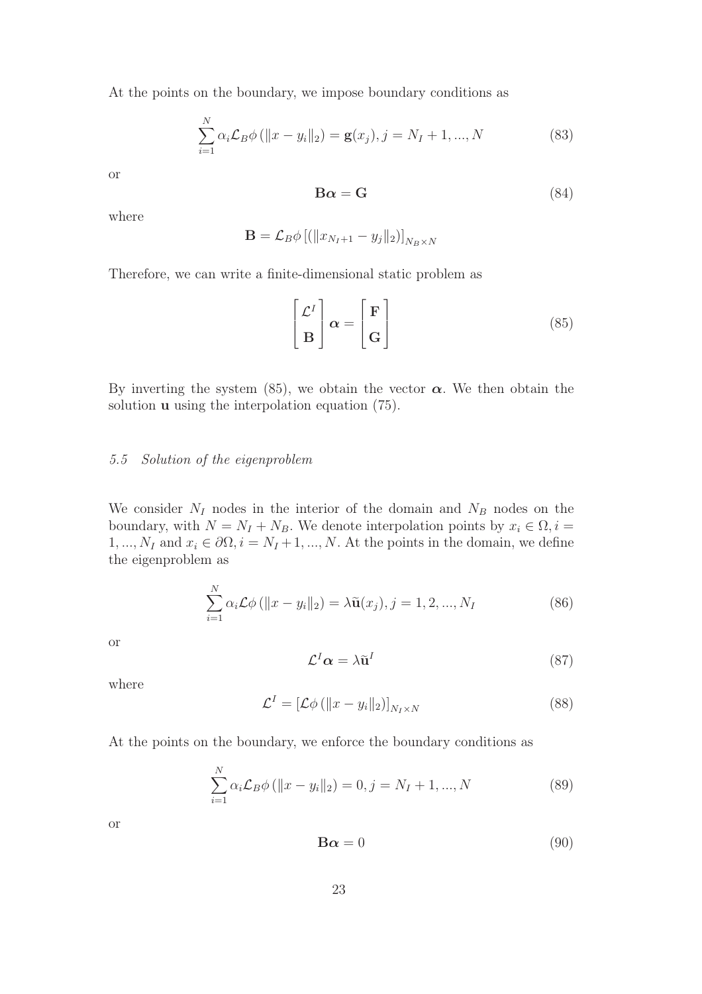At the points on the boundary, we impose boundary conditions as

$$
\sum_{i=1}^{N} \alpha_i \mathcal{L}_B \phi \left( \|x - y_i\|_2 \right) = \mathbf{g}(x_j), j = N_I + 1, ..., N
$$
 (83)

or

$$
\mathbf{B}\alpha = \mathbf{G} \tag{84}
$$

where

$$
\mathbf{B} = \mathcal{L}_B \phi \left[ \left( \|x_{N_I+1} - y_j\|_2 \right) \right]_{N_B \times N}
$$

Therefore, we can write a finite-dimensional static problem as

$$
\begin{bmatrix} \mathcal{L}^I \\ \mathbf{B} \end{bmatrix} \boldsymbol{\alpha} = \begin{bmatrix} \mathbf{F} \\ \mathbf{G} \end{bmatrix}
$$
 (85)

By inverting the system (85), we obtain the vector  $\alpha$ . We then obtain the solution **u** using the interpolation equation (75).

## *5.5 Solution of the eigenproblem*

We consider  $N_I$  nodes in the interior of the domain and  $N_B$  nodes on the boundary, with  $N = N_I + N_B$ . We denote interpolation points by  $x_i \in \Omega, i =$ 1, ...,  $N_I$  and  $x_i \in \partial\Omega$ ,  $i = N_I + 1, ..., N$ . At the points in the domain, we define the eigenproblem as

$$
\sum_{i=1}^{N} \alpha_i \mathcal{L} \phi \left( \|x - y_i\|_2 \right) = \lambda \tilde{\mathbf{u}}(x_j), j = 1, 2, ..., N_I
$$
\n(86)

or

$$
\mathcal{L}^I \alpha = \lambda \tilde{\mathbf{u}}^I \tag{87}
$$

where

$$
\mathcal{L}^{I} = \left[ \mathcal{L}\phi \left( ||x - y_{i}||_{2} \right) \right]_{N_{I} \times N} \tag{88}
$$

At the points on the boundary, we enforce the boundary conditions as

$$
\sum_{i=1}^{N} \alpha_i \mathcal{L}_B \phi \left( \|x - y_i\|_2 \right) = 0, j = N_I + 1, ..., N \tag{89}
$$

or

$$
\mathbf{B}\alpha = 0 \tag{90}
$$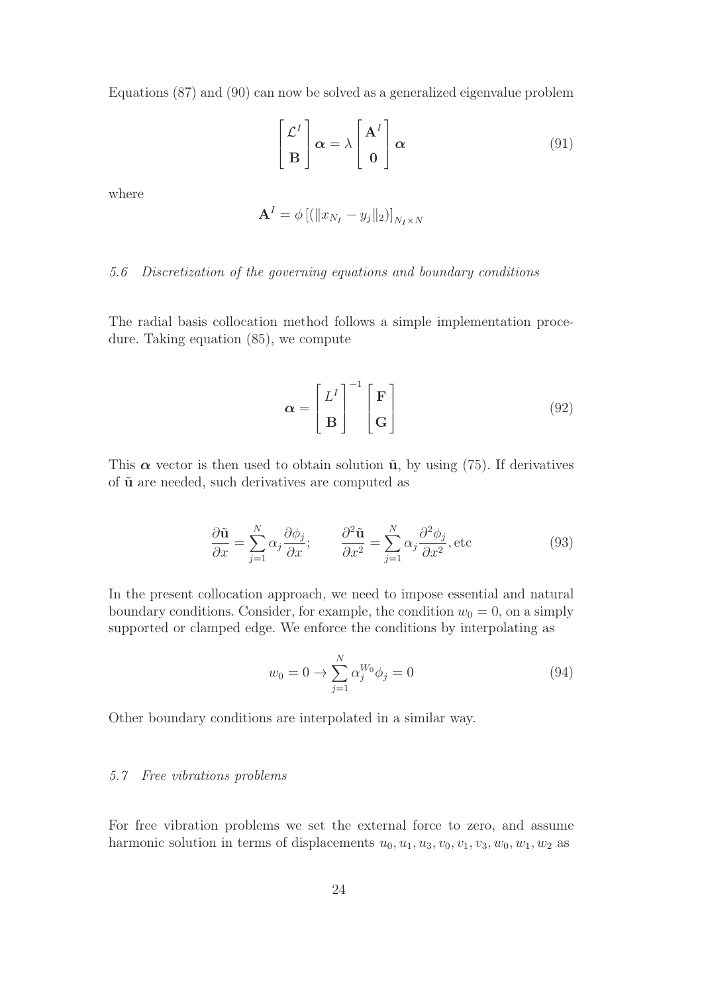Equations (87) and (90) can now be solved as a generalized eigenvalue problem

$$
\begin{bmatrix} \mathcal{L}^I \\ \mathbf{B} \end{bmatrix} \alpha = \lambda \begin{bmatrix} \mathbf{A}^I \\ \mathbf{0} \end{bmatrix} \alpha
$$
 (91)

where

$$
\mathbf{A}^{I} = \phi \left[ \left( \|x_{N_I} - y_j\|_2 \right) \right]_{N_I \times N}
$$

# *5.6 Discretization of the governing equations and boundary conditions*

The radial basis collocation method follows a simple implementation procedure. Taking equation (85), we compute

$$
\alpha = \begin{bmatrix} L^I \\ B \end{bmatrix}^{-1} \begin{bmatrix} F \\ G \end{bmatrix}
$$
 (92)

This  $\alpha$  vector is then used to obtain solution  $\tilde{u}$ , by using (75). If derivatives of  $\tilde{u}$  are needed, such derivatives are computed as

$$
\frac{\partial \tilde{\mathbf{u}}}{\partial x} = \sum_{j=1}^{N} \alpha_j \frac{\partial \phi_j}{\partial x}; \qquad \frac{\partial^2 \tilde{\mathbf{u}}}{\partial x^2} = \sum_{j=1}^{N} \alpha_j \frac{\partial^2 \phi_j}{\partial x^2}, \text{etc}
$$
\n(93)

In the present collocation approach, we need to impose essential and natural boundary conditions. Consider, for example, the condition  $w_0 = 0$ , on a simply supported or clamped edge. We enforce the conditions by interpolating as

$$
w_0 = 0 \to \sum_{j=1}^{N} \alpha_j^{W_0} \phi_j = 0
$$
\n(94)

Other boundary conditions are interpolated in a similar way.

# *5.7 Free vibrations problems*

For free vibration problems we set the external force to zero, and assume harmonic solution in terms of displacements  $u_0, u_1, u_3, v_0, v_1, v_3, w_0, w_1, w_2$  as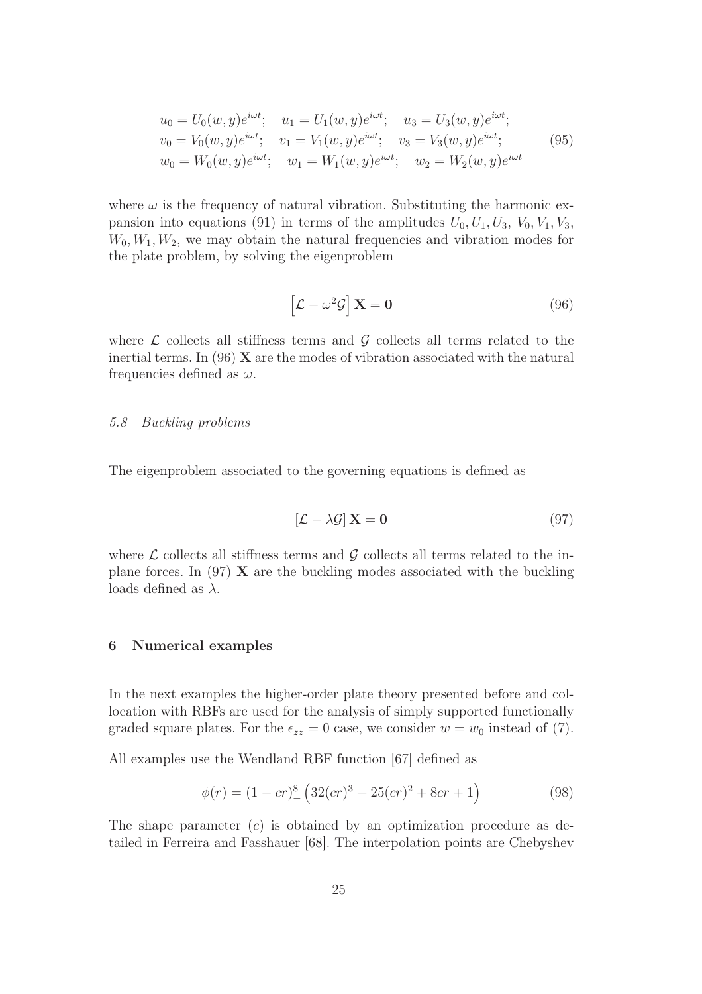$$
u_0 = U_0(w, y)e^{i\omega t}; \quad u_1 = U_1(w, y)e^{i\omega t}; \quad u_3 = U_3(w, y)e^{i\omega t};
$$
  
\n
$$
v_0 = V_0(w, y)e^{i\omega t}; \quad v_1 = V_1(w, y)e^{i\omega t}; \quad v_3 = V_3(w, y)e^{i\omega t};
$$
  
\n
$$
w_0 = W_0(w, y)e^{i\omega t}; \quad w_1 = W_1(w, y)e^{i\omega t}; \quad w_2 = W_2(w, y)e^{i\omega t}
$$
\n(95)

where  $\omega$  is the frequency of natural vibration. Substituting the harmonic expansion into equations (91) in terms of the amplitudes  $U_0, U_1, U_3, V_0, V_1, V_3$ ,  $W_0, W_1, W_2$ , we may obtain the natural frequencies and vibration modes for the plate problem, by solving the eigenproblem

$$
\left[\mathcal{L} - \omega^2 \mathcal{G}\right] \mathbf{X} = \mathbf{0} \tag{96}
$$

where  $\mathcal L$  collects all stiffness terms and  $\mathcal G$  collects all terms related to the inertial terms. In  $(96)$  X are the modes of vibration associated with the natural frequencies defined as  $\omega$ .

#### *5.8 Buckling problems*

The eigenproblem associated to the governing equations is defined as

$$
\left[\mathcal{L} - \lambda \mathcal{G}\right] \mathbf{X} = \mathbf{0} \tag{97}
$$

where  $\mathcal L$  collects all stiffness terms and  $\mathcal G$  collects all terms related to the inplane forces. In  $(97)$  X are the buckling modes associated with the buckling loads defined as  $\lambda$ .

#### 6 Numerical examples

In the next examples the higher-order plate theory presented before and collocation with RBFs are used for the analysis of simply supported functionally graded square plates. For the  $\epsilon_{zz} = 0$  case, we consider  $w = w_0$  instead of (7).

All examples use the Wendland RBF function [67] defined as

$$
\phi(r) = (1 - cr)_+^8 \left( 32 (cr)^3 + 25 (cr)^2 + 8cr + 1 \right) \tag{98}
$$

The shape parameter  $(c)$  is obtained by an optimization procedure as detailed in Ferreira and Fasshauer [68]. The interpolation points are Chebyshev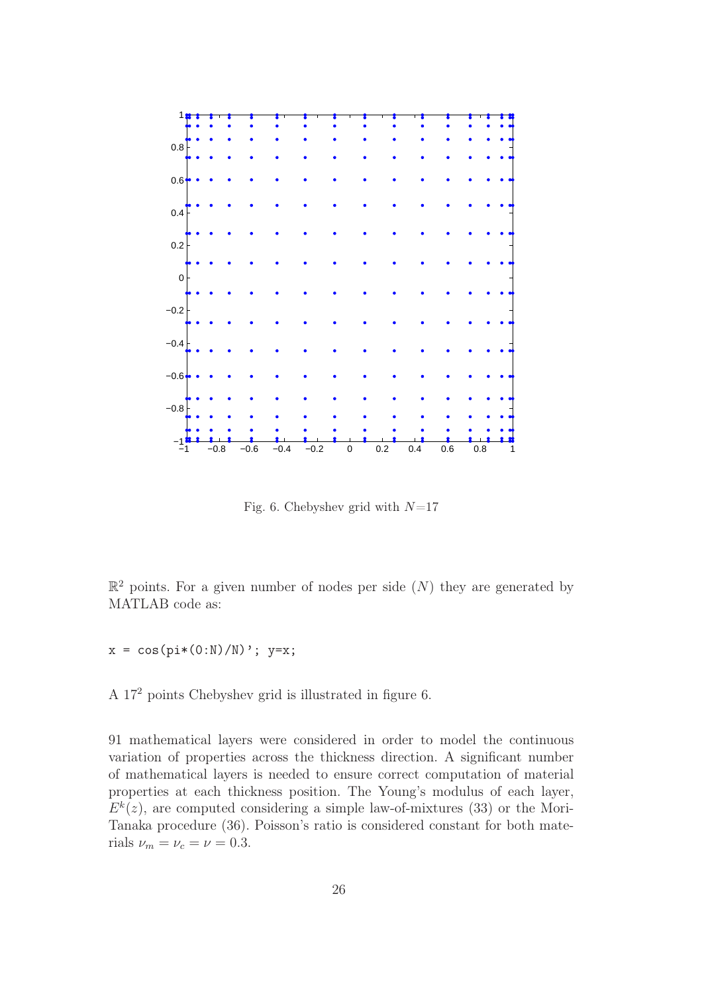

Fig. 6. Chebyshev grid with  $N=17$ 

 $\mathbb{R}^2$  points. For a given number of nodes per side  $(N)$  they are generated by MATLAB code as:

 $x = cos(pix(0:N)/N)$ ;  $y=x;$ 

A 17<sup>2</sup> points Chebyshev grid is illustrated in figure 6.

91 mathematical layers were considered in order to model the continuous variation of properties across the thickness direction. A significant number of mathematical layers is needed to ensure correct computation of material properties at each thickness position. The Young's modulus of each layer,  $E^{k}(z)$ , are computed considering a simple law-of-mixtures (33) or the Mori-Tanaka procedure (36). Poisson's ratio is considered constant for both materials  $\nu_m = \nu_c = \nu = 0.3$ .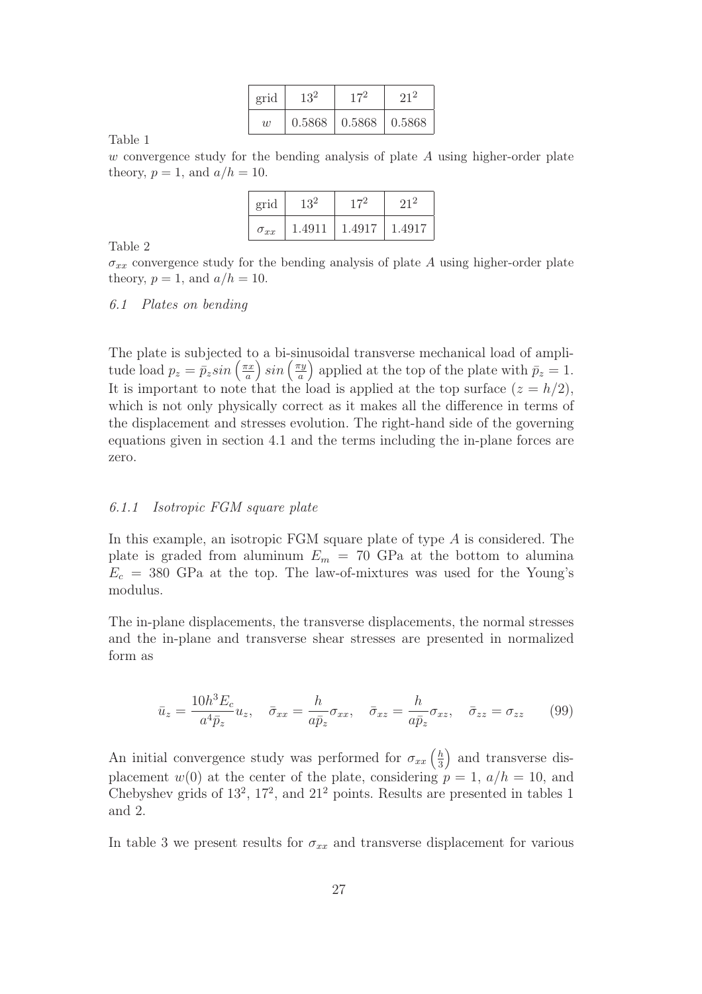| grid           | 132    |        |        |  |  |
|----------------|--------|--------|--------|--|--|
| $\overline{w}$ | 0.5868 | 0.5868 | 0.5868 |  |  |

w convergence study for the bending analysis of plate  $A$  using higher-order plate theory,  $p = 1$ , and  $a/h = 10$ .

| grid          |        |        |        |  |
|---------------|--------|--------|--------|--|
| $\sigma_{xx}$ | 1.4911 | 1.4917 | 1.4917 |  |

Table 2

 $\sigma_{xx}$  convergence study for the bending analysis of plate A using higher-order plate theory,  $p = 1$ , and  $a/h = 10$ .

#### *6.1 Plates on bending*

The plate is subjected to a bi-sinusoidal transverse mechanical load of amplitude load  $p_z = \overline{p}_z sin\left(\frac{\pi x}{a}\right)$ a  $\sin\left(\frac{\pi y}{a}\right)$ a ) applied at the top of the plate with  $\bar{p}_z = 1$ . It is important to note that the load is applied at the top surface  $(z = h/2)$ , which is not only physically correct as it makes all the difference in terms of the displacement and stresses evolution. The right-hand side of the governing equations given in section 4.1 and the terms including the in-plane forces are zero.

#### *6.1.1 Isotropic FGM square plate*

In this example, an isotropic FGM square plate of type  $A$  is considered. The plate is graded from aluminum  $E_m = 70$  GPa at the bottom to alumina  $E_c = 380$  GPa at the top. The law-of-mixtures was used for the Young's modulus.

The in-plane displacements, the transverse displacements, the normal stresses and the in-plane and transverse shear stresses are presented in normalized form as

$$
\bar{u}_z = \frac{10h^3 E_c}{a^4 \bar{p}_z} u_z, \quad \bar{\sigma}_{xx} = \frac{h}{a\bar{p}_z} \sigma_{xx}, \quad \bar{\sigma}_{xz} = \frac{h}{a\bar{p}_z} \sigma_{xz}, \quad \bar{\sigma}_{zz} = \sigma_{zz} \tag{99}
$$

An initial convergence study was performed for  $\sigma_{xx}(\frac{h}{3})$ 3 and transverse displacement  $w(0)$  at the center of the plate, considering  $p = 1$ ,  $a/h = 10$ , and Chebyshev grids of  $13^2$ ,  $17^2$ , and  $21^2$  points. Results are presented in tables 1 and 2.

In table 3 we present results for  $\sigma_{xx}$  and transverse displacement for various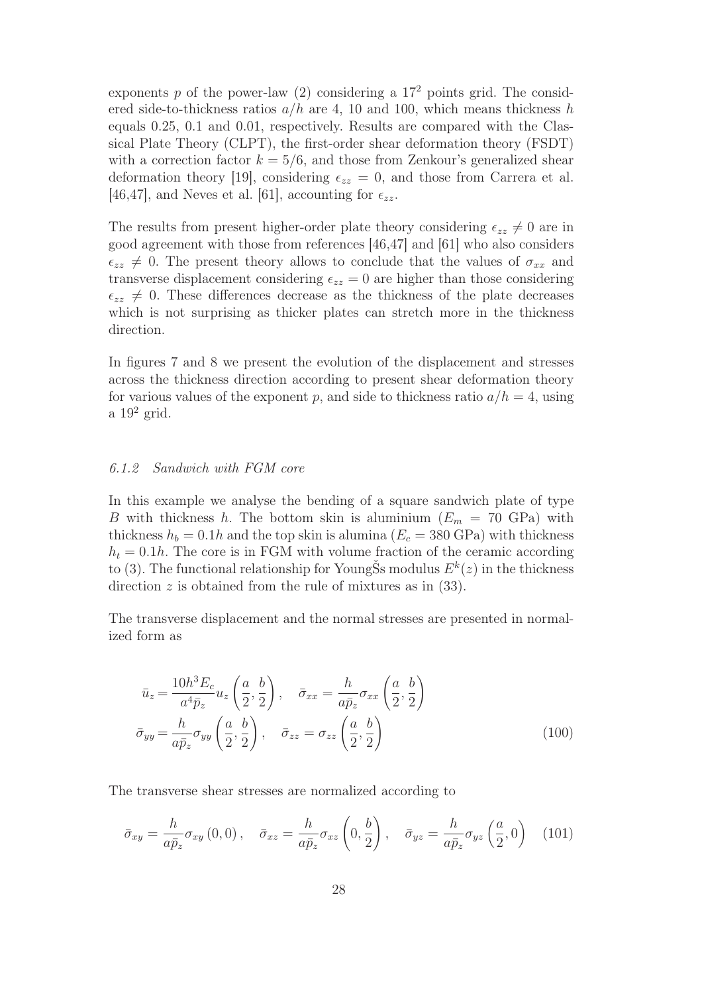exponents p of the power-law  $(2)$  considering a  $17<sup>2</sup>$  points grid. The considered side-to-thickness ratios  $a/h$  are 4, 10 and 100, which means thickness h equals 0.25, 0.1 and 0.01, respectively. Results are compared with the Classical Plate Theory (CLPT), the first-order shear deformation theory (FSDT) with a correction factor  $k = 5/6$ , and those from Zenkour's generalized shear deformation theory [19], considering  $\epsilon_{zz} = 0$ , and those from Carrera et al. [46,47], and Neves et al. [61], accounting for  $\epsilon_{zz}$ .

The results from present higher-order plate theory considering  $\epsilon_{zz} \neq 0$  are in good agreement with those from references [46,47] and [61] who also considers  $\epsilon_{zz} \neq 0$ . The present theory allows to conclude that the values of  $\sigma_{xx}$  and transverse displacement considering  $\epsilon_{zz} = 0$  are higher than those considering  $\epsilon_{zz} \neq 0$ . These differences decrease as the thickness of the plate decreases which is not surprising as thicker plates can stretch more in the thickness direction.

In figures 7 and 8 we present the evolution of the displacement and stresses across the thickness direction according to present shear deformation theory for various values of the exponent p, and side to thickness ratio  $a/h = 4$ , using a  $19^2$  grid.

#### *6.1.2 Sandwich with FGM core*

In this example we analyse the bending of a square sandwich plate of type B with thickness h. The bottom skin is aluminium  $(E_m = 70 \text{ GPa})$  with thickness  $h_b = 0.1h$  and the top skin is alumina  $(E_c = 380 \text{ GPa})$  with thickness  $h_t = 0.1h$ . The core is in FGM with volume fraction of the ceramic according to (3). The functional relationship for YoungSs modulus  $E^k(z)$  in the thickness direction  $z$  is obtained from the rule of mixtures as in  $(33)$ .

The transverse displacement and the normal stresses are presented in normalized form as

$$
\bar{u}_z = \frac{10h^3 E_c}{a^4 \bar{p}_z} u_z \left(\frac{a}{2}, \frac{b}{2}\right), \quad \bar{\sigma}_{xx} = \frac{h}{a\bar{p}_z} \sigma_{xx} \left(\frac{a}{2}, \frac{b}{2}\right)
$$
\n
$$
\bar{\sigma}_{yy} = \frac{h}{a\bar{p}_z} \sigma_{yy} \left(\frac{a}{2}, \frac{b}{2}\right), \quad \bar{\sigma}_{zz} = \sigma_{zz} \left(\frac{a}{2}, \frac{b}{2}\right)
$$
\n(100)

The transverse shear stresses are normalized according to

$$
\bar{\sigma}_{xy} = \frac{h}{a\bar{p}_z} \sigma_{xy} (0,0), \quad \bar{\sigma}_{xz} = \frac{h}{a\bar{p}_z} \sigma_{xz} \left(0, \frac{b}{2}\right), \quad \bar{\sigma}_{yz} = \frac{h}{a\bar{p}_z} \sigma_{yz} \left(\frac{a}{2}, 0\right) \quad (101)
$$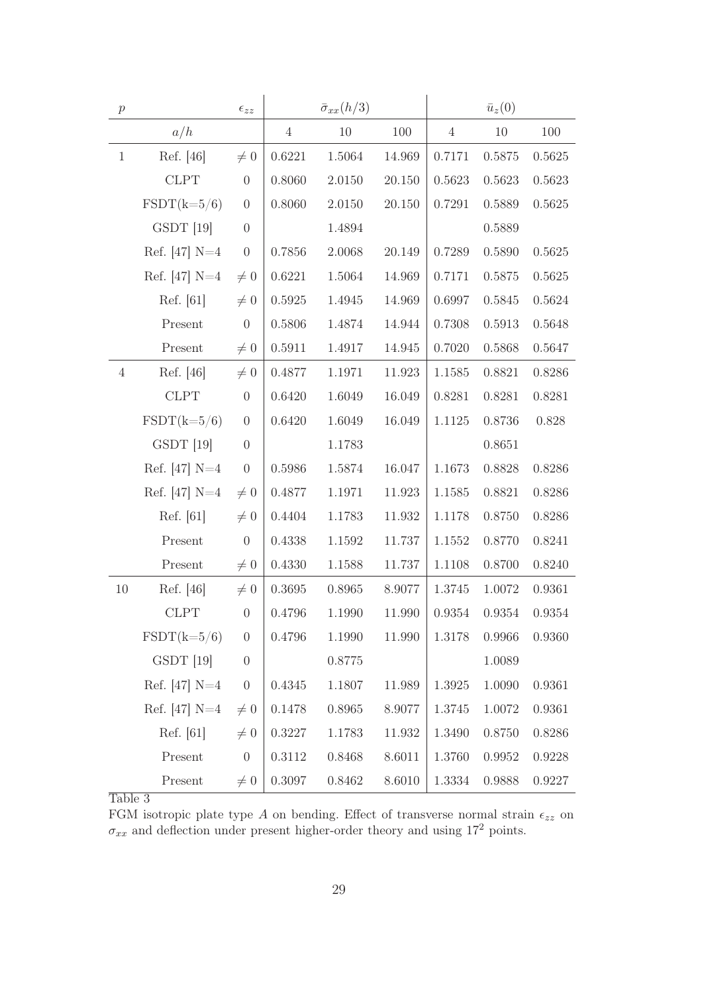| $\boldsymbol{p}$ |                      | $\epsilon_{zz}$  |                | $\bar{\sigma}_{xx}(h/3)$ |        |                | $\bar{u}_z(0)$ |        |
|------------------|----------------------|------------------|----------------|--------------------------|--------|----------------|----------------|--------|
|                  | a/h                  |                  | $\overline{4}$ | 10                       | 100    | $\overline{4}$ | $10\,$         | 100    |
| $\mathbf{1}$     | Ref. [46]            | $\neq 0$         | 0.6221         | 1.5064                   | 14.969 | 0.7171         | 0.5875         | 0.5625 |
|                  | <b>CLPT</b>          | $\theta$         | 0.8060         | 2.0150                   | 20.150 | 0.5623         | 0.5623         | 0.5623 |
|                  | $\text{FSDT}(k=5/6)$ | $\boldsymbol{0}$ | 0.8060         | 2.0150                   | 20.150 | 0.7291         | 0.5889         | 0.5625 |
|                  | GSDT [19]            | $\boldsymbol{0}$ |                | 1.4894                   |        |                | 0.5889         |        |
|                  | Ref. $[47]$ N=4      | $\theta$         | 0.7856         | 2.0068                   | 20.149 | 0.7289         | 0.5890         | 0.5625 |
|                  | Ref. $[47]$ N=4      | $\neq 0$         | 0.6221         | 1.5064                   | 14.969 | 0.7171         | 0.5875         | 0.5625 |
|                  | Ref. [61]            | $\neq 0$         | 0.5925         | 1.4945                   | 14.969 | 0.6997         | 0.5845         | 0.5624 |
|                  | Present              | $\overline{0}$   | 0.5806         | 1.4874                   | 14.944 | 0.7308         | 0.5913         | 0.5648 |
|                  | Present              | $\neq 0$         | $0.5911\,$     | 1.4917                   | 14.945 | 0.7020         | 0.5868         | 0.5647 |
| $\overline{4}$   | Ref. [46]            | $\neq 0$         | 0.4877         | 1.1971                   | 11.923 | 1.1585         | 0.8821         | 0.8286 |
|                  | CLPT                 | $\theta$         | 0.6420         | 1.6049                   | 16.049 | 0.8281         | 0.8281         | 0.8281 |
|                  | $\text{FSDT}(k=5/6)$ | $\boldsymbol{0}$ | 0.6420         | 1.6049                   | 16.049 | 1.1125         | 0.8736         | 0.828  |
|                  | GSDT [19]            | $\boldsymbol{0}$ |                | 1.1783                   |        |                | 0.8651         |        |
|                  | Ref. $[47]$ N=4      | $\boldsymbol{0}$ | 0.5986         | 1.5874                   | 16.047 | 1.1673         | 0.8828         | 0.8286 |
|                  | Ref. $[47]$ N=4      | $\neq 0$         | 0.4877         | 1.1971                   | 11.923 | 1.1585         | 0.8821         | 0.8286 |
|                  | Ref. [61]            | $\neq 0$         | 0.4404         | 1.1783                   | 11.932 | 1.1178         | 0.8750         | 0.8286 |
|                  | Present              | $\boldsymbol{0}$ | 0.4338         | 1.1592                   | 11.737 | 1.1552         | 0.8770         | 0.8241 |
|                  | Present              | $\neq 0$         | 0.4330         | 1.1588                   | 11.737 | 1.1108         | 0.8700         | 0.8240 |
| 10               | Ref. [46]            | $\neq 0$         | 0.3695         | 0.8965                   | 8.9077 | 1.3745         | 1.0072         | 0.9361 |
|                  | <b>CLPT</b>          | $\boldsymbol{0}$ | 0.4796         | 1.1990                   | 11.990 | 0.9354         | 0.9354         | 0.9354 |
|                  | $\text{FSDT}(k=5/6)$ | $\boldsymbol{0}$ | 0.4796         | 1.1990                   | 11.990 | 1.3178         | 0.9966         | 0.9360 |
|                  | GSDT [19]            | $\boldsymbol{0}$ |                | 0.8775                   |        |                | 1.0089         |        |
|                  | Ref. $[47]$ N=4      | $\boldsymbol{0}$ | 0.4345         | 1.1807                   | 11.989 | 1.3925         | 1.0090         | 0.9361 |
|                  | Ref. $[47]$ N=4      | $\neq 0$         | 0.1478         | 0.8965                   | 8.9077 | 1.3745         | 1.0072         | 0.9361 |
|                  | Ref. [61]            | $\neq 0$         | 0.3227         | 1.1783                   | 11.932 | 1.3490         | 0.8750         | 0.8286 |
|                  | Present              | $\boldsymbol{0}$ | 0.3112         | 0.8468                   | 8.6011 | 1.3760         | 0.9952         | 0.9228 |
|                  | Present              | $\neq 0$         | 0.3097         | 0.8462                   | 8.6010 | 1.3334         | 0.9888         | 0.9227 |

FGM isotropic plate type A on bending. Effect of transverse normal strain  $\epsilon_{zz}$  on  $\sigma_{xx}$  and deflection under present higher-order theory and using 17<sup>2</sup> points.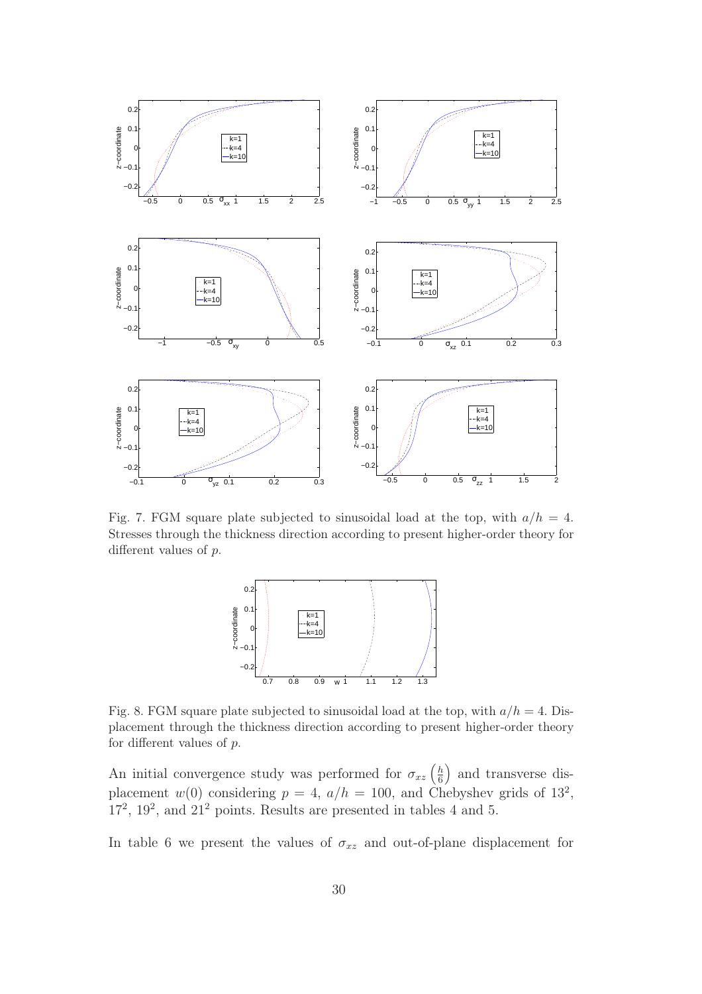

Fig. 7. FGM square plate subjected to sinusoidal load at the top, with  $a/h = 4$ . Stresses through the thickness direction according to present higher-order theory for different values of p.



Fig. 8. FGM square plate subjected to sinusoidal load at the top, with  $a/h = 4$ . Displacement through the thickness direction according to present higher-order theory for different values of  $p$ .

An initial convergence study was performed for  $\sigma_{xz}$   $\left(\frac{h}{6}\right)$ 6 and transverse displacement  $w(0)$  considering  $p = 4$ ,  $a/h = 100$ , and Chebyshev grids of  $13^2$ ,  $17^2$ ,  $19^2$ , and  $21^2$  points. Results are presented in tables 4 and 5.

In table 6 we present the values of  $\sigma_{xz}$  and out-of-plane displacement for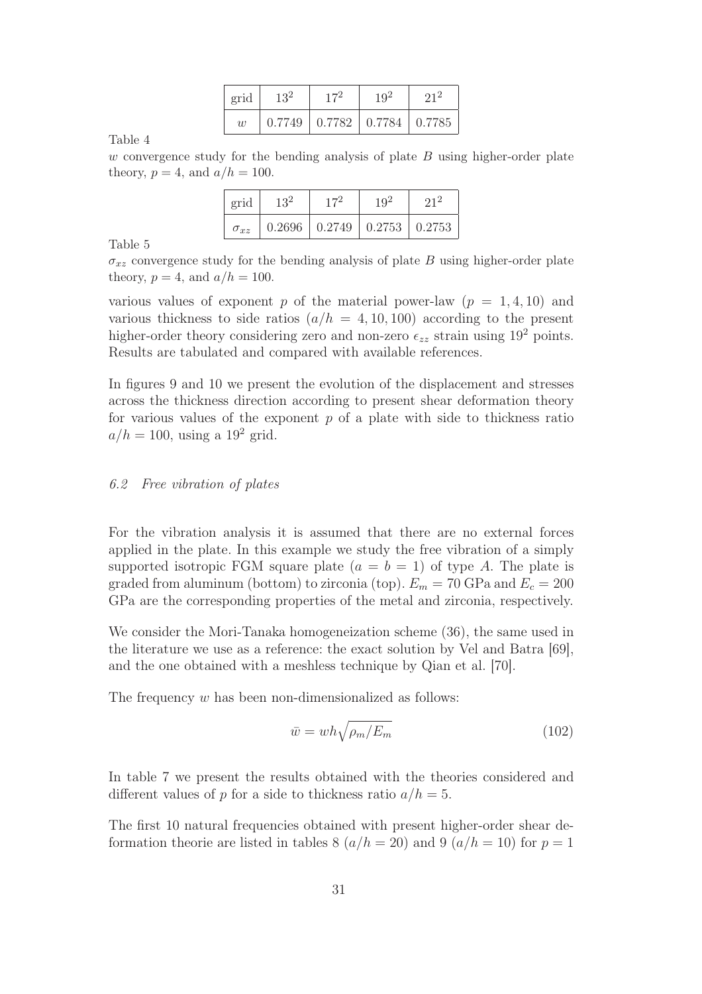| grid | $13^2$ | $17^{2}$                                  | $19^{2}$ | $21^2$ |
|------|--------|-------------------------------------------|----------|--------|
| w    |        | $0.7749$   $0.7782$   $0.7784$   $0.7785$ |          |        |

w convergence study for the bending analysis of plate  $B$  using higher-order plate theory,  $p = 4$ , and  $a/h = 100$ .

| grid          | 132 |                                           | $19^{2}$ |  |
|---------------|-----|-------------------------------------------|----------|--|
| $\sigma_{xz}$ |     | $0.2696$   $0.2749$   $0.2753$   $0.2753$ |          |  |

Table 5

 $\sigma_{xz}$  convergence study for the bending analysis of plate B using higher-order plate theory,  $p = 4$ , and  $a/h = 100$ .

various values of exponent p of the material power-law  $(p = 1, 4, 10)$  and various thickness to side ratios  $(a/h = 4, 10, 100)$  according to the present higher-order theory considering zero and non-zero  $\epsilon_{zz}$  strain using 19<sup>2</sup> points. Results are tabulated and compared with available references.

In figures 9 and 10 we present the evolution of the displacement and stresses across the thickness direction according to present shear deformation theory for various values of the exponent  $p$  of a plate with side to thickness ratio  $a/h = 100$ , using a 19<sup>2</sup> grid.

# *6.2 Free vibration of plates*

For the vibration analysis it is assumed that there are no external forces applied in the plate. In this example we study the free vibration of a simply supported isotropic FGM square plate  $(a = b = 1)$  of type A. The plate is graded from aluminum (bottom) to zirconia (top).  $E_m = 70$  GPa and  $E_c = 200$ GPa are the corresponding properties of the metal and zirconia, respectively.

We consider the Mori-Tanaka homogeneization scheme (36), the same used in the literature we use as a reference: the exact solution by Vel and Batra [69], and the one obtained with a meshless technique by Qian et al. [70].

The frequency w has been non-dimensionalized as follows:

$$
\bar{w} = wh\sqrt{\rho_m/E_m} \tag{102}
$$

In table 7 we present the results obtained with the theories considered and different values of p for a side to thickness ratio  $a/h = 5$ .

The first 10 natural frequencies obtained with present higher-order shear deformation theorie are listed in tables 8  $(a/h = 20)$  and 9  $(a/h = 10)$  for  $p = 1$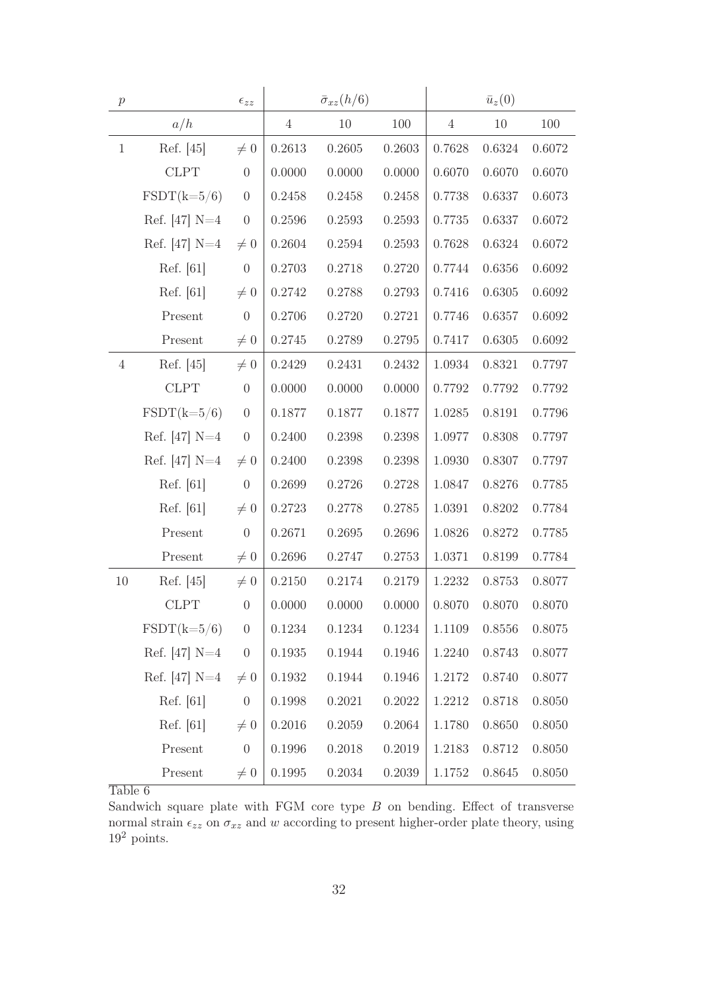| $\boldsymbol{p}$ |                      | $\epsilon_{zz}$  |                | $\bar{\sigma}_{xz}(h/6)$ |        |                | $\bar{u}_z(0)$ |        |
|------------------|----------------------|------------------|----------------|--------------------------|--------|----------------|----------------|--------|
|                  | a/h                  |                  | $\overline{4}$ | 10                       | 100    | $\overline{4}$ | $10\,$         | 100    |
| $\mathbf{1}$     | Ref. [45]            | $\neq 0$         | 0.2613         | 0.2605                   | 0.2603 | 0.7628         | 0.6324         | 0.6072 |
|                  | <b>CLPT</b>          | $\boldsymbol{0}$ | 0.0000         | 0.0000                   | 0.0000 | 0.6070         | 0.6070         | 0.6070 |
|                  | $\text{FSDT}(k=5/6)$ | $\boldsymbol{0}$ | 0.2458         | 0.2458                   | 0.2458 | 0.7738         | 0.6337         | 0.6073 |
|                  | Ref. $[47]$ N=4      | $\boldsymbol{0}$ | 0.2596         | 0.2593                   | 0.2593 | 0.7735         | 0.6337         | 0.6072 |
|                  | Ref. $[47]$ N=4      | $\neq 0$         | 0.2604         | 0.2594                   | 0.2593 | 0.7628         | 0.6324         | 0.6072 |
|                  | Ref. [61]            | $\boldsymbol{0}$ | 0.2703         | 0.2718                   | 0.2720 | 0.7744         | 0.6356         | 0.6092 |
|                  | Ref. [61]            | $\neq 0$         | 0.2742         | 0.2788                   | 0.2793 | 0.7416         | 0.6305         | 0.6092 |
|                  | Present              | $\theta$         | 0.2706         | 0.2720                   | 0.2721 | 0.7746         | 0.6357         | 0.6092 |
|                  | Present              | $\neq 0$         | 0.2745         | 0.2789                   | 0.2795 | 0.7417         | 0.6305         | 0.6092 |
| $\overline{4}$   | Ref. [45]            | $\neq 0$         | 0.2429         | 0.2431                   | 0.2432 | 1.0934         | 0.8321         | 0.7797 |
|                  | <b>CLPT</b>          | $\theta$         | 0.0000         | 0.0000                   | 0.0000 | 0.7792         | 0.7792         | 0.7792 |
|                  | $\text{FSDT}(k=5/6)$ | $\boldsymbol{0}$ | 0.1877         | 0.1877                   | 0.1877 | 1.0285         | 0.8191         | 0.7796 |
|                  | Ref. $[47]$ N=4      | $\boldsymbol{0}$ | 0.2400         | 0.2398                   | 0.2398 | 1.0977         | 0.8308         | 0.7797 |
|                  | Ref. [47] $N=4$      | $\neq 0$         | 0.2400         | 0.2398                   | 0.2398 | 1.0930         | 0.8307         | 0.7797 |
|                  | Ref. [61]            | $\boldsymbol{0}$ | 0.2699         | 0.2726                   | 0.2728 | 1.0847         | 0.8276         | 0.7785 |
|                  | Ref. [61]            | $\neq 0$         | 0.2723         | 0.2778                   | 0.2785 | 1.0391         | 0.8202         | 0.7784 |
|                  | Present              | $\boldsymbol{0}$ | 0.2671         | 0.2695                   | 0.2696 | 1.0826         | 0.8272         | 0.7785 |
|                  | Present              | $\neq 0$         | 0.2696         | 0.2747                   | 0.2753 | 1.0371         | 0.8199         | 0.7784 |
| 10               | Ref. [45]            | $\neq 0$         | 0.2150         | 0.2174                   | 0.2179 | 1.2232         | 0.8753         | 0.8077 |
|                  | <b>CLPT</b>          | $\theta$         | 0.0000         | 0.0000                   | 0.0000 | 0.8070         | 0.8070         | 0.8070 |
|                  | $\text{FSDT}(k=5/6)$ | $\boldsymbol{0}$ | 0.1234         | 0.1234                   | 0.1234 | 1.1109         | 0.8556         | 0.8075 |
|                  | Ref. [47] $N=4$      | $\boldsymbol{0}$ | 0.1935         | 0.1944                   | 0.1946 | 1.2240         | 0.8743         | 0.8077 |
|                  | Ref. [47] $N=4$      | $\neq 0$         | 0.1932         | 0.1944                   | 0.1946 | 1.2172         | 0.8740         | 0.8077 |
|                  | Ref. [61]            | $\boldsymbol{0}$ | 0.1998         | 0.2021                   | 0.2022 | 1.2212         | 0.8718         | 0.8050 |
|                  | Ref. [61]            | $\neq 0$         | 0.2016         | 0.2059                   | 0.2064 | 1.1780         | 0.8650         | 0.8050 |
|                  | Present              | $\theta$         | 0.1996         | 0.2018                   | 0.2019 | 1.2183         | 0.8712         | 0.8050 |
|                  | Present              | $\neq 0$         | 0.1995         | 0.2034                   | 0.2039 | 1.1752         | 0.8645         | 0.8050 |

Sandwich square plate with FGM core type  $B$  on bending. Effect of transverse normal strain  $\epsilon_{zz}$  on  $\sigma_{xz}$  and w according to present higher-order plate theory, using  $19^2$  points.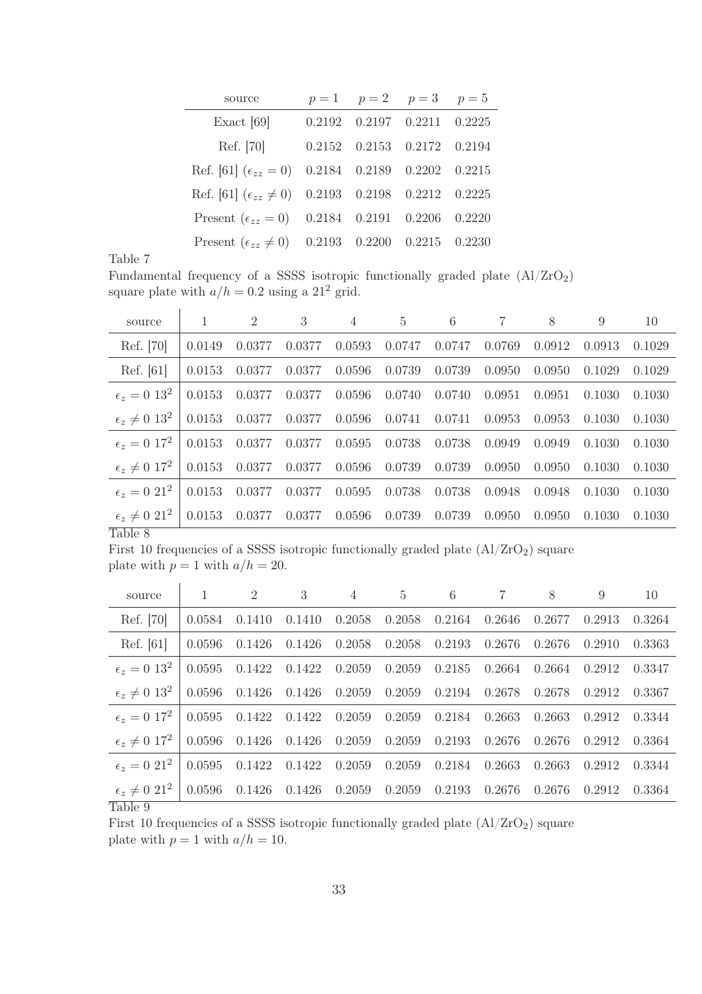| source                                                         | $p = 1$ $p = 2$ $p = 3$ $p = 5$                 |  |
|----------------------------------------------------------------|-------------------------------------------------|--|
| Exact $[69]$                                                   | $0.2192 \quad 0.2197 \quad 0.2211 \quad 0.2225$ |  |
| Ref. [70]                                                      | 0.2152 0.2153 0.2172 0.2194                     |  |
| Ref. [61] $(\epsilon_{zz} = 0)$ 0.2184 0.2189 0.2202 0.2215    |                                                 |  |
| Ref. [61] $(\epsilon_{zz} \neq 0)$ 0.2193 0.2198 0.2212 0.2225 |                                                 |  |
| Present $(\epsilon_{zz} = 0)$ 0.2184 0.2191 0.2206 0.2220      |                                                 |  |
| Present $(\epsilon_{zz} \neq 0)$ 0.2193 0.2200 0.2215 0.2230   |                                                 |  |

Fundamental frequency of a SSSS isotropic functionally graded plate (Al/ZrO2) square plate with  $a/h = 0.2$  using a 21<sup>2</sup> grid.

| source                              | 1      | $\overline{2}$ | 3      | $\overline{4}$ | $\overline{5}$ | 6      |        | 8      | 9      | 10     |
|-------------------------------------|--------|----------------|--------|----------------|----------------|--------|--------|--------|--------|--------|
| Ref. [70]                           | 0.0149 | 0.0377         | 0.0377 | 0.0593         | 0.0747         | 0.0747 | 0.0769 | 0.0912 | 0.0913 | 0.1029 |
| Ref. [61]                           | 0.0153 | 0.0377         | 0.0377 | 0.0596         | 0.0739         | 0.0739 | 0.0950 | 0.0950 | 0.1029 | 0.1029 |
| $\epsilon_z = 0.13^2$               | 0.0153 | 0.0377         | 0.0377 | 0.0596         | 0.0740         | 0.0740 | 0.0951 | 0.0951 | 0.1030 | 0.1030 |
| $\epsilon_z \neq 0.13^2$            | 0.0153 | 0.0377         | 0.0377 | 0.0596         | 0.0741         | 0.0741 | 0.0953 | 0.0953 | 0.1030 | 0.1030 |
| $\epsilon_{r} = 0.17^{2}$           | 0.0153 | 0.0377         | 0.0377 | 0.0595         | 0.0738         | 0.0738 | 0.0949 | 0.0949 | 0.1030 | 0.1030 |
| $\epsilon_z \neq 0$ 17 <sup>2</sup> | 0.0153 | 0.0377         | 0.0377 | 0.0596         | 0.0739         | 0.0739 | 0.0950 | 0.0950 | 0.1030 | 0.1030 |
| $\epsilon_z = 0.21^2$               | 0.0153 | 0.0377         | 0.0377 | 0.0595         | 0.0738         | 0.0738 | 0.0948 | 0.0948 | 0.1030 | 0.1030 |
| $\epsilon_z \neq 0.21^2$<br>T110    | 0.0153 | 0.0377         | 0.0377 | 0.0596         | 0.0739         | 0.0739 | 0.0950 | 0.0950 | 0.1030 | 0.1030 |

Table 8

First 10 frequencies of a SSSS isotropic functionally graded plate  $(A1/ZrO<sub>2</sub>)$  square plate with  $p = 1$  with  $a/h = 20$ .

| 0.3264                                                                       |
|------------------------------------------------------------------------------|
| 0.3363                                                                       |
| 0.3347                                                                       |
| 0.3367                                                                       |
| 0.3344                                                                       |
| 0.3364                                                                       |
| 0.3344                                                                       |
| 0.3364                                                                       |
| 0.2913<br>0.2910<br>0.2912<br>0.2912<br>0.2912<br>0.2912<br>0.2912<br>0.2912 |

Table 9

First 10 frequencies of a SSSS isotropic functionally graded plate  $(A1/ZrO<sub>2</sub>)$  square plate with  $p = 1$  with  $a/h = 10$ .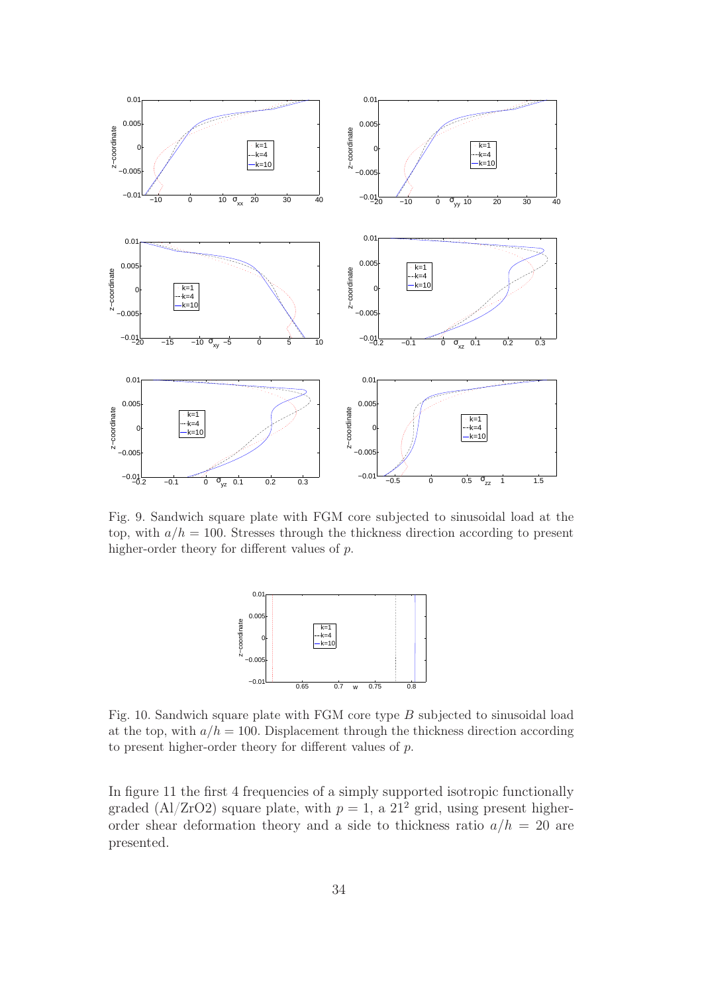

Fig. 9. Sandwich square plate with FGM core subjected to sinusoidal load at the top, with  $a/h = 100$ . Stresses through the thickness direction according to present higher-order theory for different values of p.



Fig. 10. Sandwich square plate with FGM core type B subjected to sinusoidal load at the top, with  $a/h = 100$ . Displacement through the thickness direction according to present higher-order theory for different values of p.

In figure 11 the first 4 frequencies of a simply supported isotropic functionally graded (Al/ZrO2) square plate, with  $p = 1$ , a  $21^2$  grid, using present higherorder shear deformation theory and a side to thickness ratio  $a/h = 20$  are presented.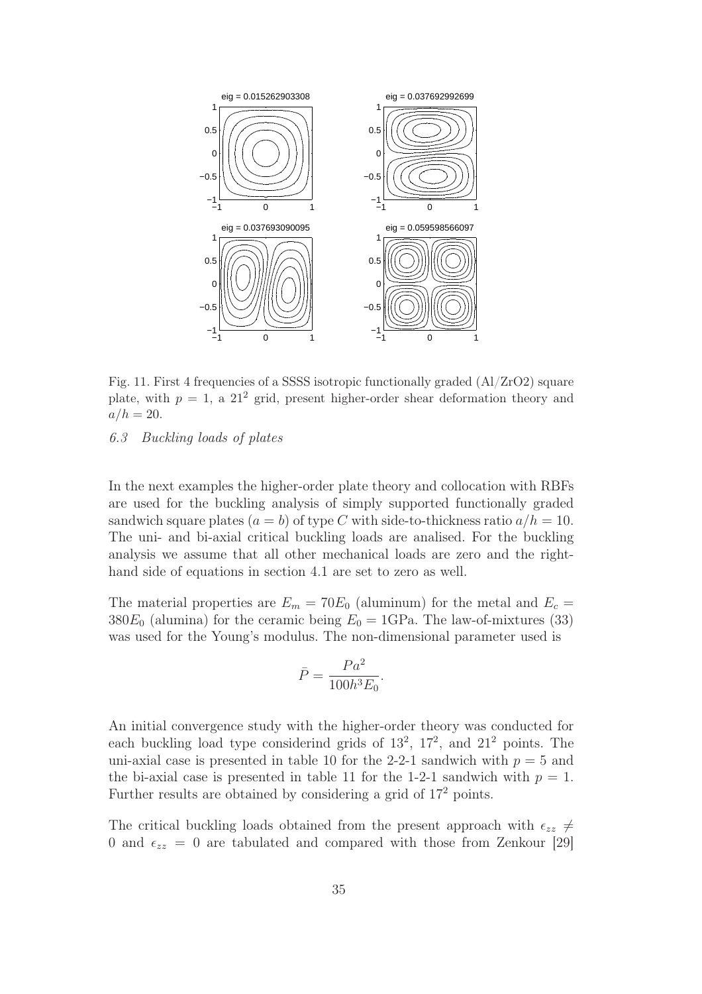

Fig. 11. First 4 frequencies of a SSSS isotropic functionally graded (Al/ZrO2) square plate, with  $p = 1$ , a  $21<sup>2</sup>$  grid, present higher-order shear deformation theory and  $a/h = 20.$ 

# *6.3 Buckling loads of plates*

In the next examples the higher-order plate theory and collocation with RBFs are used for the buckling analysis of simply supported functionally graded sandwich square plates  $(a = b)$  of type C with side-to-thickness ratio  $a/h = 10$ . The uni- and bi-axial critical buckling loads are analised. For the buckling analysis we assume that all other mechanical loads are zero and the righthand side of equations in section 4.1 are set to zero as well.

The material properties are  $E_m = 70E_0$  (aluminum) for the metal and  $E_c =$  $380E_0$  (alumina) for the ceramic being  $E_0 = 1$ GPa. The law-of-mixtures (33) was used for the Young's modulus. The non-dimensional parameter used is

$$
\bar{P} = \frac{Pa^2}{100h^3E_0}.
$$

An initial convergence study with the higher-order theory was conducted for each buckling load type considerind grids of  $13^2$ ,  $17^2$ , and  $21^2$  points. The uni-axial case is presented in table 10 for the 2-2-1 sandwich with  $p = 5$  and the bi-axial case is presented in table 11 for the 1-2-1 sandwich with  $p = 1$ . Further results are obtained by considering a grid of 17<sup>2</sup> points.

The critical buckling loads obtained from the present approach with  $\epsilon_{zz} \neq$ 0 and  $\epsilon_{zz} = 0$  are tabulated and compared with those from Zenkour [29]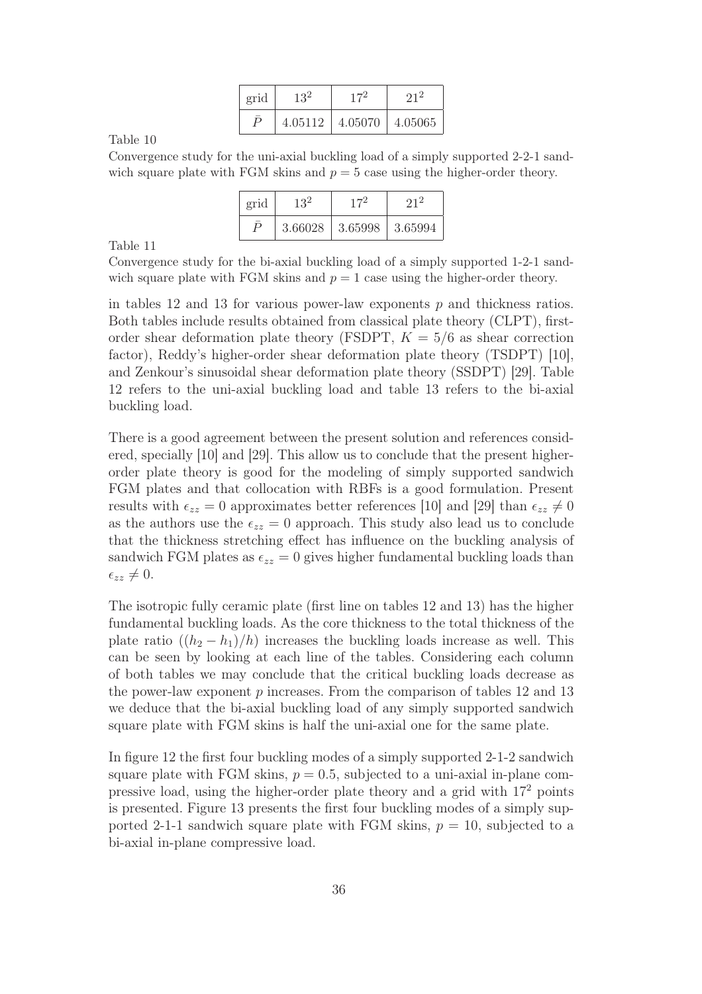| grid     | 132     |         |         |  |
|----------|---------|---------|---------|--|
| $\Gamma$ | 4.05112 | 4.05070 | 4.05065 |  |

Convergence study for the uni-axial buckling load of a simply supported 2-2-1 sandwich square plate with FGM skins and  $p = 5$  case using the higher-order theory.

| grid | $13^2$  |         |         |  |
|------|---------|---------|---------|--|
|      | 3.66028 | 3.65998 | 3.65994 |  |

Table 11

Convergence study for the bi-axial buckling load of a simply supported 1-2-1 sandwich square plate with FGM skins and  $p = 1$  case using the higher-order theory.

in tables 12 and 13 for various power-law exponents  $p$  and thickness ratios. Both tables include results obtained from classical plate theory (CLPT), firstorder shear deformation plate theory (FSDPT,  $K = 5/6$  as shear correction factor), Reddy's higher-order shear deformation plate theory (TSDPT) [10], and Zenkour's sinusoidal shear deformation plate theory (SSDPT) [29]. Table 12 refers to the uni-axial buckling load and table 13 refers to the bi-axial buckling load.

There is a good agreement between the present solution and references considered, specially [10] and [29]. This allow us to conclude that the present higherorder plate theory is good for the modeling of simply supported sandwich FGM plates and that collocation with RBFs is a good formulation. Present results with  $\epsilon_{zz} = 0$  approximates better references [10] and [29] than  $\epsilon_{zz} \neq 0$ as the authors use the  $\epsilon_{zz} = 0$  approach. This study also lead us to conclude that the thickness stretching effect has influence on the buckling analysis of sandwich FGM plates as  $\epsilon_{zz} = 0$  gives higher fundamental buckling loads than  $\epsilon_{zz} \neq 0.$ 

The isotropic fully ceramic plate (first line on tables 12 and 13) has the higher fundamental buckling loads. As the core thickness to the total thickness of the plate ratio  $((h_2 - h_1)/h)$  increases the buckling loads increase as well. This can be seen by looking at each line of the tables. Considering each column of both tables we may conclude that the critical buckling loads decrease as the power-law exponent  $p$  increases. From the comparison of tables 12 and 13 we deduce that the bi-axial buckling load of any simply supported sandwich square plate with FGM skins is half the uni-axial one for the same plate.

In figure 12 the first four buckling modes of a simply supported 2-1-2 sandwich square plate with FGM skins,  $p = 0.5$ , subjected to a uni-axial in-plane compressive load, using the higher-order plate theory and a grid with 17<sup>2</sup> points is presented. Figure 13 presents the first four buckling modes of a simply supported 2-1-1 sandwich square plate with FGM skins,  $p = 10$ , subjected to a bi-axial in-plane compressive load.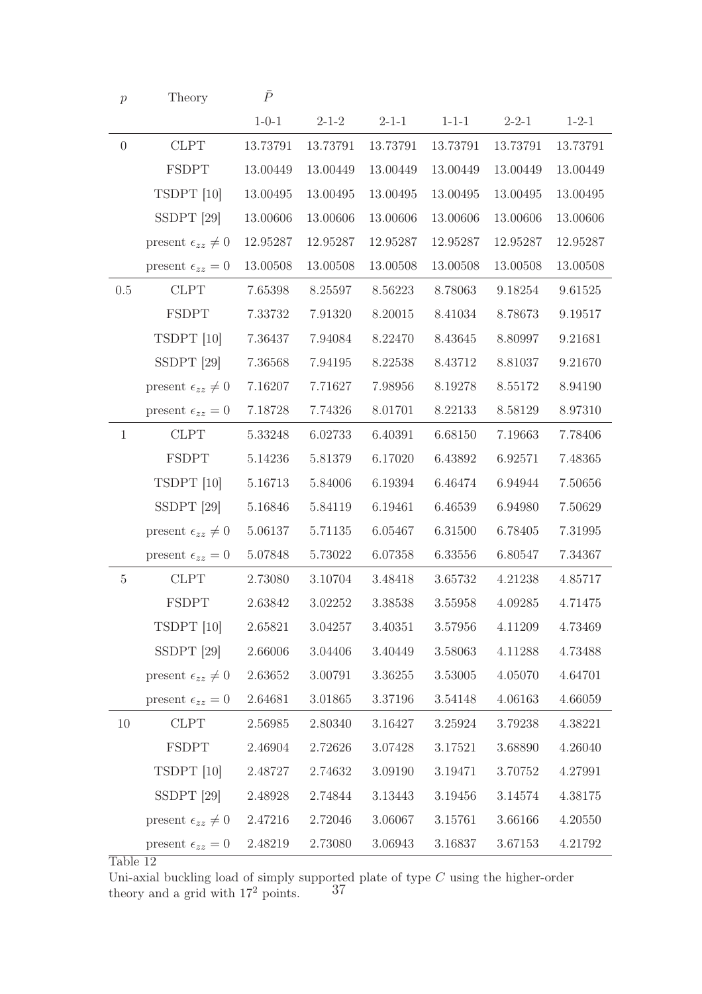| $\boldsymbol{p}$ | Theory                         | $\bar{P}$   |             |             |             |             |             |
|------------------|--------------------------------|-------------|-------------|-------------|-------------|-------------|-------------|
|                  |                                | $1 - 0 - 1$ | $2 - 1 - 2$ | $2 - 1 - 1$ | $1 - 1 - 1$ | $2 - 2 - 1$ | $1 - 2 - 1$ |
| $\theta$         | <b>CLPT</b>                    | 13.73791    | 13.73791    | 13.73791    | 13.73791    | 13.73791    | 13.73791    |
|                  | <b>FSDPT</b>                   | 13.00449    | 13.00449    | 13.00449    | 13.00449    | 13.00449    | 13.00449    |
|                  | TSDPT [10]                     | 13.00495    | 13.00495    | 13.00495    | 13.00495    | 13.00495    | 13.00495    |
|                  | SSDPT $[29]$                   | 13.00606    | 13.00606    | 13.00606    | 13.00606    | 13.00606    | 13.00606    |
|                  | present $\epsilon_{zz} \neq 0$ | 12.95287    | 12.95287    | 12.95287    | 12.95287    | 12.95287    | 12.95287    |
|                  | present $\epsilon_{zz} = 0$    | 13.00508    | 13.00508    | 13.00508    | 13.00508    | 13.00508    | 13.00508    |
| 0.5              | <b>CLPT</b>                    | 7.65398     | 8.25597     | 8.56223     | 8.78063     | 9.18254     | 9.61525     |
|                  | <b>FSDPT</b>                   | 7.33732     | 7.91320     | 8.20015     | 8.41034     | 8.78673     | 9.19517     |
|                  | TSDPT [10]                     | 7.36437     | 7.94084     | 8.22470     | 8.43645     | 8.80997     | 9.21681     |
|                  | $SSDPT$ [29]                   | 7.36568     | 7.94195     | 8.22538     | 8.43712     | 8.81037     | 9.21670     |
|                  | present $\epsilon_{zz} \neq 0$ | 7.16207     | 7.71627     | 7.98956     | 8.19278     | 8.55172     | 8.94190     |
|                  | present $\epsilon_{zz} = 0$    | 7.18728     | 7.74326     | 8.01701     | 8.22133     | 8.58129     | 8.97310     |
| $\mathbf{1}$     | <b>CLPT</b>                    | 5.33248     | 6.02733     | 6.40391     | 6.68150     | 7.19663     | 7.78406     |
|                  | <b>FSDPT</b>                   | 5.14236     | 5.81379     | 6.17020     | 6.43892     | 6.92571     | 7.48365     |
|                  | TSDPT [10]                     | 5.16713     | 5.84006     | 6.19394     | 6.46474     | 6.94944     | 7.50656     |
|                  | $SSDPT$ [29]                   | 5.16846     | 5.84119     | 6.19461     | 6.46539     | 6.94980     | 7.50629     |
|                  | present $\epsilon_{zz} \neq 0$ | 5.06137     | 5.71135     | 6.05467     | 6.31500     | 6.78405     | 7.31995     |
|                  | present $\epsilon_{zz} = 0$    | 5.07848     | 5.73022     | 6.07358     | 6.33556     | 6.80547     | 7.34367     |
| $5\,$            | <b>CLPT</b>                    | 2.73080     | 3.10704     | 3.48418     | 3.65732     | 4.21238     | 4.85717     |
|                  | <b>FSDPT</b>                   | 2.63842     | 3.02252     | 3.38538     | 3.55958     | 4.09285     | 4.71475     |
|                  | TSDPT [10]                     | 2.65821     | 3.04257     | 3.40351     | 3.57956     | 4.11209     | 4.73469     |
|                  | $SSDPT$ [29]                   | 2.66006     | 3.04406     | 3.40449     | 3.58063     | 4.11288     | 4.73488     |
|                  | present $\epsilon_{zz} \neq 0$ | 2.63652     | 3.00791     | 3.36255     | 3.53005     | 4.05070     | 4.64701     |
|                  | present $\epsilon_{zz} = 0$    | 2.64681     | 3.01865     | 3.37196     | 3.54148     | 4.06163     | 4.66059     |
| 10               | <b>CLPT</b>                    | 2.56985     | 2.80340     | 3.16427     | 3.25924     | 3.79238     | 4.38221     |
|                  | FSDPT                          | 2.46904     | 2.72626     | 3.07428     | $3.17521\,$ | 3.68890     | 4.26040     |
|                  | TSDPT [10]                     | 2.48727     | 2.74632     | 3.09190     | 3.19471     | 3.70752     | 4.27991     |
|                  | SSDPT <sup>[29]</sup>          | 2.48928     | 2.74844     | 3.13443     | 3.19456     | 3.14574     | 4.38175     |
|                  | present $\epsilon_{zz} \neq 0$ | 2.47216     | 2.72046     | 3.06067     | 3.15761     | 3.66166     | 4.20550     |
|                  | present $\epsilon_{zz} = 0$    | 2.48219     | 2.73080     | 3.06943     | 3.16837     | 3.67153     | 4.21792     |

Uni-axial buckling load of simply supported plate of type  $C$  using the higher-order theory and a grid with  $17^2$  points.  $37$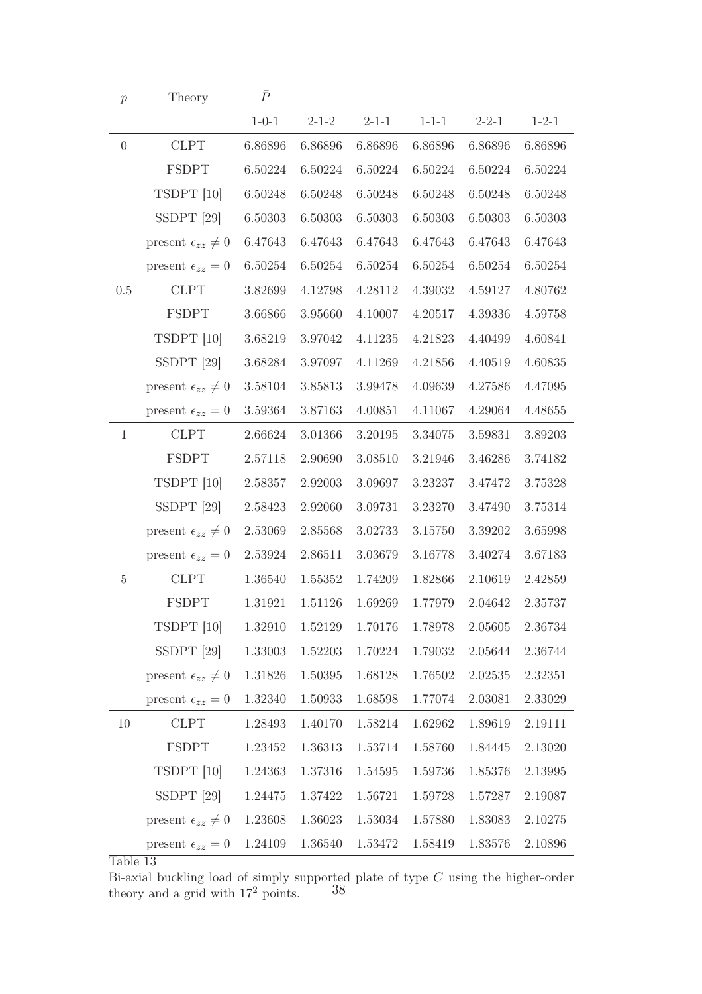| p              | Theory                         | $\bar{P}$   |             |             |             |             |             |
|----------------|--------------------------------|-------------|-------------|-------------|-------------|-------------|-------------|
|                |                                | $1 - 0 - 1$ | $2 - 1 - 2$ | $2 - 1 - 1$ | $1 - 1 - 1$ | $2 - 2 - 1$ | $1 - 2 - 1$ |
| $\overline{0}$ | <b>CLPT</b>                    | 6.86896     | 6.86896     | 6.86896     | 6.86896     | 6.86896     | 6.86896     |
|                | <b>FSDPT</b>                   | 6.50224     | 6.50224     | 6.50224     | 6.50224     | 6.50224     | 6.50224     |
|                | TSDPT [10]                     | 6.50248     | 6.50248     | 6.50248     | 6.50248     | 6.50248     | 6.50248     |
|                | SSDPT <sup>[29]</sup>          | 6.50303     | 6.50303     | 6.50303     | 6.50303     | 6.50303     | 6.50303     |
|                | present $\epsilon_{zz} \neq 0$ | 6.47643     | 6.47643     | 6.47643     | 6.47643     | 6.47643     | 6.47643     |
|                | present $\epsilon_{zz} = 0$    | 6.50254     | 6.50254     | 6.50254     | 6.50254     | 6.50254     | 6.50254     |
| 0.5            | <b>CLPT</b>                    | 3.82699     | 4.12798     | 4.28112     | 4.39032     | 4.59127     | 4.80762     |
|                | <b>FSDPT</b>                   | 3.66866     | 3.95660     | 4.10007     | 4.20517     | 4.39336     | 4.59758     |
|                | TSDPT [10]                     | 3.68219     | 3.97042     | 4.11235     | 4.21823     | 4.40499     | 4.60841     |
|                | $SSDPT$ [29]                   | 3.68284     | 3.97097     | 4.11269     | 4.21856     | 4.40519     | 4.60835     |
|                | present $\epsilon_{zz} \neq 0$ | 3.58104     | 3.85813     | 3.99478     | 4.09639     | 4.27586     | 4.47095     |
|                | present $\epsilon_{zz} = 0$    | 3.59364     | 3.87163     | 4.00851     | 4.11067     | 4.29064     | 4.48655     |
| $\mathbf{1}$   | <b>CLPT</b>                    | 2.66624     | 3.01366     | 3.20195     | 3.34075     | 3.59831     | 3.89203     |
|                | <b>FSDPT</b>                   | 2.57118     | 2.90690     | 3.08510     | 3.21946     | 3.46286     | 3.74182     |
|                | TSDPT [10]                     | 2.58357     | 2.92003     | 3.09697     | 3.23237     | 3.47472     | 3.75328     |
|                | $SSDPT$ [29]                   | 2.58423     | 2.92060     | 3.09731     | 3.23270     | 3.47490     | 3.75314     |
|                | present $\epsilon_{zz} \neq 0$ | 2.53069     | 2.85568     | 3.02733     | 3.15750     | 3.39202     | 3.65998     |
|                | present $\epsilon_{zz} = 0$    | 2.53924     | 2.86511     | 3.03679     | 3.16778     | 3.40274     | 3.67183     |
| 5              | <b>CLPT</b>                    | 1.36540     | 1.55352     | 1.74209     | 1.82866     | 2.10619     | 2.42859     |
|                | <b>FSDPT</b>                   | 1.31921     | 1.51126     | 1.69269     | 1.77979     | 2.04642     | 2.35737     |
|                | TSDPT [10]                     | 1.32910     | 1.52129     | 1.70176     | 1.78978     | 2.05605     | 2.36734     |
|                | SSDPT <sup>[29]</sup>          | 1.33003     | 1.52203     | 1.70224     | 1.79032     | 2.05644     | 2.36744     |
|                | present $\epsilon_{zz} \neq 0$ | 1.31826     | 1.50395     | 1.68128     | 1.76502     | 2.02535     | 2.32351     |
|                | present $\epsilon_{zz} = 0$    | 1.32340     | 1.50933     | 1.68598     | 1.77074     | 2.03081     | 2.33029     |
| 10             | <b>CLPT</b>                    | 1.28493     | 1.40170     | 1.58214     | 1.62962     | 1.89619     | 2.19111     |
|                | FSDPT                          | 1.23452     | 1.36313     | 1.53714     | 1.58760     | 1.84445     | 2.13020     |
|                | TSDPT [10]                     | 1.24363     | 1.37316     | 1.54595     | 1.59736     | 1.85376     | 2.13995     |
|                | $SSDPT$ [29]                   | 1.24475     | 1.37422     | 1.56721     | 1.59728     | 1.57287     | 2.19087     |
|                | present $\epsilon_{zz} \neq 0$ | 1.23608     | 1.36023     | $1.53034\,$ | 1.57880     | 1.83083     | 2.10275     |
|                | present $\epsilon_{zz} = 0$    | 1.24109     | 1.36540     | 1.53472     | 1.58419     | 1.83576     | 2.10896     |

Bi-axial buckling load of simply supported plate of type  $C$  using the higher-order theory and a grid with  $17^2$  points.  $38$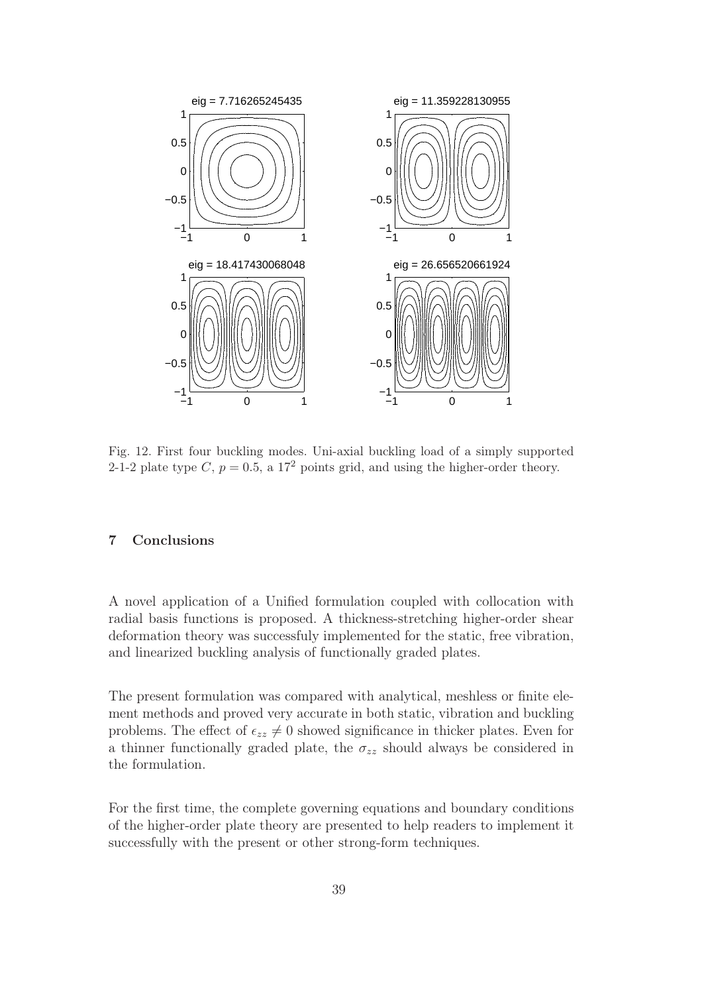

Fig. 12. First four buckling modes. Uni-axial buckling load of a simply supported 2-1-2 plate type C,  $p = 0.5$ , a 17<sup>2</sup> points grid, and using the higher-order theory.

### 7 Conclusions

A novel application of a Unified formulation coupled with collocation with radial basis functions is proposed. A thickness-stretching higher-order shear deformation theory was successfuly implemented for the static, free vibration, and linearized buckling analysis of functionally graded plates.

The present formulation was compared with analytical, meshless or finite element methods and proved very accurate in both static, vibration and buckling problems. The effect of  $\epsilon_{zz} \neq 0$  showed significance in thicker plates. Even for a thinner functionally graded plate, the  $\sigma_{zz}$  should always be considered in the formulation.

For the first time, the complete governing equations and boundary conditions of the higher-order plate theory are presented to help readers to implement it successfully with the present or other strong-form techniques.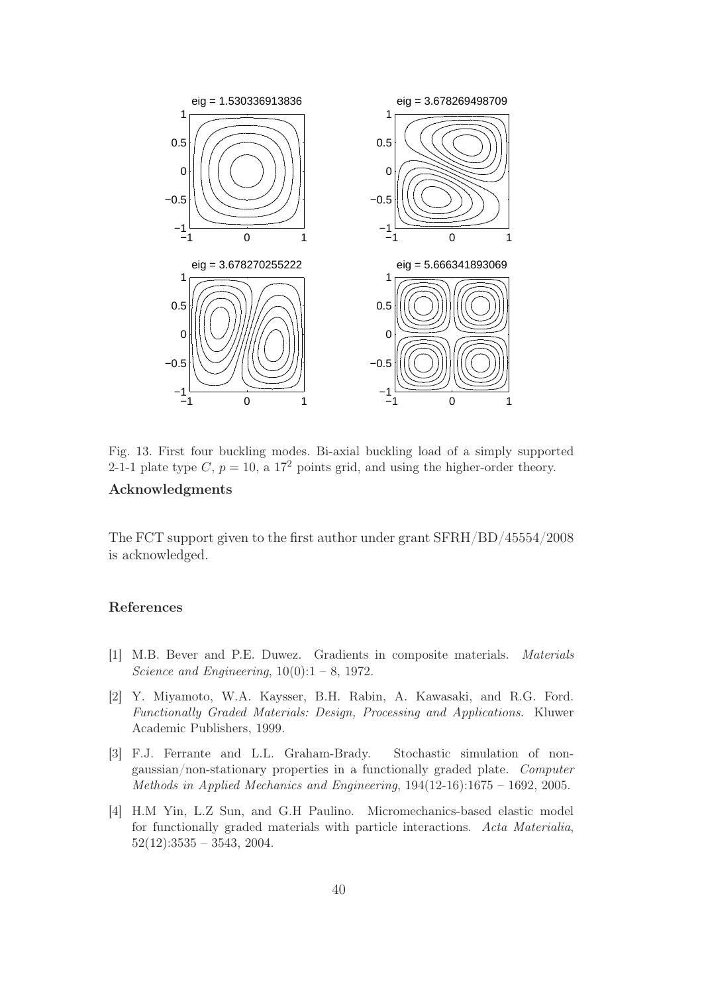

Fig. 13. First four buckling modes. Bi-axial buckling load of a simply supported 2-1-1 plate type C,  $p = 10$ , a 17<sup>2</sup> points grid, and using the higher-order theory.

# Acknowledgments

The FCT support given to the first author under grant SFRH/BD/45554/2008 is acknowledged.

#### References

- [1] M.B. Bever and P.E. Duwez. Gradients in composite materials. Materials Science and Engineering,  $10(0):1 - 8$ , 1972.
- [2] Y. Miyamoto, W.A. Kaysser, B.H. Rabin, A. Kawasaki, and R.G. Ford. Functionally Graded Materials: Design, Processing and Applications. Kluwer Academic Publishers, 1999.
- [3] F.J. Ferrante and L.L. Graham-Brady. Stochastic simulation of nongaussian/non-stationary properties in a functionally graded plate. Computer Methods in Applied Mechanics and Engineering, 194(12-16):1675 – 1692, 2005.
- [4] H.M Yin, L.Z Sun, and G.H Paulino. Micromechanics-based elastic model for functionally graded materials with particle interactions. Acta Materialia,  $52(12):3535 - 3543, 2004.$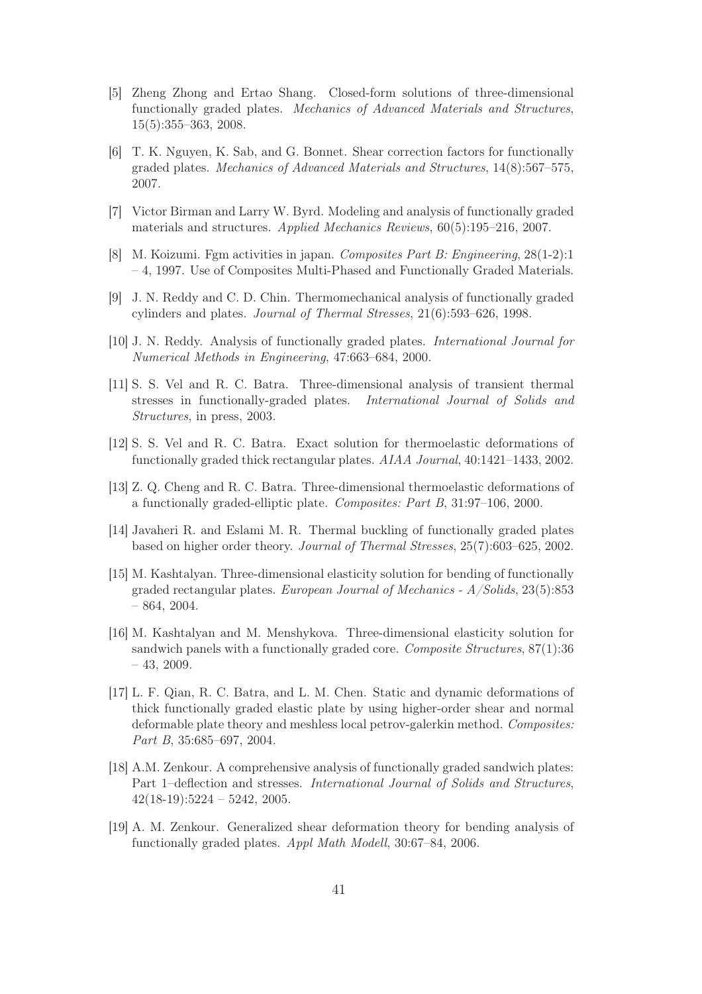- [5] Zheng Zhong and Ertao Shang. Closed-form solutions of three-dimensional functionally graded plates. Mechanics of Advanced Materials and Structures, 15(5):355–363, 2008.
- [6] T. K. Nguyen, K. Sab, and G. Bonnet. Shear correction factors for functionally graded plates. Mechanics of Advanced Materials and Structures, 14(8):567–575, 2007.
- [7] Victor Birman and Larry W. Byrd. Modeling and analysis of functionally graded materials and structures. Applied Mechanics Reviews, 60(5):195–216, 2007.
- [8] M. Koizumi. Fgm activities in japan. Composites Part B: Engineering, 28(1-2):1 – 4, 1997. Use of Composites Multi-Phased and Functionally Graded Materials.
- [9] J. N. Reddy and C. D. Chin. Thermomechanical analysis of functionally graded cylinders and plates. Journal of Thermal Stresses, 21(6):593–626, 1998.
- [10] J. N. Reddy. Analysis of functionally graded plates. International Journal for Numerical Methods in Engineering, 47:663–684, 2000.
- [11] S. S. Vel and R. C. Batra. Three-dimensional analysis of transient thermal stresses in functionally-graded plates. International Journal of Solids and Structures, in press, 2003.
- [12] S. S. Vel and R. C. Batra. Exact solution for thermoelastic deformations of functionally graded thick rectangular plates. AIAA Journal, 40:1421–1433, 2002.
- [13] Z. Q. Cheng and R. C. Batra. Three-dimensional thermoelastic deformations of a functionally graded-elliptic plate. Composites: Part B, 31:97–106, 2000.
- [14] Javaheri R. and Eslami M. R. Thermal buckling of functionally graded plates based on higher order theory. Journal of Thermal Stresses, 25(7):603–625, 2002.
- [15] M. Kashtalyan. Three-dimensional elasticity solution for bending of functionally graded rectangular plates. European Journal of Mechanics - A/Solids, 23(5):853 – 864, 2004.
- [16] M. Kashtalyan and M. Menshykova. Three-dimensional elasticity solution for sandwich panels with a functionally graded core. Composite Structures, 87(1):36 – 43, 2009.
- [17] L. F. Qian, R. C. Batra, and L. M. Chen. Static and dynamic deformations of thick functionally graded elastic plate by using higher-order shear and normal deformable plate theory and meshless local petrov-galerkin method. Composites: Part B, 35:685–697, 2004.
- [18] A.M. Zenkour. A comprehensive analysis of functionally graded sandwich plates: Part 1–deflection and stresses. International Journal of Solids and Structures,  $42(18-19):5224 - 5242, 2005.$
- [19] A. M. Zenkour. Generalized shear deformation theory for bending analysis of functionally graded plates. Appl Math Modell, 30:67–84, 2006.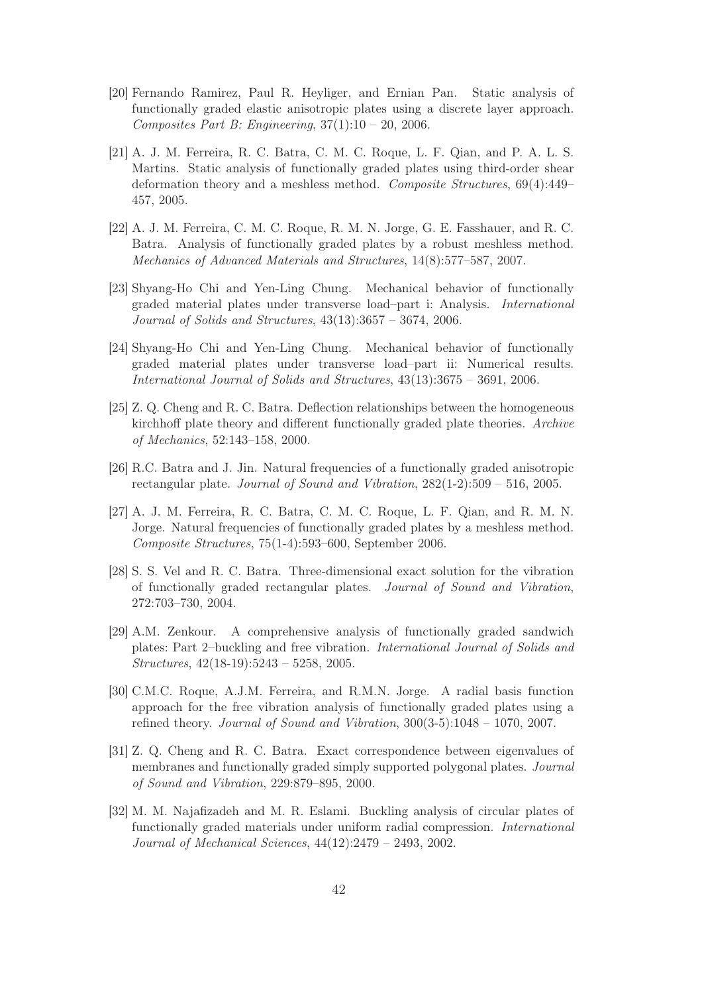- [20] Fernando Ramirez, Paul R. Heyliger, and Ernian Pan. Static analysis of functionally graded elastic anisotropic plates using a discrete layer approach. Composites Part B: Engineering,  $37(1):10 - 20$ ,  $2006$ .
- [21] A. J. M. Ferreira, R. C. Batra, C. M. C. Roque, L. F. Qian, and P. A. L. S. Martins. Static analysis of functionally graded plates using third-order shear deformation theory and a meshless method. Composite Structures, 69(4):449– 457, 2005.
- [22] A. J. M. Ferreira, C. M. C. Roque, R. M. N. Jorge, G. E. Fasshauer, and R. C. Batra. Analysis of functionally graded plates by a robust meshless method. Mechanics of Advanced Materials and Structures, 14(8):577–587, 2007.
- [23] Shyang-Ho Chi and Yen-Ling Chung. Mechanical behavior of functionally graded material plates under transverse load–part i: Analysis. International Journal of Solids and Structures, 43(13):3657 – 3674, 2006.
- [24] Shyang-Ho Chi and Yen-Ling Chung. Mechanical behavior of functionally graded material plates under transverse load–part ii: Numerical results. International Journal of Solids and Structures, 43(13):3675 – 3691, 2006.
- [25] Z. Q. Cheng and R. C. Batra. Deflection relationships between the homogeneous kirchhoff plate theory and different functionally graded plate theories. Archive of Mechanics, 52:143–158, 2000.
- [26] R.C. Batra and J. Jin. Natural frequencies of a functionally graded anisotropic rectangular plate. Journal of Sound and Vibration, 282(1-2):509 – 516, 2005.
- [27] A. J. M. Ferreira, R. C. Batra, C. M. C. Roque, L. F. Qian, and R. M. N. Jorge. Natural frequencies of functionally graded plates by a meshless method. Composite Structures, 75(1-4):593–600, September 2006.
- [28] S. S. Vel and R. C. Batra. Three-dimensional exact solution for the vibration of functionally graded rectangular plates. Journal of Sound and Vibration, 272:703–730, 2004.
- [29] A.M. Zenkour. A comprehensive analysis of functionally graded sandwich plates: Part 2–buckling and free vibration. International Journal of Solids and Structures, 42(18-19):5243 – 5258, 2005.
- [30] C.M.C. Roque, A.J.M. Ferreira, and R.M.N. Jorge. A radial basis function approach for the free vibration analysis of functionally graded plates using a refined theory. Journal of Sound and Vibration,  $300(3-5)$ :1048 – 1070, 2007.
- [31] Z. Q. Cheng and R. C. Batra. Exact correspondence between eigenvalues of membranes and functionally graded simply supported polygonal plates. Journal of Sound and Vibration, 229:879–895, 2000.
- [32] M. M. Najafizadeh and M. R. Eslami. Buckling analysis of circular plates of functionally graded materials under uniform radial compression. International Journal of Mechanical Sciences, 44(12):2479 – 2493, 2002.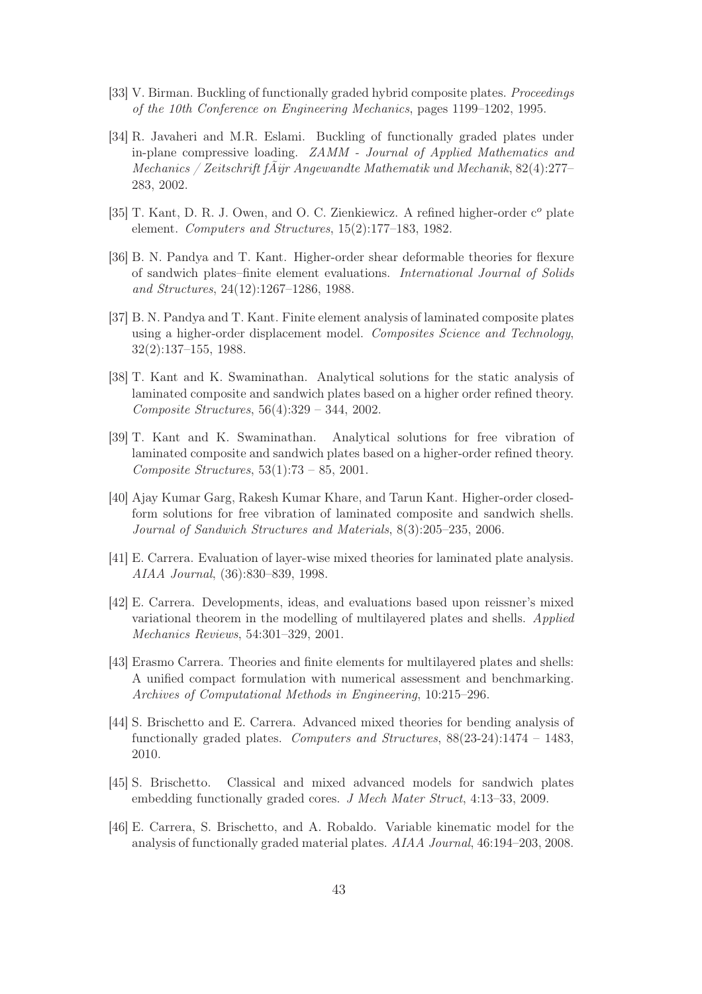- [33] V. Birman. Buckling of functionally graded hybrid composite plates. *Proceedings* of the 10th Conference on Engineering Mechanics, pages 1199–1202, 1995.
- [34] R. Javaheri and M.R. Eslami. Buckling of functionally graded plates under in-plane compressive loading. ZAMM - Journal of Applied Mathematics and Mechanics / Zeitschrift fÃijr Angewandte Mathematik und Mechanik, 82(4):277– 283, 2002.
- [35] T. Kant, D. R. J. Owen, and O. C. Zienkiewicz. A refined higher-order  $c<sup>o</sup>$  plate element. Computers and Structures, 15(2):177–183, 1982.
- [36] B. N. Pandya and T. Kant. Higher-order shear deformable theories for flexure of sandwich plates–finite element evaluations. International Journal of Solids and Structures, 24(12):1267–1286, 1988.
- [37] B. N. Pandya and T. Kant. Finite element analysis of laminated composite plates using a higher-order displacement model. Composites Science and Technology, 32(2):137–155, 1988.
- [38] T. Kant and K. Swaminathan. Analytical solutions for the static analysis of laminated composite and sandwich plates based on a higher order refined theory. Composite Structures, 56(4):329 – 344, 2002.
- [39] T. Kant and K. Swaminathan. Analytical solutions for free vibration of laminated composite and sandwich plates based on a higher-order refined theory. Composite Structures, 53(1):73 – 85, 2001.
- [40] Ajay Kumar Garg, Rakesh Kumar Khare, and Tarun Kant. Higher-order closedform solutions for free vibration of laminated composite and sandwich shells. Journal of Sandwich Structures and Materials, 8(3):205–235, 2006.
- [41] E. Carrera. Evaluation of layer-wise mixed theories for laminated plate analysis. AIAA Journal, (36):830–839, 1998.
- [42] E. Carrera. Developments, ideas, and evaluations based upon reissner's mixed variational theorem in the modelling of multilayered plates and shells. Applied Mechanics Reviews, 54:301–329, 2001.
- [43] Erasmo Carrera. Theories and finite elements for multilayered plates and shells: A unified compact formulation with numerical assessment and benchmarking. Archives of Computational Methods in Engineering, 10:215–296.
- [44] S. Brischetto and E. Carrera. Advanced mixed theories for bending analysis of functionally graded plates. Computers and Structures,  $88(23-24):1474-1483$ , 2010.
- [45] S. Brischetto. Classical and mixed advanced models for sandwich plates embedding functionally graded cores. J Mech Mater Struct, 4:13–33, 2009.
- [46] E. Carrera, S. Brischetto, and A. Robaldo. Variable kinematic model for the analysis of functionally graded material plates. AIAA Journal, 46:194–203, 2008.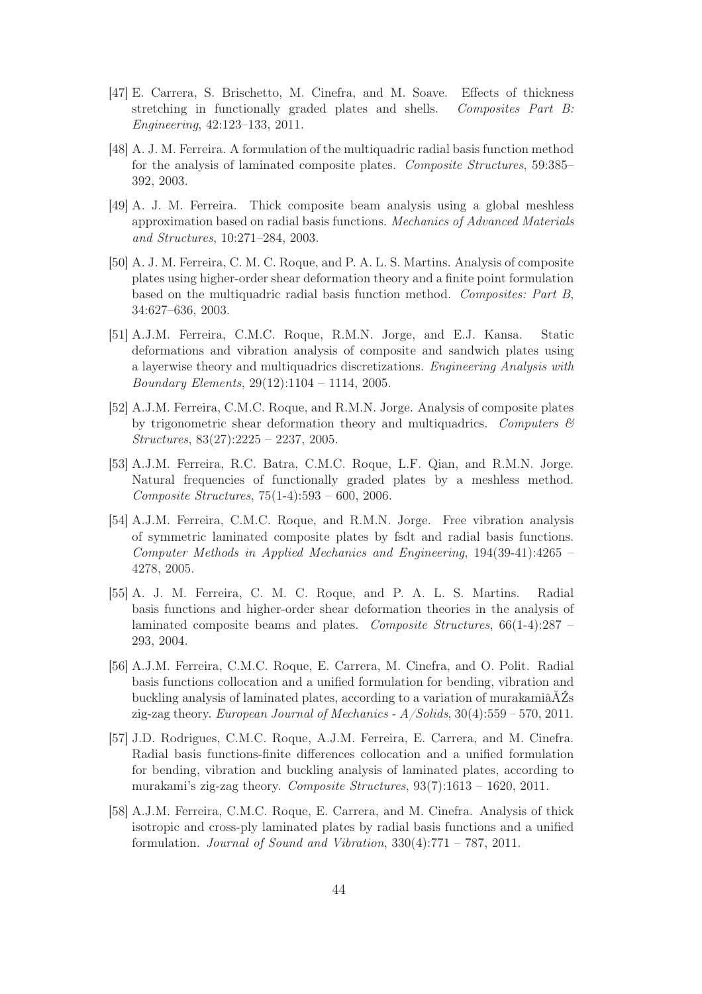- [47] E. Carrera, S. Brischetto, M. Cinefra, and M. Soave. Effects of thickness stretching in functionally graded plates and shells. Composites Part B: Engineering, 42:123–133, 2011.
- [48] A. J. M. Ferreira. A formulation of the multiquadric radial basis function method for the analysis of laminated composite plates. Composite Structures, 59:385– 392, 2003.
- [49] A. J. M. Ferreira. Thick composite beam analysis using a global meshless approximation based on radial basis functions. Mechanics of Advanced Materials and Structures, 10:271–284, 2003.
- [50] A. J. M. Ferreira, C. M. C. Roque, and P. A. L. S. Martins. Analysis of composite plates using higher-order shear deformation theory and a finite point formulation based on the multiquadric radial basis function method. Composites: Part B, 34:627–636, 2003.
- [51] A.J.M. Ferreira, C.M.C. Roque, R.M.N. Jorge, and E.J. Kansa. Static deformations and vibration analysis of composite and sandwich plates using a layerwise theory and multiquadrics discretizations. Engineering Analysis with Boundary Elements, 29(12):1104 – 1114, 2005.
- [52] A.J.M. Ferreira, C.M.C. Roque, and R.M.N. Jorge. Analysis of composite plates by trigonometric shear deformation theory and multiquadrics. Computers  $\mathcal{B}$ Structures, 83(27):2225 – 2237, 2005.
- [53] A.J.M. Ferreira, R.C. Batra, C.M.C. Roque, L.F. Qian, and R.M.N. Jorge. Natural frequencies of functionally graded plates by a meshless method. Composite Structures, 75(1-4):593 – 600, 2006.
- [54] A.J.M. Ferreira, C.M.C. Roque, and R.M.N. Jorge. Free vibration analysis of symmetric laminated composite plates by fsdt and radial basis functions. Computer Methods in Applied Mechanics and Engineering, 194(39-41):4265 – 4278, 2005.
- [55] A. J. M. Ferreira, C. M. C. Roque, and P. A. L. S. Martins. Radial basis functions and higher-order shear deformation theories in the analysis of laminated composite beams and plates. Composite Structures, 66(1-4):287 – 293, 2004.
- [56] A.J.M. Ferreira, C.M.C. Roque, E. Carrera, M. Cinefra, and O. Polit. Radial basis functions collocation and a unified formulation for bending, vibration and buckling analysis of laminated plates, according to a variation of murakamiâĂŹs zig-zag theory. European Journal of Mechanics -  $A/Solids$ , 30(4):559 – 570, 2011.
- [57] J.D. Rodrigues, C.M.C. Roque, A.J.M. Ferreira, E. Carrera, and M. Cinefra. Radial basis functions-finite differences collocation and a unified formulation for bending, vibration and buckling analysis of laminated plates, according to murakami's zig-zag theory. Composite Structures, 93(7):1613 – 1620, 2011.
- [58] A.J.M. Ferreira, C.M.C. Roque, E. Carrera, and M. Cinefra. Analysis of thick isotropic and cross-ply laminated plates by radial basis functions and a unified formulation. Journal of Sound and Vibration,  $330(4)$ :771 – 787, 2011.